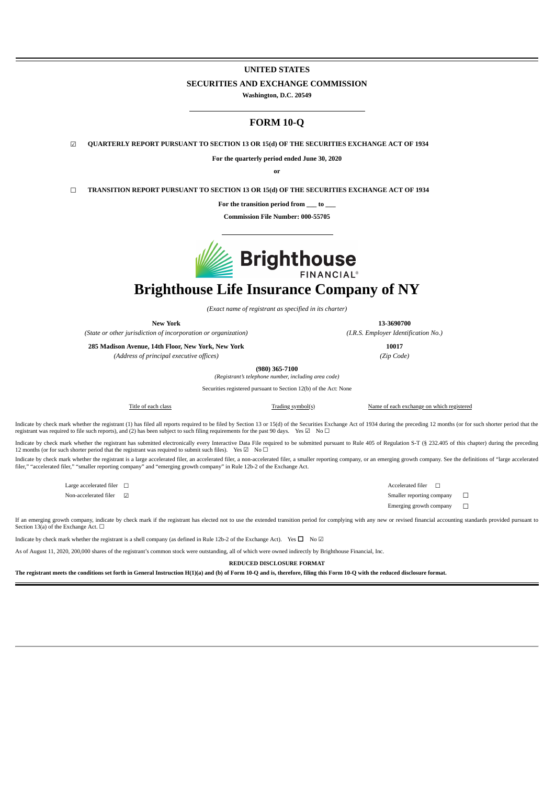### **UNITED STATES**

#### **SECURITIES AND EXCHANGE COMMISSION**

**Washington, D.C. 20549**

## **FORM 10-Q**

☑ **QUARTERLY REPORT PURSUANT TO SECTION 13 OR 15(d) OF THE SECURITIES EXCHANGE ACT OF 1934**

**For the quarterly period ended June 30, 2020**

**or**

☐ **TRANSITION REPORT PURSUANT TO SECTION 13 OR 15(d) OF THE SECURITIES EXCHANGE ACT OF 1934**

**For the transition period from \_\_\_ to \_\_\_**

**Commission File Number: 000-55705**



# **Brighthouse Life Insurance Company of NY**

*(Exact name of registrant as specified in its charter)*

**New York 13-3690700**

*(State or other jurisdiction of incorporation or organization) (I.R.S. Employer Identification No.)*

**285 Madison Avenue, 14th Floor, New York, New York 10017**

*(Address of principal executive offices) (Zip Code)*

**(980) 365-7100** *(Registrant's telephone number, including area code)*

Securities registered pursuant to Section 12(b) of the Act: None

Title of each class Trading symbol(s) Name of each exchange on which registered

Indicate by check mark whether the registrant (1) has filed all reports required to be filed by Section 13 or 15(d) of the Securities Exchange Act of 1934 during the preceding 12 months (or for such shorter period that the registrant was required to file such reports), and (2) has been subject to such filing requirements for the past 90 days. Yes  $\boxtimes$  No  $\Box$ 

Indicate by check mark whether the registrant has submitted electronically every Interactive Data File required to be submitted pursuant to Rule 405 of Regulation S-T (§ 232.405 of this chapter) during the preceding 12 months (or for such shorter period that the registrant was required to submit such files). Yes ☑ No □

Indicate by check mark whether the registrant is a large accelerated filer, an accelerated filer, a non-accelerated filer, a smaller reporting company, or an emerging growth company. See the definitions of "large accelerated filer," "accelerated filer," "smaller reporting company" and "emerging growth company" in Rule 12b-2 of the Exchange Act.

Large accelerated filer <del>□</del> accelerated filer □ Non-accelerated filer  $□$   $□$ 

Emerging growth company  $\Box$ 

If an emerging growth company, indicate by check mark if the registrant has elected not to use the extended transition period for complying with any new or revised financial accounting standards provided pursuant to Section 13(a) of the Exchange Act.  $\Box$ 

Indicate by check mark whether the registrant is a shell company (as defined in Rule 12b-2 of the Exchange Act). Yes  $\Box$  No  $\Box$ 

As of August 11, 2020, 200,000 shares of the registrant's common stock were outstanding, all of which were owned indirectly by Brighthouse Financial, Inc.

**REDUCED DISCLOSURE FORMAT**

<span id="page-0-0"></span>The registrant meets the conditions set forth in General Instruction H(1)(a) and (b) of Form 10-Q and is, therefore, filing this Form 10-Q with the reduced disclosure format.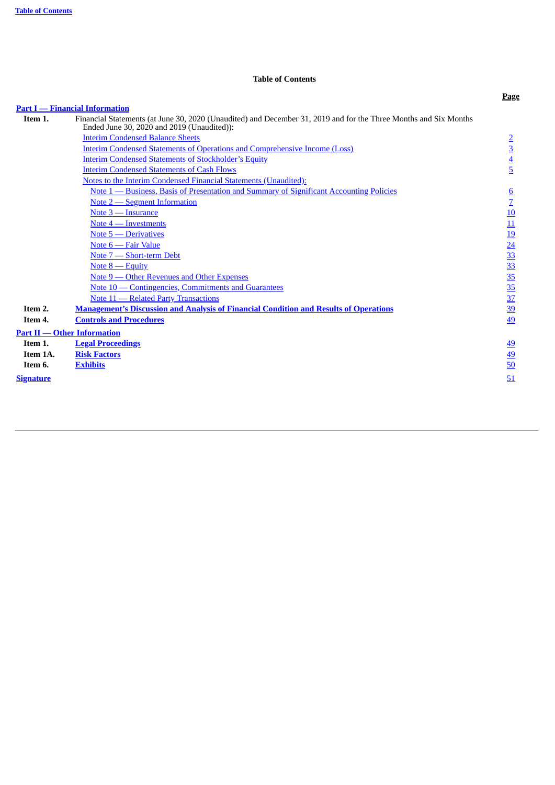## **Table of Contents**

<span id="page-1-0"></span>

|                  |                                                                                                                                                                | <b>Page</b>      |
|------------------|----------------------------------------------------------------------------------------------------------------------------------------------------------------|------------------|
|                  | <b>Part I</b> — Financial Information                                                                                                                          |                  |
| Item 1.          | Financial Statements (at June 30, 2020 (Unaudited) and December 31, 2019 and for the Three Months and Six Months<br>Ended June 30, 2020 and 2019 (Unaudited)): |                  |
|                  | <b>Interim Condensed Balance Sheets</b>                                                                                                                        | $\overline{2}$   |
|                  | <b>Interim Condensed Statements of Operations and Comprehensive Income (Loss)</b>                                                                              | $\overline{3}$   |
|                  | <b>Interim Condensed Statements of Stockholder's Equity</b>                                                                                                    | $\overline{4}$   |
|                  | <b>Interim Condensed Statements of Cash Flows</b>                                                                                                              | $\overline{5}$   |
|                  | Notes to the Interim Condensed Financial Statements (Unaudited):                                                                                               |                  |
|                  | <u>Note 1 — Business, Basis of Presentation and Summary of Significant Accounting Policies</u>                                                                 | $6 \overline{6}$ |
|                  | Note 2 – Segment Information                                                                                                                                   | $\overline{Z}$   |
|                  | Note 3 - Insurance                                                                                                                                             | 10               |
|                  | Note 4 – Investments                                                                                                                                           | 11               |
|                  | Note 5 – Derivatives                                                                                                                                           | <u>19</u>        |
|                  | Note 6 — Fair Value                                                                                                                                            | $\overline{24}$  |
|                  | Note 7 – Short-term Debt                                                                                                                                       | 33               |
|                  | Note $8$ — Equity                                                                                                                                              | 33               |
|                  | Note 9 — Other Revenues and Other Expenses                                                                                                                     | 35               |
|                  | Note 10 – Contingencies, Commitments and Guarantees                                                                                                            | 35               |
|                  | Note 11 - Related Party Transactions                                                                                                                           | 37               |
| Item 2.          | <b>Management's Discussion and Analysis of Financial Condition and Results of Operations</b>                                                                   | 39               |
| Item 4.          | <b>Controls and Procedures</b>                                                                                                                                 | 49               |
|                  | <b>Part II — Other Information</b>                                                                                                                             |                  |
| Item 1.          | <b>Legal Proceedings</b>                                                                                                                                       | <u>49</u>        |
| Item 1A.         | <b>Risk Factors</b>                                                                                                                                            | 49               |
| Item 6.          | <b>Exhibits</b>                                                                                                                                                | 50               |
| <b>Signature</b> |                                                                                                                                                                | 51               |
|                  |                                                                                                                                                                |                  |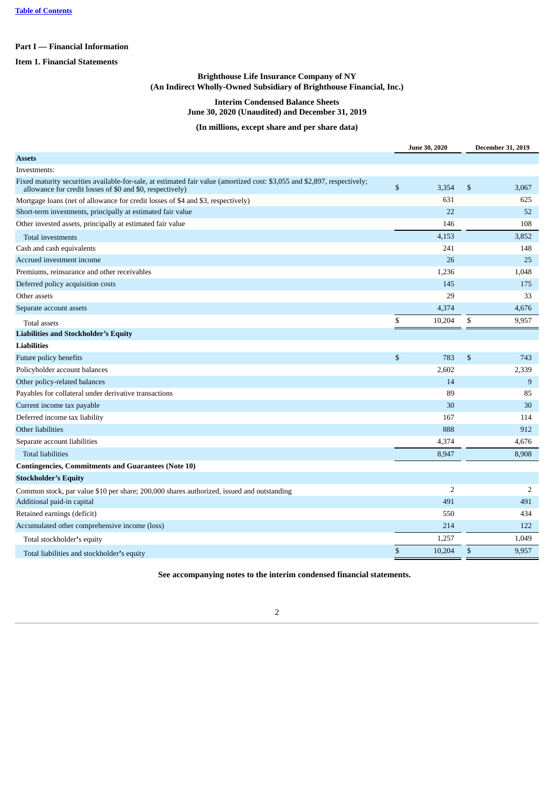## **Part I — Financial Information**

<span id="page-2-0"></span>**Item 1. Financial Statements**

## **Brighthouse Life Insurance Company of NY (An Indirect Wholly-Owned Subsidiary of Brighthouse Financial, Inc.)**

### **Interim Condensed Balance Sheets June 30, 2020 (Unaudited) and December 31, 2019**

## **(In millions, except share and per share data)**

|                                                                                                                                                                                        |                | June 30, 2020  | <b>December 31, 2019</b> |                |  |
|----------------------------------------------------------------------------------------------------------------------------------------------------------------------------------------|----------------|----------------|--------------------------|----------------|--|
| Assets                                                                                                                                                                                 |                |                |                          |                |  |
| Investments:                                                                                                                                                                           |                |                |                          |                |  |
| Fixed maturity securities available-for-sale, at estimated fair value (amortized cost: \$3,055 and \$2,897, respectively;<br>allowance for credit losses of \$0 and \$0, respectively) | $\mathfrak{s}$ | 3,354          | \$                       | 3,067          |  |
| Mortgage loans (net of allowance for credit losses of \$4 and \$3, respectively)                                                                                                       |                | 631            |                          | 625            |  |
| Short-term investments, principally at estimated fair value                                                                                                                            |                | 22             |                          | 52             |  |
| Other invested assets, principally at estimated fair value                                                                                                                             |                | 146            |                          | 108            |  |
| Total investments                                                                                                                                                                      |                | 4,153          |                          | 3,852          |  |
| Cash and cash equivalents                                                                                                                                                              |                | 241            |                          | 148            |  |
| Accrued investment income                                                                                                                                                              |                | 26             |                          | 25             |  |
| Premiums, reinsurance and other receivables                                                                                                                                            |                | 1,236          |                          | 1,048          |  |
| Deferred policy acquisition costs                                                                                                                                                      |                | 145            |                          | 175            |  |
| Other assets                                                                                                                                                                           |                | 29             |                          | 33             |  |
| Separate account assets                                                                                                                                                                |                | 4,374          |                          | 4,676          |  |
| <b>Total assets</b>                                                                                                                                                                    | \$             | 10,204         | \$                       | 9,957          |  |
| <b>Liabilities and Stockholder's Equity</b>                                                                                                                                            |                |                |                          |                |  |
| <b>Liabilities</b>                                                                                                                                                                     |                |                |                          |                |  |
| Future policy benefits                                                                                                                                                                 | $\mathfrak{s}$ | 783            | \$                       | 743            |  |
| Policyholder account balances                                                                                                                                                          |                | 2,602          |                          | 2,339          |  |
| Other policy-related balances                                                                                                                                                          |                | 14             |                          | 9              |  |
| Payables for collateral under derivative transactions                                                                                                                                  |                | 89             |                          | 85             |  |
| Current income tax payable                                                                                                                                                             |                | 30             |                          | 30             |  |
| Deferred income tax liability                                                                                                                                                          |                | 167            |                          | 114            |  |
| Other liabilities                                                                                                                                                                      |                | 888            |                          | 912            |  |
| Separate account liabilities                                                                                                                                                           |                | 4,374          |                          | 4,676          |  |
| <b>Total liabilities</b>                                                                                                                                                               |                | 8,947          |                          | 8,908          |  |
| <b>Contingencies, Commitments and Guarantees (Note 10)</b>                                                                                                                             |                |                |                          |                |  |
| <b>Stockholder's Equity</b>                                                                                                                                                            |                |                |                          |                |  |
| Common stock, par value \$10 per share; 200,000 shares authorized, issued and outstanding                                                                                              |                | $\overline{2}$ |                          | $\overline{2}$ |  |
| Additional paid-in capital                                                                                                                                                             |                | 491            |                          | 491            |  |
| Retained earnings (deficit)                                                                                                                                                            |                | 550            |                          | 434            |  |
| Accumulated other comprehensive income (loss)                                                                                                                                          |                | 214            |                          | 122            |  |
| Total stockholder's equity                                                                                                                                                             |                | 1,257          |                          | 1,049          |  |
| Total liabilities and stockholder's equity                                                                                                                                             | \$             | 10,204         | \$                       | 9,957          |  |

<span id="page-2-1"></span>**See accompanying notes to the interim condensed financial statements.**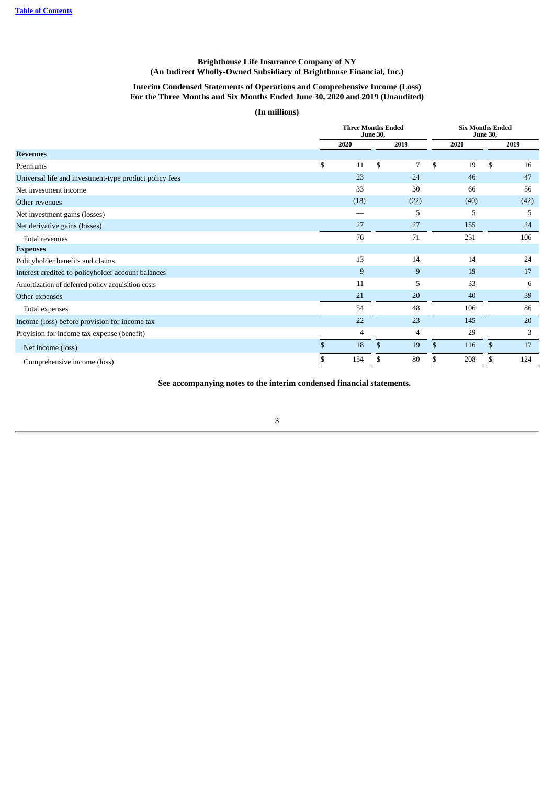## **Interim Condensed Statements of Operations and Comprehensive Income (Loss) For the Three Months and Six Months Ended June 30, 2020 and 2019 (Unaudited)**

**(In millions)**

|                                                        | <b>Three Months Ended</b><br><b>June 30,</b> |    |      |    |      | <b>Six Months Ended</b><br><b>June 30,</b> |      |
|--------------------------------------------------------|----------------------------------------------|----|------|----|------|--------------------------------------------|------|
|                                                        | 2020                                         |    | 2019 |    | 2020 |                                            | 2019 |
| <b>Revenues</b>                                        |                                              |    |      |    |      |                                            |      |
| Premiums                                               | \$<br>11                                     | \$ | 7    | \$ | 19   | \$                                         | 16   |
| Universal life and investment-type product policy fees | 23                                           |    | 24   |    | 46   |                                            | 47   |
| Net investment income                                  | 33                                           |    | 30   |    | 66   |                                            | 56   |
| Other revenues                                         | (18)                                         |    | (22) |    | (40) |                                            | (42) |
| Net investment gains (losses)                          |                                              |    | 5    |    | 5    |                                            | 5    |
| Net derivative gains (losses)                          | 27                                           |    | 27   |    | 155  |                                            | 24   |
| Total revenues                                         | 76                                           |    | 71   |    | 251  |                                            | 106  |
| <b>Expenses</b>                                        |                                              |    |      |    |      |                                            |      |
| Policyholder benefits and claims                       | 13                                           |    | 14   |    | 14   |                                            | 24   |
| Interest credited to policyholder account balances     | 9                                            |    | 9    |    | 19   |                                            | 17   |
| Amortization of deferred policy acquisition costs      | 11                                           |    | 5    |    | 33   |                                            | 6    |
| Other expenses                                         | 21                                           |    | 20   |    | 40   |                                            | 39   |
| Total expenses                                         | 54                                           |    | 48   |    | 106  |                                            | 86   |
| Income (loss) before provision for income tax          | 22                                           |    | 23   |    | 145  |                                            | 20   |
| Provision for income tax expense (benefit)             | $\overline{4}$                               |    | 4    |    | 29   |                                            | 3    |
| Net income (loss)                                      | \$<br>18                                     | \$ | 19   | \$ | 116  | \$                                         | 17   |
| Comprehensive income (loss)                            | \$<br>154                                    | \$ | 80   | \$ | 208  | \$                                         | 124  |

<span id="page-3-0"></span>**See accompanying notes to the interim condensed financial statements.**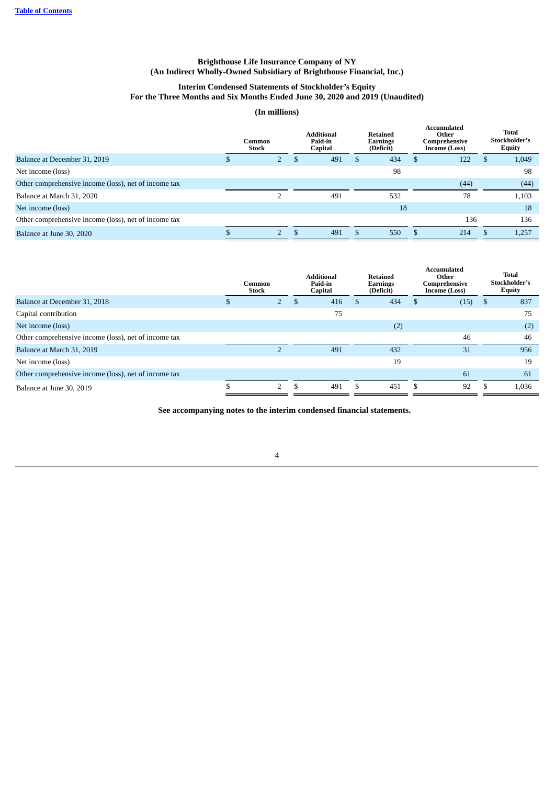## **Interim Condensed Statements of Stockholder's Equity For the Three Months and Six Months Ended June 30, 2020 and 2019 (Unaudited)**

## **(In millions)**

|                                                      | Common<br><b>Stock</b> |             | <b>Additional</b><br>Paid-in<br>Capital |     |     |     |      |       |  |  |  |  |  |  |  |  | <b>Retained</b><br><b>Earnings</b><br>(Deficit) |  | Accumulated<br>Other<br>Comprehensive<br>Income (Loss) | Total<br>Stockholder's<br><b>Equity</b> |
|------------------------------------------------------|------------------------|-------------|-----------------------------------------|-----|-----|-----|------|-------|--|--|--|--|--|--|--|--|-------------------------------------------------|--|--------------------------------------------------------|-----------------------------------------|
| Balance at December 31, 2019                         |                        | $2^{\circ}$ | Ð                                       | 491 | 434 | \$. | 122  | 1,049 |  |  |  |  |  |  |  |  |                                                 |  |                                                        |                                         |
| Net income (loss)                                    |                        |             |                                         |     | 98  |     |      | 98    |  |  |  |  |  |  |  |  |                                                 |  |                                                        |                                         |
| Other comprehensive income (loss), net of income tax |                        |             |                                         |     |     |     | (44) | (44)  |  |  |  |  |  |  |  |  |                                                 |  |                                                        |                                         |
| Balance at March 31, 2020                            |                        |             |                                         | 491 | 532 |     | 78   | 1,103 |  |  |  |  |  |  |  |  |                                                 |  |                                                        |                                         |
| Net income (loss)                                    |                        |             |                                         |     | 18  |     |      | 18    |  |  |  |  |  |  |  |  |                                                 |  |                                                        |                                         |
| Other comprehensive income (loss), net of income tax |                        |             |                                         |     |     |     | 136  | 136   |  |  |  |  |  |  |  |  |                                                 |  |                                                        |                                         |
| Balance at June 30, 2020                             |                        |             |                                         | 491 | 550 |     | 214  | 1,257 |  |  |  |  |  |  |  |  |                                                 |  |                                                        |                                         |

|                                                      |    | Common<br><b>Stock</b> | <b>Additional</b><br>Paid-in<br>Capital |     |     |  |      |    |       |  |  |  |  |  |  |  |  |  | <b>Retained</b><br>Earnings<br>(Deficit) | <b>Accumulated</b><br>Other<br>Comprehensive<br><b>Income (Loss)</b> |  |  | <b>Total</b><br>Stockholder's<br><b>Equity</b> |
|------------------------------------------------------|----|------------------------|-----------------------------------------|-----|-----|--|------|----|-------|--|--|--|--|--|--|--|--|--|------------------------------------------|----------------------------------------------------------------------|--|--|------------------------------------------------|
| Balance at December 31, 2018                         |    |                        |                                         | 416 | 434 |  | (15) | J. | 837   |  |  |  |  |  |  |  |  |  |                                          |                                                                      |  |  |                                                |
| Capital contribution                                 |    |                        |                                         | 75  |     |  |      |    | 75    |  |  |  |  |  |  |  |  |  |                                          |                                                                      |  |  |                                                |
| Net income (loss)                                    |    |                        |                                         |     | (2) |  |      |    | (2)   |  |  |  |  |  |  |  |  |  |                                          |                                                                      |  |  |                                                |
| Other comprehensive income (loss), net of income tax |    |                        |                                         |     |     |  | 46   |    | 46    |  |  |  |  |  |  |  |  |  |                                          |                                                                      |  |  |                                                |
| Balance at March 31, 2019                            |    |                        |                                         | 491 | 432 |  | 31   |    | 956   |  |  |  |  |  |  |  |  |  |                                          |                                                                      |  |  |                                                |
| Net income (loss)                                    |    |                        |                                         |     | 19  |  |      |    | 19    |  |  |  |  |  |  |  |  |  |                                          |                                                                      |  |  |                                                |
| Other comprehensive income (loss), net of income tax |    |                        |                                         |     |     |  | 61   |    | 61    |  |  |  |  |  |  |  |  |  |                                          |                                                                      |  |  |                                                |
| Balance at June 30, 2019                             | J. | $\overline{2}$         |                                         | 491 | 451 |  | 92   |    | 1,036 |  |  |  |  |  |  |  |  |  |                                          |                                                                      |  |  |                                                |

<span id="page-4-0"></span>**See accompanying notes to the interim condensed financial statements.**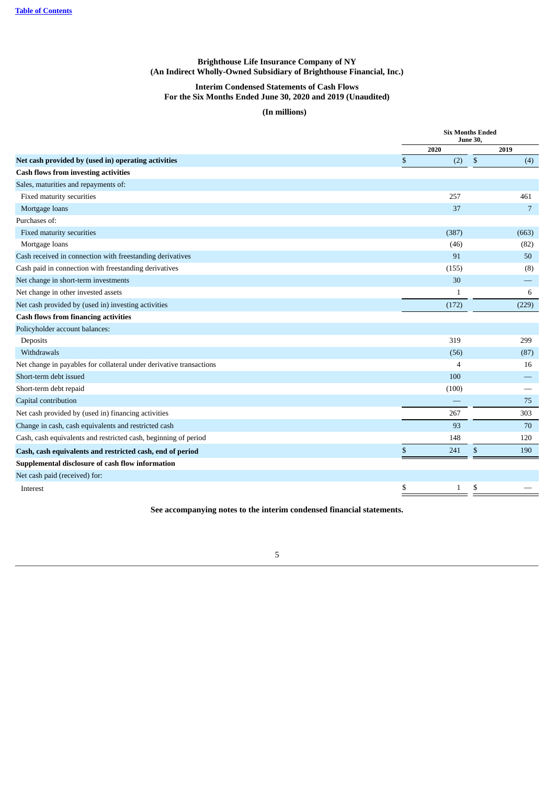## **Interim Condensed Statements of Cash Flows For the Six Months Ended June 30, 2020 and 2019 (Unaudited)**

## **(In millions)**

|                                                                     | <b>Six Months Ended</b><br><b>June 30,</b><br>2020<br>\$<br>(2)<br>257<br>37<br>(387)<br>(46)<br>91<br>(155) |    |       |  |  |
|---------------------------------------------------------------------|--------------------------------------------------------------------------------------------------------------|----|-------|--|--|
|                                                                     |                                                                                                              |    | 2019  |  |  |
| Net cash provided by (used in) operating activities                 | \$                                                                                                           |    | (4)   |  |  |
| <b>Cash flows from investing activities</b>                         |                                                                                                              |    |       |  |  |
| Sales, maturities and repayments of:                                |                                                                                                              |    |       |  |  |
| Fixed maturity securities                                           |                                                                                                              |    | 461   |  |  |
| Mortgage loans                                                      |                                                                                                              |    | 7     |  |  |
| Purchases of:                                                       |                                                                                                              |    |       |  |  |
| Fixed maturity securities                                           |                                                                                                              |    | (663) |  |  |
| Mortgage loans                                                      |                                                                                                              |    | (82)  |  |  |
| Cash received in connection with freestanding derivatives           |                                                                                                              |    | 50    |  |  |
| Cash paid in connection with freestanding derivatives               |                                                                                                              |    | (8)   |  |  |
| Net change in short-term investments                                | 30                                                                                                           |    |       |  |  |
| Net change in other invested assets                                 | $\mathbf{1}$                                                                                                 |    | 6     |  |  |
| Net cash provided by (used in) investing activities                 | (172)                                                                                                        |    | (229) |  |  |
| <b>Cash flows from financing activities</b>                         |                                                                                                              |    |       |  |  |
| Policyholder account balances:                                      |                                                                                                              |    |       |  |  |
| Deposits                                                            | 319                                                                                                          |    | 299   |  |  |
| Withdrawals                                                         | (56)                                                                                                         |    | (87)  |  |  |
| Net change in payables for collateral under derivative transactions | $\overline{4}$                                                                                               |    | 16    |  |  |
| Short-term debt issued                                              | 100                                                                                                          |    |       |  |  |
| Short-term debt repaid                                              | (100)                                                                                                        |    |       |  |  |
| Capital contribution                                                |                                                                                                              |    | 75    |  |  |
| Net cash provided by (used in) financing activities                 | 267                                                                                                          |    | 303   |  |  |
| Change in cash, cash equivalents and restricted cash                | 93                                                                                                           |    | 70    |  |  |
| Cash, cash equivalents and restricted cash, beginning of period     | 148                                                                                                          |    | 120   |  |  |
| Cash, cash equivalents and restricted cash, end of period           | \$<br>241                                                                                                    | \$ | 190   |  |  |
| Supplemental disclosure of cash flow information                    |                                                                                                              |    |       |  |  |
| Net cash paid (received) for:                                       |                                                                                                              |    |       |  |  |
| Interest                                                            | \$<br>$\mathbf{1}$                                                                                           | \$ |       |  |  |

<span id="page-5-0"></span>**See accompanying notes to the interim condensed financial statements.**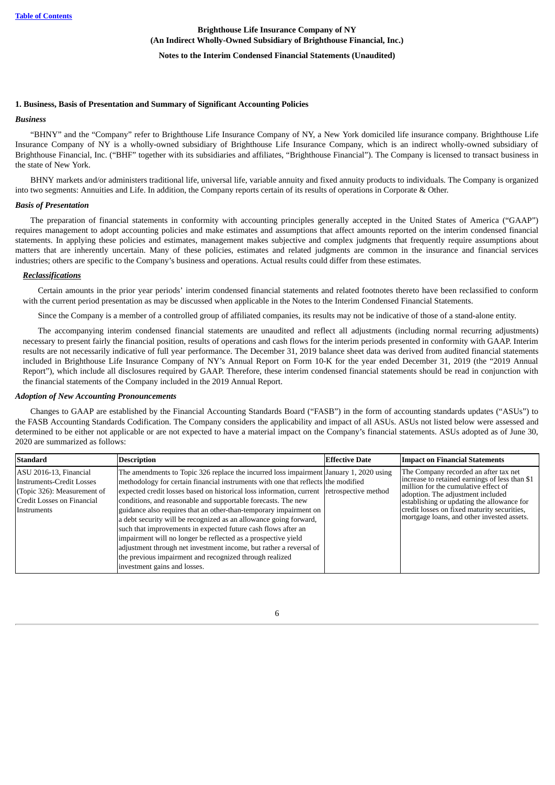## **Notes to the Interim Condensed Financial Statements (Unaudited)**

#### **1. Business, Basis of Presentation and Summary of Significant Accounting Policies**

#### <span id="page-6-0"></span>*Business*

"BHNY" and the "Company" refer to Brighthouse Life Insurance Company of NY, a New York domiciled life insurance company. Brighthouse Life Insurance Company of NY is a wholly-owned subsidiary of Brighthouse Life Insurance Company, which is an indirect wholly-owned subsidiary of Brighthouse Financial, Inc. ("BHF" together with its subsidiaries and affiliates, "Brighthouse Financial"). The Company is licensed to transact business in the state of New York.

BHNY markets and/or administers traditional life, universal life, variable annuity and fixed annuity products to individuals. The Company is organized into two segments: Annuities and Life. In addition, the Company reports certain of its results of operations in Corporate & Other.

#### *Basis of Presentation*

The preparation of financial statements in conformity with accounting principles generally accepted in the United States of America ("GAAP") requires management to adopt accounting policies and make estimates and assumptions that affect amounts reported on the interim condensed financial statements. In applying these policies and estimates, management makes subjective and complex judgments that frequently require assumptions about matters that are inherently uncertain. Many of these policies, estimates and related judgments are common in the insurance and financial services industries; others are specific to the Company's business and operations. Actual results could differ from these estimates.

#### *Reclassifications*

Certain amounts in the prior year periods' interim condensed financial statements and related footnotes thereto have been reclassified to conform with the current period presentation as may be discussed when applicable in the Notes to the Interim Condensed Financial Statements.

Since the Company is a member of a controlled group of affiliated companies, its results may not be indicative of those of a stand-alone entity.

The accompanying interim condensed financial statements are unaudited and reflect all adjustments (including normal recurring adjustments) necessary to present fairly the financial position, results of operations and cash flows for the interim periods presented in conformity with GAAP. Interim results are not necessarily indicative of full year performance. The December 31, 2019 balance sheet data was derived from audited financial statements included in Brighthouse Life Insurance Company of NY's Annual Report on Form 10-K for the year ended December 31, 2019 (the "2019 Annual Report"), which include all disclosures required by GAAP. Therefore, these interim condensed financial statements should be read in conjunction with the financial statements of the Company included in the 2019 Annual Report.

#### *Adoption of New Accounting Pronouncements*

Changes to GAAP are established by the Financial Accounting Standards Board ("FASB") in the form of accounting standards updates ("ASUs") to the FASB Accounting Standards Codification. The Company considers the applicability and impact of all ASUs. ASUs not listed below were assessed and determined to be either not applicable or are not expected to have a material impact on the Company's financial statements. ASUs adopted as of June 30, 2020 are summarized as follows:

| <b>Standard</b>                                                                                                                 | <b>Description</b>                                                                                                                                                                                                                                                                                                                                                                                                                                                                                                                                                                                                                                                                                                                                                                     | <b>Effective Date</b> | <b>Impact on Financial Statements</b>                                                                                                                                                                                                                                                                           |
|---------------------------------------------------------------------------------------------------------------------------------|----------------------------------------------------------------------------------------------------------------------------------------------------------------------------------------------------------------------------------------------------------------------------------------------------------------------------------------------------------------------------------------------------------------------------------------------------------------------------------------------------------------------------------------------------------------------------------------------------------------------------------------------------------------------------------------------------------------------------------------------------------------------------------------|-----------------------|-----------------------------------------------------------------------------------------------------------------------------------------------------------------------------------------------------------------------------------------------------------------------------------------------------------------|
| ASU 2016-13, Financial<br>Instruments-Credit Losses<br>(Topic 326): Measurement of<br>Credit Losses on Financial<br>Instruments | The amendments to Topic 326 replace the incurred loss impairment January 1, 2020 using<br>methodology for certain financial instruments with one that reflects the modified<br>expected credit losses based on historical loss information, current retrospective method<br>conditions, and reasonable and supportable forecasts. The new<br>guidance also requires that an other-than-temporary impairment on<br>a debt security will be recognized as an allowance going forward,<br>such that improvements in expected future cash flows after an<br>impairment will no longer be reflected as a prospective yield<br>adjustment through net investment income, but rather a reversal of<br>the previous impairment and recognized through realized<br>investment gains and losses. |                       | The Company recorded an after tax net<br>increase to retained earnings of less than \$1<br>million for the cumulative effect of<br>adoption. The adjustment included<br>establishing or updating the allowance for<br>credit losses on fixed maturity securities,<br>mortgage loans, and other invested assets. |

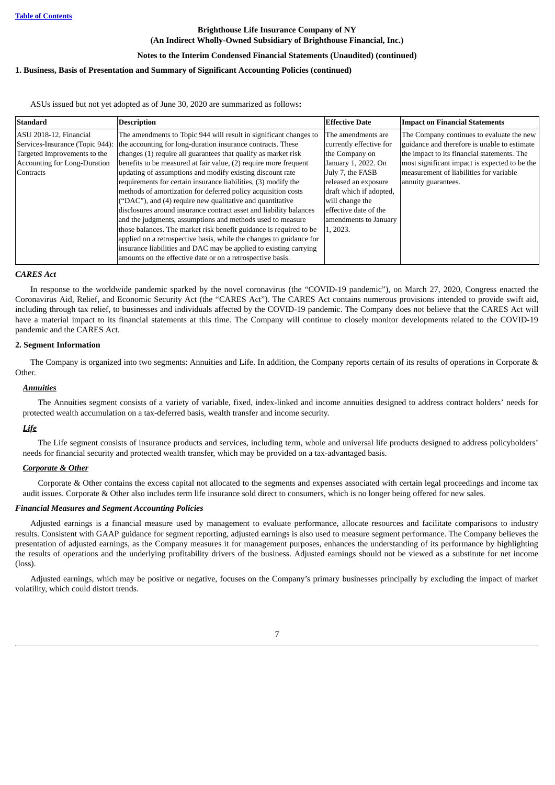## **Notes to the Interim Condensed Financial Statements (Unaudited) (continued)**

## **1. Business, Basis of Presentation and Summary of Significant Accounting Policies (continued)**

ASUs issued but not yet adopted as of June 30, 2020 are summarized as follows**:**

| <b>Standard</b>                     | <b>Description</b>                                                  | <b>Effective Date</b>   | <b>Impact on Financial Statements</b>         |
|-------------------------------------|---------------------------------------------------------------------|-------------------------|-----------------------------------------------|
| ASU 2018-12, Financial              | The amendments to Topic 944 will result in significant changes to   | The amendments are      | The Company continues to evaluate the new     |
| Services-Insurance (Topic 944):     | the accounting for long-duration insurance contracts. These         | currently effective for | guidance and therefore is unable to estimate  |
| Targeted Improvements to the        | changes (1) require all guarantees that qualify as market risk      | the Company on          | the impact to its financial statements. The   |
| <b>Accounting for Long-Duration</b> | benefits to be measured at fair value, (2) require more frequent    | January 1, 2022. On     | most significant impact is expected to be the |
| Contracts                           | updating of assumptions and modify existing discount rate           | July 7, the FASB        | measurement of liabilities for variable       |
|                                     | requirements for certain insurance liabilities, (3) modify the      | released an exposure    | annuity guarantees.                           |
|                                     | methods of amortization for deferred policy acquisition costs       | draft which if adopted, |                                               |
|                                     | ("DAC"), and (4) require new qualitative and quantitative           | will change the         |                                               |
|                                     | disclosures around insurance contract asset and liability balances  | effective date of the   |                                               |
|                                     | and the judgments, assumptions and methods used to measure          | amendments to January   |                                               |
|                                     | those balances. The market risk benefit guidance is required to be  | 1, 2023.                |                                               |
|                                     | applied on a retrospective basis, while the changes to guidance for |                         |                                               |
|                                     | insurance liabilities and DAC may be applied to existing carrying   |                         |                                               |
|                                     | amounts on the effective date or on a retrospective basis.          |                         |                                               |

#### *CARES Act*

In response to the worldwide pandemic sparked by the novel coronavirus (the "COVID-19 pandemic"), on March 27, 2020, Congress enacted the Coronavirus Aid, Relief, and Economic Security Act (the "CARES Act"). The CARES Act contains numerous provisions intended to provide swift aid, including through tax relief, to businesses and individuals affected by the COVID-19 pandemic. The Company does not believe that the CARES Act will have a material impact to its financial statements at this time. The Company will continue to closely monitor developments related to the COVID-19 pandemic and the CARES Act.

#### <span id="page-7-0"></span>**2. Segment Information**

The Company is organized into two segments: Annuities and Life. In addition, the Company reports certain of its results of operations in Corporate & Other.

### *Annuities*

The Annuities segment consists of a variety of variable, fixed, index-linked and income annuities designed to address contract holders' needs for protected wealth accumulation on a tax-deferred basis, wealth transfer and income security.

## *Life*

The Life segment consists of insurance products and services, including term, whole and universal life products designed to address policyholders' needs for financial security and protected wealth transfer, which may be provided on a tax-advantaged basis.

### *Corporate & Other*

Corporate & Other contains the excess capital not allocated to the segments and expenses associated with certain legal proceedings and income tax audit issues. Corporate & Other also includes term life insurance sold direct to consumers, which is no longer being offered for new sales.

### *Financial Measures and Segment Accounting Policies*

Adjusted earnings is a financial measure used by management to evaluate performance, allocate resources and facilitate comparisons to industry results. Consistent with GAAP guidance for segment reporting, adjusted earnings is also used to measure segment performance. The Company believes the presentation of adjusted earnings, as the Company measures it for management purposes, enhances the understanding of its performance by highlighting the results of operations and the underlying profitability drivers of the business. Adjusted earnings should not be viewed as a substitute for net income (loss).

Adjusted earnings, which may be positive or negative, focuses on the Company's primary businesses principally by excluding the impact of market volatility, which could distort trends.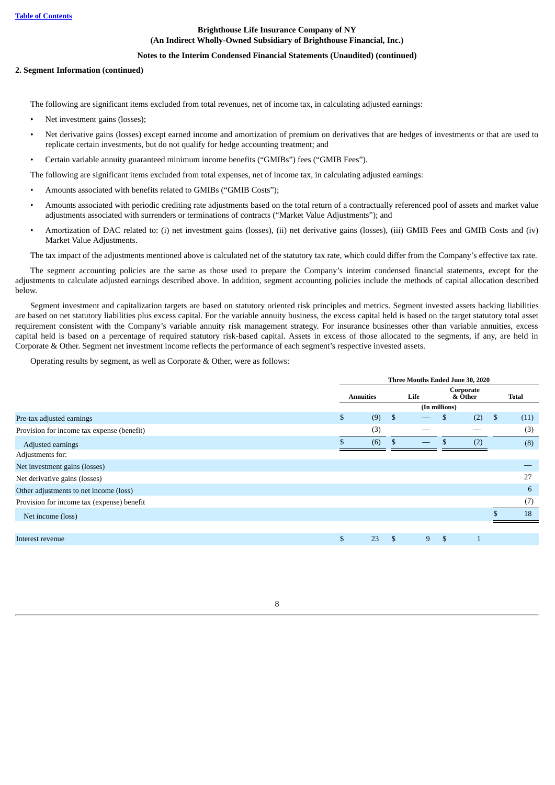### **Notes to the Interim Condensed Financial Statements (Unaudited) (continued)**

### **2. Segment Information (continued)**

The following are significant items excluded from total revenues, net of income tax, in calculating adjusted earnings:

- Net investment gains (losses);
- Net derivative gains (losses) except earned income and amortization of premium on derivatives that are hedges of investments or that are used to replicate certain investments, but do not qualify for hedge accounting treatment; and
- Certain variable annuity guaranteed minimum income benefits ("GMIBs") fees ("GMIB Fees").

The following are significant items excluded from total expenses, net of income tax, in calculating adjusted earnings:

- Amounts associated with benefits related to GMIBs ("GMIB Costs");
- Amounts associated with periodic crediting rate adjustments based on the total return of a contractually referenced pool of assets and market value adjustments associated with surrenders or terminations of contracts ("Market Value Adjustments"); and
- Amortization of DAC related to: (i) net investment gains (losses), (ii) net derivative gains (losses), (iii) GMIB Fees and GMIB Costs and (iv) Market Value Adjustments.

The tax impact of the adjustments mentioned above is calculated net of the statutory tax rate, which could differ from the Company's effective tax rate.

The segment accounting policies are the same as those used to prepare the Company's interim condensed financial statements, except for the adjustments to calculate adjusted earnings described above. In addition, segment accounting policies include the methods of capital allocation described below.

Segment investment and capitalization targets are based on statutory oriented risk principles and metrics. Segment invested assets backing liabilities are based on net statutory liabilities plus excess capital. For the variable annuity business, the excess capital held is based on the target statutory total asset requirement consistent with the Company's variable annuity risk management strategy. For insurance businesses other than variable annuities, excess capital held is based on a percentage of required statutory risk-based capital. Assets in excess of those allocated to the segments, if any, are held in Corporate & Other. Segment net investment income reflects the performance of each segment's respective invested assets.

Operating results by segment, as well as Corporate & Other, were as follows:

|                                            | Three Months Ended June 30, 2020 |     |      |   |                      |              |    |       |  |
|--------------------------------------------|----------------------------------|-----|------|---|----------------------|--------------|----|-------|--|
|                                            | <b>Annuities</b>                 |     | Life |   | Corporate<br>& Other |              |    | Total |  |
|                                            |                                  |     |      |   | (In millions)        |              |    |       |  |
| Pre-tax adjusted earnings                  | $\mathfrak{S}$                   | (9) | \$   |   | \$                   | (2)          | \$ | (11)  |  |
| Provision for income tax expense (benefit) |                                  | (3) |      |   |                      |              |    | (3)   |  |
| Adjusted earnings                          |                                  | (6) |      |   |                      | (2)          |    | (8)   |  |
| Adjustments for:                           |                                  |     |      |   |                      |              |    |       |  |
| Net investment gains (losses)              |                                  |     |      |   |                      |              |    |       |  |
| Net derivative gains (losses)              |                                  |     |      |   |                      |              |    | 27    |  |
| Other adjustments to net income (loss)     |                                  |     |      |   |                      |              |    | 6     |  |
| Provision for income tax (expense) benefit |                                  |     |      |   |                      |              |    | (7)   |  |
| Net income (loss)                          |                                  |     |      |   |                      |              |    | 18    |  |
|                                            |                                  |     |      |   |                      |              |    |       |  |
| Interest revenue                           | $\mathbf{s}$                     | 23  | S.   | 9 | $\mathfrak{L}$       | $\mathbf{1}$ |    |       |  |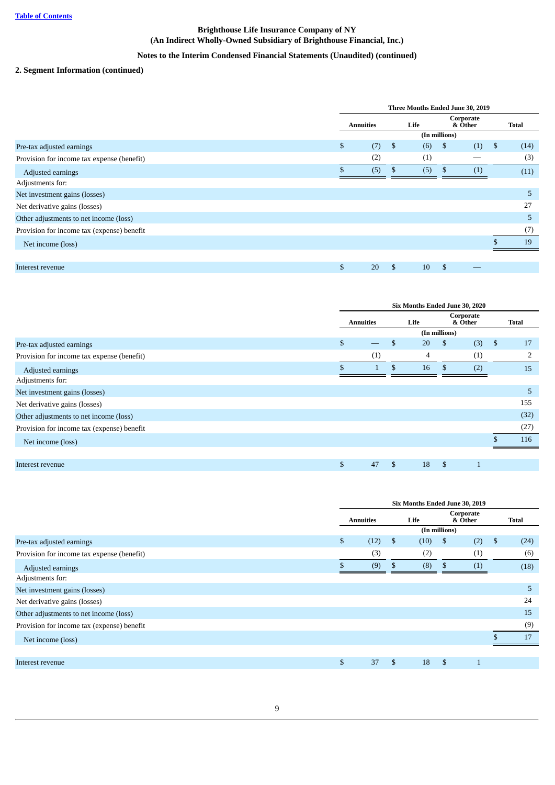## **Notes to the Interim Condensed Financial Statements (Unaudited) (continued)**

## **2. Segment Information (continued)**

|                                            | Three Months Ended June 30, 2019 |     |      |                      |     |    |              |  |
|--------------------------------------------|----------------------------------|-----|------|----------------------|-----|----|--------------|--|
|                                            | <b>Annuities</b>                 |     | Life | Corporate<br>& Other |     |    | <b>Total</b> |  |
|                                            |                                  |     |      | (In millions)        |     |    |              |  |
| Pre-tax adjusted earnings                  | \$<br>(7)                        | -\$ | (6)  | \$                   | (1) | \$ | (14)         |  |
| Provision for income tax expense (benefit) | (2)                              |     | (1)  |                      |     |    | (3)          |  |
| Adjusted earnings                          | (5)                              | Ъ.  | (5)  | -S                   | (1) |    | (11)         |  |
| Adjustments for:                           |                                  |     |      |                      |     |    |              |  |
| Net investment gains (losses)              |                                  |     |      |                      |     |    | 5            |  |
| Net derivative gains (losses)              |                                  |     |      |                      |     |    | 27           |  |
| Other adjustments to net income (loss)     |                                  |     |      |                      |     |    | 5            |  |
| Provision for income tax (expense) benefit |                                  |     |      |                      |     |    | (7)          |  |
| Net income (loss)                          |                                  |     |      |                      |     |    | 19           |  |
|                                            |                                  |     |      |                      |     |    |              |  |
| Interest revenue                           | \$<br>20                         | S   | 10   | \$                   |     |    |              |  |

|                                            |              | Six Months Ended June 30, 2020 |    |    |               |                      |      |              |  |  |
|--------------------------------------------|--------------|--------------------------------|----|----|---------------|----------------------|------|--------------|--|--|
|                                            |              | Life<br><b>Annuities</b>       |    |    |               | Corporate<br>& Other |      | <b>Total</b> |  |  |
|                                            |              |                                |    |    | (In millions) |                      |      |              |  |  |
| Pre-tax adjusted earnings                  | $\mathbb{S}$ |                                | S  | 20 | \$            | (3)                  | - \$ | 17           |  |  |
| Provision for income tax expense (benefit) |              | (1)                            |    | 4  |               | (1)                  |      | 2            |  |  |
| Adjusted earnings                          |              |                                | \$ | 16 |               | (2)                  |      | 15           |  |  |
| Adjustments for:                           |              |                                |    |    |               |                      |      |              |  |  |
| Net investment gains (losses)              |              |                                |    |    |               |                      |      | 5            |  |  |
| Net derivative gains (losses)              |              |                                |    |    |               |                      |      | 155          |  |  |
| Other adjustments to net income (loss)     |              |                                |    |    |               |                      |      | (32)         |  |  |
| Provision for income tax (expense) benefit |              |                                |    |    |               |                      |      | (27)         |  |  |
| Net income (loss)                          |              |                                |    |    |               |                      |      | 116          |  |  |
|                                            |              |                                |    |    |               |                      |      |              |  |  |
| Interest revenue                           | \$           | 47                             | S  | 18 | \$            |                      |      |              |  |  |

|                                            | Six Months Ended June 30, 2019 |      |    |      |    |                      |    |       |
|--------------------------------------------|--------------------------------|------|----|------|----|----------------------|----|-------|
|                                            | <b>Annuities</b>               |      |    | Life |    | Corporate<br>& Other |    | Total |
|                                            | (In millions)                  |      |    |      |    |                      |    |       |
| Pre-tax adjusted earnings                  | \$                             | (12) | \$ | (10) | \$ | (2)                  | \$ | (24)  |
| Provision for income tax expense (benefit) |                                | (3)  |    | (2)  |    | (1)                  |    | (6)   |
| Adjusted earnings                          |                                | (9)  | \$ | (8)  | \$ | (1)                  |    | (18)  |
| Adjustments for:                           |                                |      |    |      |    |                      |    |       |
| Net investment gains (losses)              |                                |      |    |      |    |                      |    | 5     |
| Net derivative gains (losses)              |                                |      |    |      |    |                      |    | 24    |
| Other adjustments to net income (loss)     |                                |      |    |      |    |                      |    | 15    |
| Provision for income tax (expense) benefit |                                |      |    |      |    |                      |    | (9)   |
| Net income (loss)                          |                                |      |    |      |    |                      |    | 17    |
|                                            |                                |      |    |      |    |                      |    |       |
| Interest revenue                           | \$                             | 37   | \$ | 18   | \$ |                      |    |       |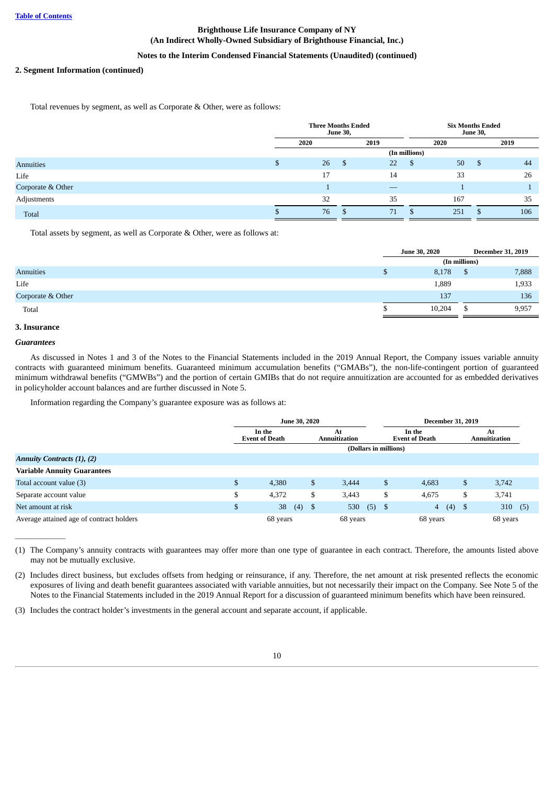## **Notes to the Interim Condensed Financial Statements (Unaudited) (continued)**

### **2. Segment Information (continued)**

Total revenues by segment, as well as Corporate & Other, were as follows:

|                   |   | <b>Three Months Ended</b> | <b>June 30,</b> |      |               | <b>Six Months Ended</b> | <b>June 30,</b> |      |
|-------------------|---|---------------------------|-----------------|------|---------------|-------------------------|-----------------|------|
|                   |   | 2020                      |                 | 2019 |               | 2020                    |                 | 2019 |
|                   |   |                           |                 |      | (In millions) |                         |                 |      |
| Annuities         | D | 26                        | - \$            | 22   | S,            | 50                      | - \$            | 44   |
| Life              |   | 17                        |                 | 14   |               | 33                      |                 | 26   |
| Corporate & Other |   |                           |                 |      |               |                         |                 |      |
| Adjustments       |   | 32                        |                 | 35   |               | 167                     |                 | 35   |
| Total             |   | 76                        | -S              | 71   |               | 251                     | ß.              | 106  |

Total assets by segment, as well as Corporate & Other, were as follows at:

|                   |   | <b>June 30, 2020</b> |    | <b>December 31, 2019</b> |  |  |  |  |
|-------------------|---|----------------------|----|--------------------------|--|--|--|--|
|                   |   | (In millions)        |    |                          |  |  |  |  |
| Annuities         | D | 8,178                | ъ  | 7,888                    |  |  |  |  |
| Life              |   | 1,889                |    | 1,933                    |  |  |  |  |
| Corporate & Other |   | 137                  |    | 136                      |  |  |  |  |
| Total             |   | 10,204               | ð. | 9,957                    |  |  |  |  |

## <span id="page-10-0"></span>**3. Insurance**

## *Guarantees*

 $\overline{\phantom{a}}$ 

As discussed in Notes 1 and 3 of the Notes to the Financial Statements included in the 2019 Annual Report, the Company issues variable annuity contracts with guaranteed minimum benefits. Guaranteed minimum accumulation benefits ("GMABs"), the non-life-contingent portion of guaranteed minimum withdrawal benefits ("GMWBs") and the portion of certain GMIBs that do not require annuitization are accounted for as embedded derivatives in policyholder account balances and are further discussed in Note 5.

Information regarding the Company's guarantee exposure was as follows at:

|                                          |    | <b>June 30, 2020</b>            |      |                            | <b>December 31, 2019</b>        |                            |
|------------------------------------------|----|---------------------------------|------|----------------------------|---------------------------------|----------------------------|
|                                          |    | In the<br><b>Event of Death</b> |      | At<br><b>Annuitization</b> | In the<br><b>Event of Death</b> | At<br><b>Annuitization</b> |
|                                          |    |                                 |      | (Dollars in millions)      |                                 |                            |
| <b>Annuity Contracts (1), (2)</b>        |    |                                 |      |                            |                                 |                            |
| <b>Variable Annuity Guarantees</b>       |    |                                 |      |                            |                                 |                            |
| Total account value (3)                  | \$ | 4,380                           | \$   | 3.444                      | \$<br>4,683                     | \$<br>3,742                |
| Separate account value                   | D  | 4,372                           | \$   | 3,443                      | \$<br>4,675                     | \$<br>3,741                |
| Net amount at risk                       | \$ | 38<br>(4)                       | - \$ | $(5)$ \$<br>530            | $(4)$ \$<br>$\overline{4}$      | 310<br>(5)                 |
| Average attained age of contract holders |    | 68 years                        |      | 68 years                   | 68 years                        | 68 years                   |

(1) The Company's annuity contracts with guarantees may offer more than one type of guarantee in each contract. Therefore, the amounts listed above may not be mutually exclusive.

(2) Includes direct business, but excludes offsets from hedging or reinsurance, if any. Therefore, the net amount at risk presented reflects the economic exposures of living and death benefit guarantees associated with variable annuities, but not necessarily their impact on the Company. See Note 5 of the Notes to the Financial Statements included in the 2019 Annual Report for a discussion of guaranteed minimum benefits which have been reinsured.

(3) Includes the contract holder's investments in the general account and separate account, if applicable.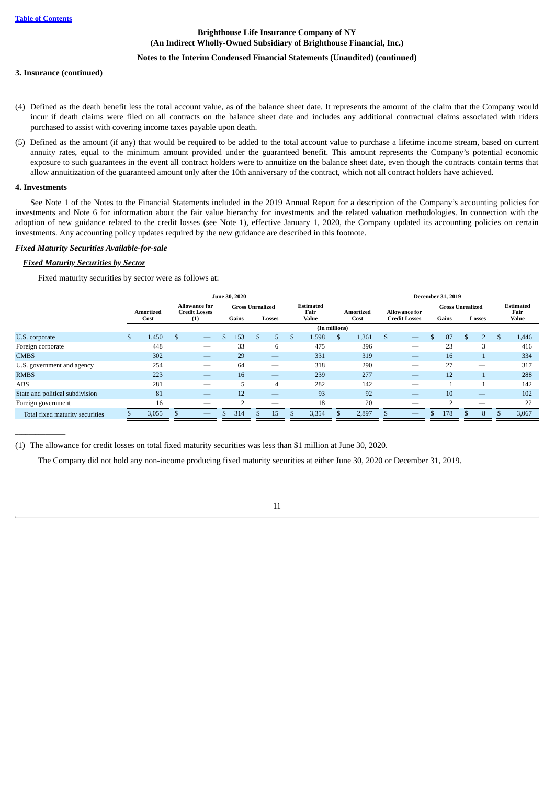### **Notes to the Interim Condensed Financial Statements (Unaudited) (continued)**

#### **3. Insurance (continued)**

- (4) Defined as the death benefit less the total account value, as of the balance sheet date. It represents the amount of the claim that the Company would incur if death claims were filed on all contracts on the balance sheet date and includes any additional contractual claims associated with riders purchased to assist with covering income taxes payable upon death.
- (5) Defined as the amount (if any) that would be required to be added to the total account value to purchase a lifetime income stream, based on current annuity rates, equal to the minimum amount provided under the guaranteed benefit. This amount represents the Company's potential economic exposure to such guarantees in the event all contract holders were to annuitize on the balance sheet date, even though the contracts contain terms that allow annuitization of the guaranteed amount only after the 10th anniversary of the contract, which not all contract holders have achieved.

### <span id="page-11-0"></span>**4. Investments**

 $\overline{\phantom{a}}$ 

See Note 1 of the Notes to the Financial Statements included in the 2019 Annual Report for a description of the Company's accounting policies for investments and Note 6 for information about the fair value hierarchy for investments and the related valuation methodologies. In connection with the adoption of new guidance related to the credit losses (see Note 1), effective January 1, 2020, the Company updated its accounting policies on certain investments. Any accounting policy updates required by the new guidance are described in this footnote.

#### *Fixed Maturity Securities Available-for-sale*

### *Fixed Maturity Securities by Sector*

Fixed maturity securities by sector were as follows at:

|                                 |    |           |   |                                              | June 30, 2020           |         |   |                          |    |                  |          |                          | <b>December 31, 2019</b> |     |                          |     |                          |
|---------------------------------|----|-----------|---|----------------------------------------------|-------------------------|---------|---|--------------------------|----|------------------|----------|--------------------------|--------------------------|-----|--------------------------|-----|--------------------------|
|                                 |    | Amortized |   | <b>Allowance for</b><br><b>Credit Losses</b> | <b>Gross Unrealized</b> |         |   | <b>Estimated</b><br>Fair |    | <b>Amortized</b> |          | <b>Allowance for</b>     | <b>Gross Unrealized</b>  |     |                          |     | <b>Estimated</b><br>Fair |
|                                 |    | Cost      |   | (1)                                          | Gains                   | Losses  |   | Value                    |    | Cost             |          | <b>Credit Losses</b>     | Gains                    |     | Losses                   |     | Value                    |
|                                 |    |           |   |                                              |                         |         |   | (In millions)            |    |                  |          |                          |                          |     |                          |     |                          |
| U.S. corporate                  | S. | 1,450     | S | $\qquad \qquad -$                            | \$<br>153               | \$<br>Ь | S | 1,598                    | S. | 1,361            | <b>S</b> | $\overline{\phantom{m}}$ | 87                       | \$. |                          | Эħ. | 1,446                    |
| Foreign corporate               |    | 448       |   |                                              | 33                      | 6       |   | 475                      |    | 396              |          |                          | 23                       |     | 3                        |     | 416                      |
| <b>CMBS</b>                     |    | 302       |   |                                              | 29                      |         |   | 331                      |    | 319              |          |                          | 16                       |     |                          |     | 334                      |
| U.S. government and agency      |    | 254       |   |                                              | 64                      |         |   | 318                      |    | 290              |          |                          | 27                       |     |                          |     | 317                      |
| <b>RMBS</b>                     |    | 223       |   |                                              | 16                      |         |   | 239                      |    | 277              |          |                          | 12                       |     |                          |     | 288                      |
| ABS                             |    | 281       |   | —                                            | Ъ                       | 4       |   | 282                      |    | 142              |          | __                       |                          |     |                          |     | 142                      |
| State and political subdivision |    | 81        |   |                                              | 12                      |         |   | 93                       |    | 92               |          | $\qquad \qquad -$        | 10                       |     | $\overline{\phantom{m}}$ |     | 102                      |
| Foreign government              |    | 16        |   |                                              |                         |         |   | 18                       |    | 20               |          |                          |                          |     |                          |     | 22                       |
| Total fixed maturity securities |    | 3,055     |   | $\overline{\phantom{0}}$                     | 314                     | 15      |   | 3,354                    |    | 2,897            |          |                          | 178                      |     | 8                        |     | 3,067                    |
|                                 |    |           |   |                                              |                         |         |   |                          |    |                  |          |                          |                          |     |                          |     |                          |

(1) The allowance for credit losses on total fixed maturity securities was less than \$1 million at June 30, 2020.

The Company did not hold any non-income producing fixed maturity securities at either June 30, 2020 or December 31, 2019.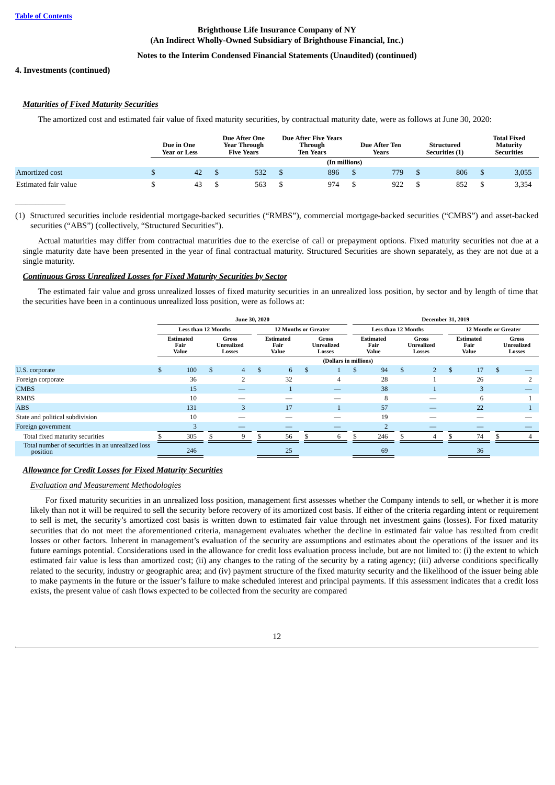$\overline{\phantom{a}}$ 

## **Brighthouse Life Insurance Company of NY (An Indirect Wholly-Owned Subsidiary of Brighthouse Financial, Inc.)**

## **Notes to the Interim Condensed Financial Statements (Unaudited) (continued)**

## **4. Investments (continued)**

## *Maturities of Fixed Maturity Securities*

The amortized cost and estimated fair value of fixed maturity securities, by contractual maturity date, were as follows at June 30, 2020:

|                      | Due in One<br><b>Year or Less</b> | Due After One<br>Year Through<br><b>Five Years</b> |  | Due After Five Years<br>Through<br><b>Ten Years</b> | <b>Due After Ten</b><br>Years | <b>Structured</b><br><b>Securities</b> (1) | <b>Total Fixed</b><br><b>Maturity</b><br><b>Securities</b> |
|----------------------|-----------------------------------|----------------------------------------------------|--|-----------------------------------------------------|-------------------------------|--------------------------------------------|------------------------------------------------------------|
|                      |                                   |                                                    |  | (In millions)                                       |                               |                                            |                                                            |
| Amortized cost       | 42                                | 532                                                |  | 896                                                 | 779                           | 806                                        | 3,055                                                      |
| Estimated fair value | 43                                | 563                                                |  | 974                                                 | 922                           | 852                                        | 3,354                                                      |

(1) Structured securities include residential mortgage-backed securities ("RMBS"), commercial mortgage-backed securities ("CMBS") and asset-backed securities ("ABS") (collectively, "Structured Securities").

Actual maturities may differ from contractual maturities due to the exercise of call or prepayment options. Fixed maturity securities not due at a single maturity date have been presented in the year of final contractual maturity. Structured Securities are shown separately, as they are not due at a single maturity.

## *Continuous Gross Unrealized Losses for Fixed Maturity Securities by Sector*

The estimated fair value and gross unrealized losses of fixed maturity securities in an unrealized loss position, by sector and by length of time that the securities have been in a continuous unrealized loss position, were as follows at:

|                                                              |    |                                   | June 30, 2020                               |                |                                   | <b>December 31, 2019</b> |                                      |                       |                                                    |                                   |                               |  |                                   |    |     |                                      |  |
|--------------------------------------------------------------|----|-----------------------------------|---------------------------------------------|----------------|-----------------------------------|--------------------------|--------------------------------------|-----------------------|----------------------------------------------------|-----------------------------------|-------------------------------|--|-----------------------------------|----|-----|--------------------------------------|--|
|                                                              |    | <b>Less than 12 Months</b>        |                                             |                |                                   | 12 Months or Greater     |                                      |                       | <b>Less than 12 Months</b><br>12 Months or Greater |                                   |                               |  |                                   |    |     |                                      |  |
|                                                              |    | <b>Estimated</b><br>Fair<br>Value | <b>Gross</b><br><b>Unrealized</b><br>Losses |                | <b>Estimated</b><br>Fair<br>Value |                          | Gross<br><b>Unrealized</b><br>Losses |                       |                                                    | <b>Estimated</b><br>Fair<br>Value | Gross<br>Unrealized<br>Losses |  | <b>Estimated</b><br>Fair<br>Value |    |     | Gross<br><b>Unrealized</b><br>Losses |  |
|                                                              |    |                                   |                                             |                |                                   |                          |                                      | (Dollars in millions) |                                                    |                                   |                               |  |                                   |    |     |                                      |  |
| U.S. corporate                                               | £. | 100                               | \$.                                         | 4              | \$.                               | 6                        | \$.                                  |                       | \$                                                 | 94                                | \$                            |  | \$.                               | 17 | \$. |                                      |  |
| Foreign corporate                                            |    | 36                                |                                             | $\overline{2}$ |                                   | 32                       |                                      | 4                     |                                                    | 28                                |                               |  |                                   | 26 |     |                                      |  |
| <b>CMBS</b>                                                  |    | 15                                |                                             | –              |                                   |                          |                                      |                       |                                                    | 38                                |                               |  |                                   | 3  |     |                                      |  |
| <b>RMBS</b>                                                  |    | 10                                |                                             |                |                                   |                          |                                      |                       |                                                    | 8                                 |                               |  |                                   | 6  |     |                                      |  |
| <b>ABS</b>                                                   |    | 131                               |                                             | 3              |                                   | 17                       |                                      |                       |                                                    | 57                                |                               |  |                                   | 22 |     |                                      |  |
| State and political subdivision                              |    | 10                                |                                             |                |                                   |                          |                                      |                       |                                                    | 19                                |                               |  |                                   |    |     |                                      |  |
| Foreign government                                           |    |                                   |                                             | __             |                                   |                          |                                      |                       |                                                    |                                   |                               |  |                                   |    |     |                                      |  |
| Total fixed maturity securities                              |    | 305                               |                                             | 9              |                                   | 56                       |                                      | 6                     |                                                    | 246                               |                               |  |                                   | 74 |     |                                      |  |
| Total number of securities in an unrealized loss<br>position |    | 246                               |                                             |                |                                   | 25                       |                                      |                       |                                                    | 69                                |                               |  |                                   | 36 |     |                                      |  |

## *Allowance for Credit Losses for Fixed Maturity Securities*

## *Evaluation and Measurement Methodologies*

For fixed maturity securities in an unrealized loss position, management first assesses whether the Company intends to sell, or whether it is more likely than not it will be required to sell the security before recovery of its amortized cost basis. If either of the criteria regarding intent or requirement to sell is met, the security's amortized cost basis is written down to estimated fair value through net investment gains (losses). For fixed maturity securities that do not meet the aforementioned criteria, management evaluates whether the decline in estimated fair value has resulted from credit losses or other factors. Inherent in management's evaluation of the security are assumptions and estimates about the operations of the issuer and its future earnings potential. Considerations used in the allowance for credit loss evaluation process include, but are not limited to: (i) the extent to which estimated fair value is less than amortized cost; (ii) any changes to the rating of the security by a rating agency; (iii) adverse conditions specifically related to the security, industry or geographic area; and (iv) payment structure of the fixed maturity security and the likelihood of the issuer being able to make payments in the future or the issuer's failure to make scheduled interest and principal payments. If this assessment indicates that a credit loss exists, the present value of cash flows expected to be collected from the security are compared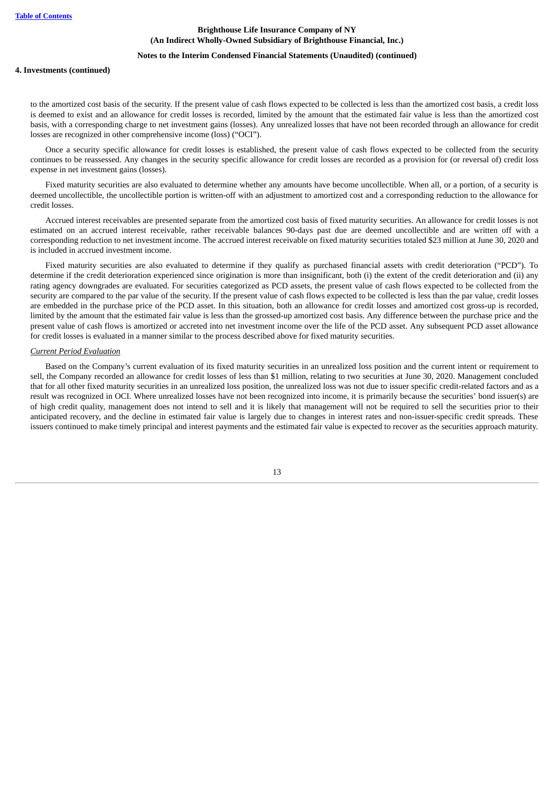#### **Notes to the Interim Condensed Financial Statements (Unaudited) (continued)**

#### **4. Investments (continued)**

to the amortized cost basis of the security. If the present value of cash flows expected to be collected is less than the amortized cost basis, a credit loss is deemed to exist and an allowance for credit losses is recorded, limited by the amount that the estimated fair value is less than the amortized cost basis, with a corresponding charge to net investment gains (losses). Any unrealized losses that have not been recorded through an allowance for credit losses are recognized in other comprehensive income (loss) ("OCI").

Once a security specific allowance for credit losses is established, the present value of cash flows expected to be collected from the security continues to be reassessed. Any changes in the security specific allowance for credit losses are recorded as a provision for (or reversal of) credit loss expense in net investment gains (losses).

Fixed maturity securities are also evaluated to determine whether any amounts have become uncollectible. When all, or a portion, of a security is deemed uncollectible, the uncollectible portion is written-off with an adjustment to amortized cost and a corresponding reduction to the allowance for credit losses.

Accrued interest receivables are presented separate from the amortized cost basis of fixed maturity securities. An allowance for credit losses is not estimated on an accrued interest receivable, rather receivable balances 90-days past due are deemed uncollectible and are written off with a corresponding reduction to net investment income. The accrued interest receivable on fixed maturity securities totaled \$23 million at June 30, 2020 and is included in accrued investment income.

Fixed maturity securities are also evaluated to determine if they qualify as purchased financial assets with credit deterioration ("PCD"). To determine if the credit deterioration experienced since origination is more than insignificant, both (i) the extent of the credit deterioration and (ii) any rating agency downgrades are evaluated. For securities categorized as PCD assets, the present value of cash flows expected to be collected from the security are compared to the par value of the security. If the present value of cash flows expected to be collected is less than the par value, credit losses are embedded in the purchase price of the PCD asset. In this situation, both an allowance for credit losses and amortized cost gross-up is recorded, limited by the amount that the estimated fair value is less than the grossed-up amortized cost basis. Any difference between the purchase price and the present value of cash flows is amortized or accreted into net investment income over the life of the PCD asset. Any subsequent PCD asset allowance for credit losses is evaluated in a manner similar to the process described above for fixed maturity securities.

#### *Current Period Evaluation*

Based on the Company's current evaluation of its fixed maturity securities in an unrealized loss position and the current intent or requirement to sell, the Company recorded an allowance for credit losses of less than \$1 million, relating to two securities at June 30, 2020. Management concluded that for all other fixed maturity securities in an unrealized loss position, the unrealized loss was not due to issuer specific credit-related factors and as a result was recognized in OCI. Where unrealized losses have not been recognized into income, it is primarily because the securities' bond issuer(s) are of high credit quality, management does not intend to sell and it is likely that management will not be required to sell the securities prior to their anticipated recovery, and the decline in estimated fair value is largely due to changes in interest rates and non-issuer-specific credit spreads. These issuers continued to make timely principal and interest payments and the estimated fair value is expected to recover as the securities approach maturity.

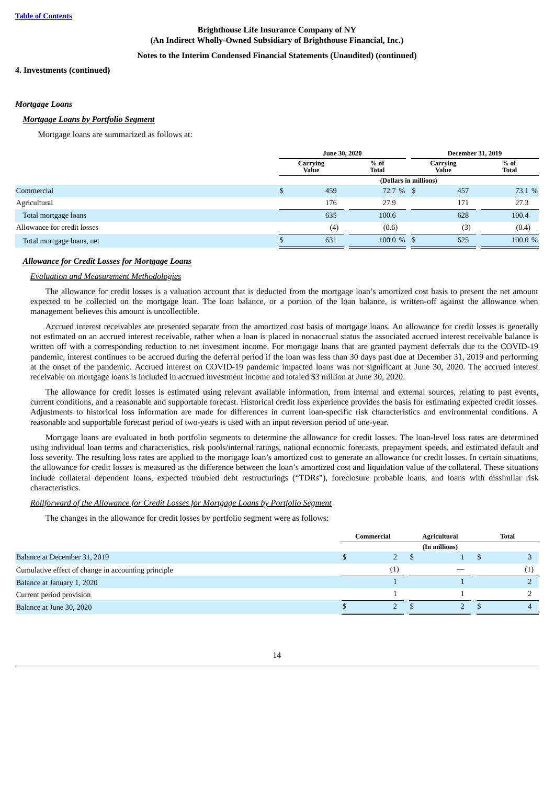## **Notes to the Interim Condensed Financial Statements (Unaudited) (continued)**

#### **4. Investments (continued)**

#### *Mortgage Loans*

#### *Mortgage Loans by Portfolio Segment*

Mortgage loans are summarized as follows at:

|                             |   | June 30, 2020     |                       | <b>December 31, 2019</b> |                        |  |  |
|-----------------------------|---|-------------------|-----------------------|--------------------------|------------------------|--|--|
|                             |   | Carrying<br>Value | $%$ of<br>Total       | Carrying<br><b>Value</b> | $%$ of<br><b>Total</b> |  |  |
|                             |   |                   | (Dollars in millions) |                          |                        |  |  |
| Commercial                  | D | 459               | 72.7 % \$             | 457                      | 73.1 %                 |  |  |
| Agricultural                |   | 176               | 27.9                  | 171                      | 27.3                   |  |  |
| Total mortgage loans        |   | 635               | 100.6                 | 628                      | 100.4                  |  |  |
| Allowance for credit losses |   | (4)               | (0.6)                 | (3)                      | (0.4)                  |  |  |
| Total mortgage loans, net   |   | 631               | $100.0 \%$ \$         | 625                      | 100.0 %                |  |  |
|                             |   |                   |                       |                          |                        |  |  |

## *Allowance for Credit Losses for Mortgage Loans*

## *Evaluation and Measurement Methodologies*

The allowance for credit losses is a valuation account that is deducted from the mortgage loan's amortized cost basis to present the net amount expected to be collected on the mortgage loan. The loan balance, or a portion of the loan balance, is written-off against the allowance when management believes this amount is uncollectible.

Accrued interest receivables are presented separate from the amortized cost basis of mortgage loans. An allowance for credit losses is generally not estimated on an accrued interest receivable, rather when a loan is placed in nonaccrual status the associated accrued interest receivable balance is written off with a corresponding reduction to net investment income. For mortgage loans that are granted payment deferrals due to the COVID-19 pandemic, interest continues to be accrued during the deferral period if the loan was less than 30 days past due at December 31, 2019 and performing at the onset of the pandemic. Accrued interest on COVID-19 pandemic impacted loans was not significant at June 30, 2020. The accrued interest receivable on mortgage loans is included in accrued investment income and totaled \$3 million at June 30, 2020.

The allowance for credit losses is estimated using relevant available information, from internal and external sources, relating to past events, current conditions, and a reasonable and supportable forecast. Historical credit loss experience provides the basis for estimating expected credit losses. Adjustments to historical loss information are made for differences in current loan-specific risk characteristics and environmental conditions. A reasonable and supportable forecast period of two-years is used with an input reversion period of one-year.

Mortgage loans are evaluated in both portfolio segments to determine the allowance for credit losses. The loan-level loss rates are determined using individual loan terms and characteristics, risk pools/internal ratings, national economic forecasts, prepayment speeds, and estimated default and loss severity. The resulting loss rates are applied to the mortgage loan's amortized cost to generate an allowance for credit losses. In certain situations, the allowance for credit losses is measured as the difference between the loan's amortized cost and liquidation value of the collateral. These situations include collateral dependent loans, expected troubled debt restructurings ("TDRs"), foreclosure probable loans, and loans with dissimilar risk characteristics.

### *Rollforward of the Allowance for Credit Losses for Mortgage Loans by Portfolio Segment*

The changes in the allowance for credit losses by portfolio segment were as follows:

|                                                     | Commercial |                     | <b>Agricultural</b> |  | Total |
|-----------------------------------------------------|------------|---------------------|---------------------|--|-------|
|                                                     |            |                     | (In millions)       |  |       |
| Balance at December 31, 2019                        |            |                     |                     |  |       |
| Cumulative effect of change in accounting principle |            | $\scriptstyle{(1)}$ |                     |  | (1)   |
| Balance at January 1, 2020                          |            |                     |                     |  |       |
| Current period provision                            |            |                     |                     |  |       |
| Balance at June 30, 2020                            |            |                     |                     |  |       |
|                                                     |            |                     |                     |  |       |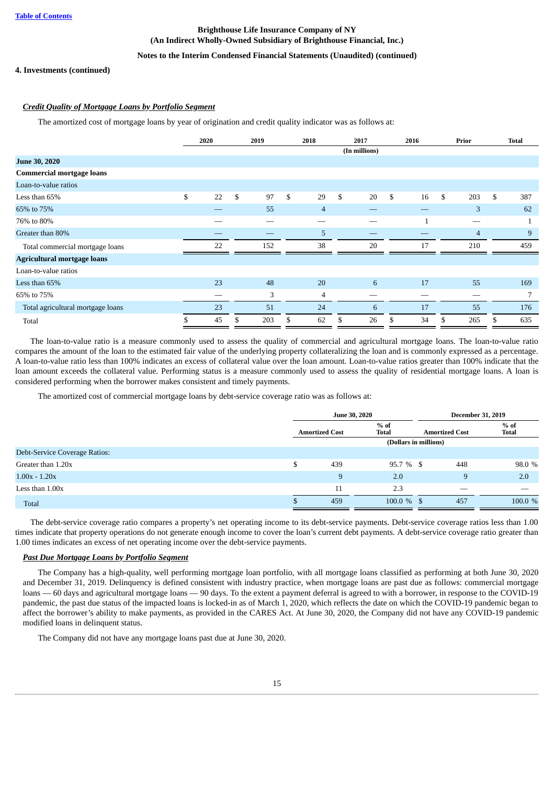## **Notes to the Interim Condensed Financial Statements (Unaudited) (continued)**

### **4. Investments (continued)**

## *Credit Quality of Mortgage Loans by Portfolio Segment*

The amortized cost of mortgage loans by year of origination and credit quality indicator was as follows at:

|                                    | 2020     |    | 2019 |    | 2018 |    | 2017          | 2016 |    | Prior |                | <b>Total</b> |
|------------------------------------|----------|----|------|----|------|----|---------------|------|----|-------|----------------|--------------|
|                                    |          |    |      |    |      |    | (In millions) |      |    |       |                |              |
| <b>June 30, 2020</b>               |          |    |      |    |      |    |               |      |    |       |                |              |
| <b>Commercial mortgage loans</b>   |          |    |      |    |      |    |               |      |    |       |                |              |
| Loan-to-value ratios               |          |    |      |    |      |    |               |      |    |       |                |              |
| Less than 65%                      | \$<br>22 | \$ | 97   | \$ | 29   | \$ | 20            | \$   | 16 | \$    | 203            | \$<br>387    |
| 65% to 75%                         |          |    | 55   |    | 4    |    |               |      |    |       | 3              | 62           |
| 76% to 80%                         |          |    |      |    |      |    |               |      | 1  |       |                |              |
| Greater than 80%                   |          |    |      |    | 5    |    |               |      |    |       | $\overline{4}$ | 9            |
| Total commercial mortgage loans    | 22       |    | 152  |    | 38   |    | 20            |      | 17 |       | 210            | 459          |
| <b>Agricultural mortgage loans</b> |          |    |      |    |      |    |               |      |    |       |                |              |
| Loan-to-value ratios               |          |    |      |    |      |    |               |      |    |       |                |              |
| Less than 65%                      | 23       |    | 48   |    | 20   |    | 6             |      | 17 |       | 55             | 169          |
| 65% to 75%                         |          |    | 3    |    | 4    |    | __            |      |    |       |                | 7            |
| Total agricultural mortgage loans  | 23       |    | 51   |    | 24   |    | 6             |      | 17 |       | 55             | 176          |
| Total                              | \$<br>45 | \$ | 203  | \$ | 62   | S  | 26            | \$   | 34 | \$    | 265            | \$<br>635    |

The loan-to-value ratio is a measure commonly used to assess the quality of commercial and agricultural mortgage loans. The loan-to-value ratio compares the amount of the loan to the estimated fair value of the underlying property collateralizing the loan and is commonly expressed as a percentage. A loan-to-value ratio less than 100% indicates an excess of collateral value over the loan amount. Loan-to-value ratios greater than 100% indicate that the loan amount exceeds the collateral value. Performing status is a measure commonly used to assess the quality of residential mortgage loans. A loan is considered performing when the borrower makes consistent and timely payments.

The amortized cost of commercial mortgage loans by debt-service coverage ratio was as follows at:

|                               |                       | <b>June 30, 2020</b>   |                       | <b>December 31, 2019</b> |
|-------------------------------|-----------------------|------------------------|-----------------------|--------------------------|
|                               | <b>Amortized Cost</b> | $%$ of<br><b>Total</b> | <b>Amortized Cost</b> | $%$ of<br><b>Total</b>   |
|                               |                       | (Dollars in millions)  |                       |                          |
| Debt-Service Coverage Ratios: |                       |                        |                       |                          |
| Greater than 1.20x            | \$<br>439             | $95.7 \%$ \$           | 448                   | 98.0 %                   |
| $1.00x - 1.20x$               | 9                     | 2.0                    | 9                     | 2.0                      |
| Less than $1.00x$             | 11                    | 2.3                    | __                    | __                       |
| Total                         | 459                   | $100.0 \%$ \$          | 457                   | 100.0 %                  |

The debt-service coverage ratio compares a property's net operating income to its debt-service payments. Debt-service coverage ratios less than 1.00 times indicate that property operations do not generate enough income to cover the loan's current debt payments. A debt-service coverage ratio greater than 1.00 times indicates an excess of net operating income over the debt-service payments.

### *Past Due Mortgage Loans by Portfolio Segment*

The Company has a high-quality, well performing mortgage loan portfolio, with all mortgage loans classified as performing at both June 30, 2020 and December 31, 2019. Delinquency is defined consistent with industry practice, when mortgage loans are past due as follows: commercial mortgage loans — 60 days and agricultural mortgage loans — 90 days. To the extent a payment deferral is agreed to with a borrower, in response to the COVID-19 pandemic, the past due status of the impacted loans is locked-in as of March 1, 2020, which reflects the date on which the COVID-19 pandemic began to affect the borrower's ability to make payments, as provided in the CARES Act. At June 30, 2020, the Company did not have any COVID-19 pandemic modified loans in delinquent status.

The Company did not have any mortgage loans past due at June 30, 2020.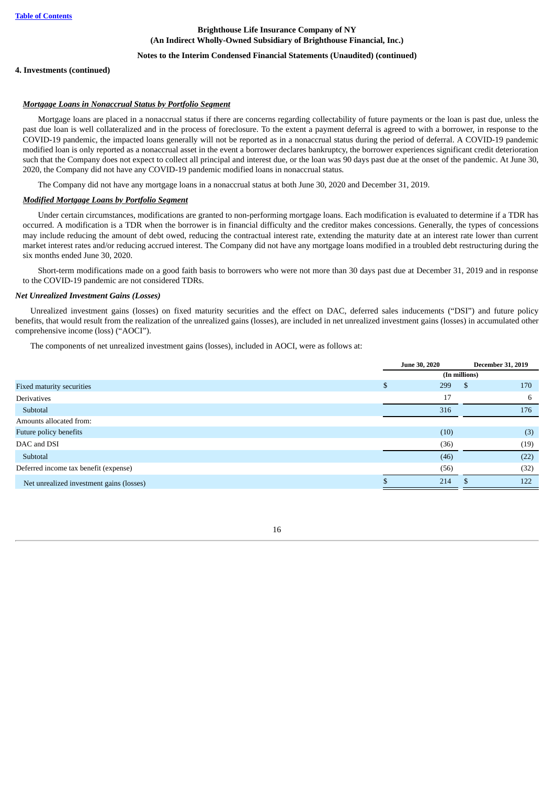### **Notes to the Interim Condensed Financial Statements (Unaudited) (continued)**

#### **4. Investments (continued)**

### *Mortgage Loans in Nonaccrual Status by Portfolio Segment*

Mortgage loans are placed in a nonaccrual status if there are concerns regarding collectability of future payments or the loan is past due, unless the past due loan is well collateralized and in the process of foreclosure. To the extent a payment deferral is agreed to with a borrower, in response to the COVID-19 pandemic, the impacted loans generally will not be reported as in a nonaccrual status during the period of deferral. A COVID-19 pandemic modified loan is only reported as a nonaccrual asset in the event a borrower declares bankruptcy, the borrower experiences significant credit deterioration such that the Company does not expect to collect all principal and interest due, or the loan was 90 days past due at the onset of the pandemic. At June 30, 2020, the Company did not have any COVID-19 pandemic modified loans in nonaccrual status.

The Company did not have any mortgage loans in a nonaccrual status at both June 30, 2020 and December 31, 2019.

#### *Modified Mortgage Loans by Portfolio Segment*

Under certain circumstances, modifications are granted to non-performing mortgage loans. Each modification is evaluated to determine if a TDR has occurred. A modification is a TDR when the borrower is in financial difficulty and the creditor makes concessions. Generally, the types of concessions may include reducing the amount of debt owed, reducing the contractual interest rate, extending the maturity date at an interest rate lower than current market interest rates and/or reducing accrued interest. The Company did not have any mortgage loans modified in a troubled debt restructuring during the six months ended June 30, 2020.

Short-term modifications made on a good faith basis to borrowers who were not more than 30 days past due at December 31, 2019 and in response to the COVID-19 pandemic are not considered TDRs.

#### *Net Unrealized Investment Gains (Losses)*

Unrealized investment gains (losses) on fixed maturity securities and the effect on DAC, deferred sales inducements ("DSI") and future policy benefits, that would result from the realization of the unrealized gains (losses), are included in net unrealized investment gains (losses) in accumulated other comprehensive income (loss) ("AOCI").

The components of net unrealized investment gains (losses), included in AOCI, were as follows at:

|                                          |   | <b>June 30, 2020</b> | <b>December 31, 2019</b> |      |
|------------------------------------------|---|----------------------|--------------------------|------|
|                                          |   |                      | (In millions)            |      |
| Fixed maturity securities                | Ф | 299                  | \$                       | 170  |
| <b>Derivatives</b>                       |   | 17                   |                          | 6    |
| Subtotal                                 |   | 316                  |                          | 176  |
| Amounts allocated from:                  |   |                      |                          |      |
| Future policy benefits                   |   | (10)                 |                          | (3)  |
| DAC and DSI                              |   | (36)                 |                          | (19) |
| Subtotal                                 |   | (46)                 |                          | (22) |
| Deferred income tax benefit (expense)    |   | (56)                 |                          | (32) |
| Net unrealized investment gains (losses) |   | 214                  | S                        | 122  |
|                                          |   |                      |                          |      |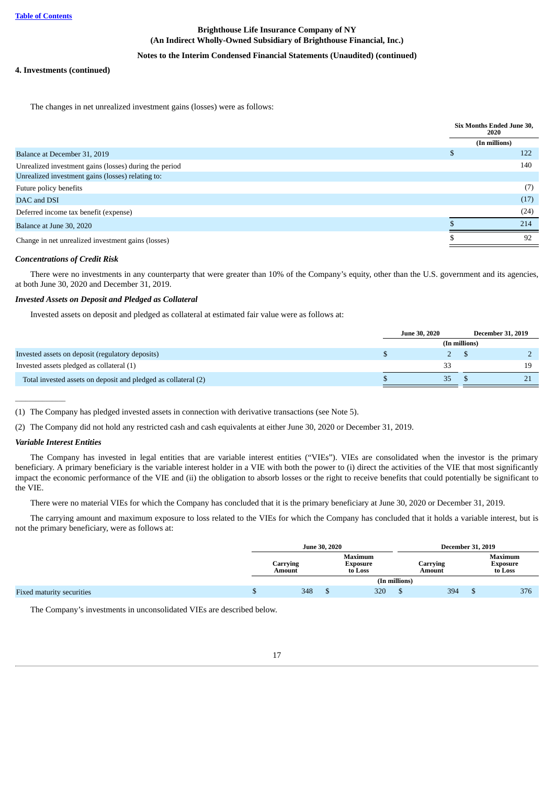## **Notes to the Interim Condensed Financial Statements (Unaudited) (continued)**

## **4. Investments (continued)**

The changes in net unrealized investment gains (losses) were as follows:

| (In millions)<br>S<br>Balance at December 31, 2019<br>Unrealized investment gains (losses) during the period<br>Unrealized investment gains (losses) relating to:<br>Future policy benefits | Six Months Ended June 30, |
|---------------------------------------------------------------------------------------------------------------------------------------------------------------------------------------------|---------------------------|
|                                                                                                                                                                                             |                           |
|                                                                                                                                                                                             | 122                       |
|                                                                                                                                                                                             | 140                       |
|                                                                                                                                                                                             |                           |
|                                                                                                                                                                                             | (7)                       |
| DAC and DSI                                                                                                                                                                                 | (17)                      |
| Deferred income tax benefit (expense)                                                                                                                                                       | (24)                      |
| Balance at June 30, 2020                                                                                                                                                                    | 214                       |
| Change in net unrealized investment gains (losses)                                                                                                                                          | 92                        |

### *Concentrations of Credit Risk*

There were no investments in any counterparty that were greater than 10% of the Company's equity, other than the U.S. government and its agencies, at both June 30, 2020 and December 31, 2019.

### *Invested Assets on Deposit and Pledged as Collateral*

Invested assets on deposit and pledged as collateral at estimated fair value were as follows at:

|                                                                | <b>June 30, 2020</b> |               | <b>December 31, 2019</b> |
|----------------------------------------------------------------|----------------------|---------------|--------------------------|
|                                                                |                      | (In millions) |                          |
| Invested assets on deposit (regulatory deposits)               |                      |               |                          |
| Invested assets pledged as collateral (1)                      | 33                   |               |                          |
| Total invested assets on deposit and pledged as collateral (2) | 35                   |               |                          |

(1) The Company has pledged invested assets in connection with derivative transactions (see Note 5).

(2) The Company did not hold any restricted cash and cash equivalents at either June 30, 2020 or December 31, 2019.

### *Variable Interest Entities*

 $\overline{\phantom{a}}$ 

The Company has invested in legal entities that are variable interest entities ("VIEs"). VIEs are consolidated when the investor is the primary beneficiary. A primary beneficiary is the variable interest holder in a VIE with both the power to (i) direct the activities of the VIE that most significantly impact the economic performance of the VIE and (ii) the obligation to absorb losses or the right to receive benefits that could potentially be significant to the VIE.

There were no material VIEs for which the Company has concluded that it is the primary beneficiary at June 30, 2020 or December 31, 2019.

The carrying amount and maximum exposure to loss related to the VIEs for which the Company has concluded that it holds a variable interest, but is not the primary beneficiary, were as follows at:

|                                  |   | <b>June 30, 2020</b> |                                       |               |                    | <b>December 31, 2019</b> |                                |  |
|----------------------------------|---|----------------------|---------------------------------------|---------------|--------------------|--------------------------|--------------------------------|--|
|                                  |   | Carrying<br>Amount   | <b>Maximum</b><br>Exposure<br>to Loss |               | Carrying<br>Amount |                          | Maximum<br>Exposure<br>to Loss |  |
|                                  |   |                      |                                       | (In millions) |                    |                          |                                |  |
| <b>Fixed maturity securities</b> | Œ | 348                  | 320                                   |               | 394                | ۰D                       | 376                            |  |
|                                  |   |                      |                                       |               |                    |                          |                                |  |

The Company's investments in unconsolidated VIEs are described below.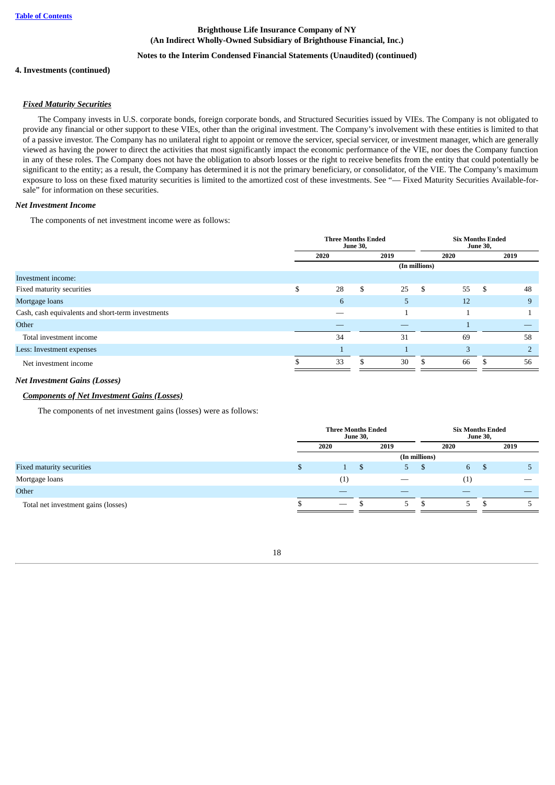## **Notes to the Interim Condensed Financial Statements (Unaudited) (continued)**

### **4. Investments (continued)**

### *Fixed Maturity Securities*

The Company invests in U.S. corporate bonds, foreign corporate bonds, and Structured Securities issued by VIEs. The Company is not obligated to provide any financial or other support to these VIEs, other than the original investment. The Company's involvement with these entities is limited to that of a passive investor. The Company has no unilateral right to appoint or remove the servicer, special servicer, or investment manager, which are generally viewed as having the power to direct the activities that most significantly impact the economic performance of the VIE, nor does the Company function in any of these roles. The Company does not have the obligation to absorb losses or the right to receive benefits from the entity that could potentially be significant to the entity; as a result, the Company has determined it is not the primary beneficiary, or consolidator, of the VIE. The Company's maximum exposure to loss on these fixed maturity securities is limited to the amortized cost of these investments. See "— Fixed Maturity Securities Available-forsale" for information on these securities.

#### *Net Investment Income*

The components of net investment income were as follows:

|                                                   | <b>Three Months Ended</b> | <b>June 30,</b> |      |               | <b>Six Months Ended</b> |     |                |
|---------------------------------------------------|---------------------------|-----------------|------|---------------|-------------------------|-----|----------------|
|                                                   | 2020                      |                 | 2019 |               | 2020                    |     | 2019           |
|                                                   |                           |                 |      | (In millions) |                         |     |                |
| Investment income:                                |                           |                 |      |               |                         |     |                |
| Fixed maturity securities                         | \$<br>28                  | \$              | 25   | \$            | 55                      | -\$ | 48             |
| Mortgage loans                                    | 6                         |                 | 5.   |               | 12                      |     | 9              |
| Cash, cash equivalents and short-term investments |                           |                 |      |               |                         |     |                |
| Other                                             |                           |                 |      |               |                         |     |                |
| Total investment income                           | 34                        |                 | 31   |               | 69                      |     | 58             |
| Less: Investment expenses                         |                           |                 |      |               | 3                       |     | $\overline{2}$ |
| Net investment income                             | 33                        |                 | 30   |               | 66                      |     | 56             |

### *Net Investment Gains (Losses)*

## *Components of Net Investment Gains (Losses)*

The components of net investment gains (losses) were as follows:

|                                     | <b>Three Months Ended</b>       | <b>June 30,</b> |    | <b>Six Months Ended</b><br><b>June 30,</b> |                     |     |      |
|-------------------------------------|---------------------------------|-----------------|----|--------------------------------------------|---------------------|-----|------|
|                                     | 2020<br>2019                    |                 |    |                                            |                     |     | 2019 |
|                                     |                                 |                 |    | (In millions)                              |                     |     |      |
| Fixed maturity securities           |                                 |                 | 5. | ъ                                          | 6 <sup>7</sup>      | . ა |      |
| Mortgage loans                      | $\scriptstyle{(1)}$             |                 |    |                                            | $\scriptstyle{(1)}$ |     |      |
| Other                               |                                 |                 |    |                                            |                     |     |      |
| Total net investment gains (losses) | $\hspace{0.1mm}-\hspace{0.1mm}$ |                 | 5. | D                                          | 5                   | D   |      |

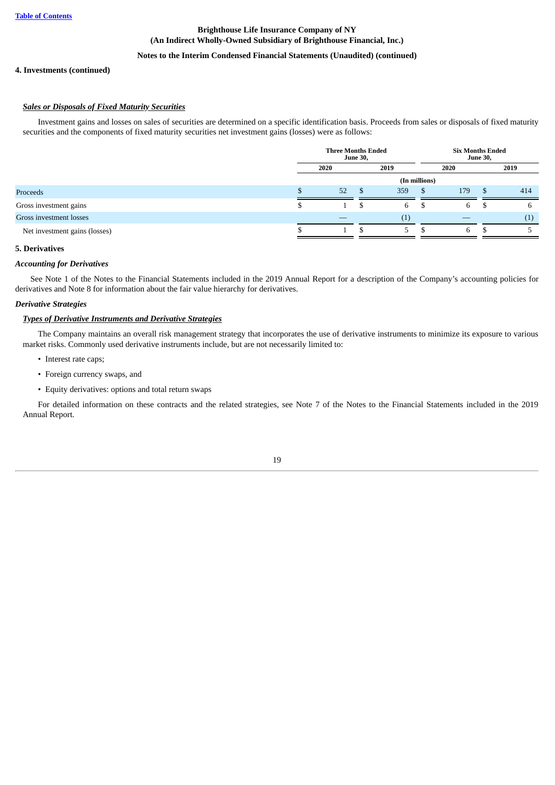## **Notes to the Interim Condensed Financial Statements (Unaudited) (continued)**

## **4. Investments (continued)**

## *Sales or Disposals of Fixed Maturity Securities*

Investment gains and losses on sales of securities are determined on a specific identification basis. Proceeds from sales or disposals of fixed maturity securities and the components of fixed maturity securities net investment gains (losses) were as follows:

|                               |              | <b>Three Months Ended</b> | <b>June 30,</b> |     |               | <b>Six Months Ended</b><br><b>June 30,</b> |    |      |  |
|-------------------------------|--------------|---------------------------|-----------------|-----|---------------|--------------------------------------------|----|------|--|
|                               | 2020<br>2019 |                           |                 |     |               | 2020                                       |    | 2019 |  |
|                               |              |                           |                 |     | (In millions) |                                            |    |      |  |
| Proceeds                      |              | 52                        | -56             | 359 | -5            | 179                                        |    | 414  |  |
| Gross investment gains        |              |                           | S               | 6   | D             | 6                                          | J. | b    |  |
| Gross investment losses       |              |                           |                 | (1) |               |                                            |    | (1)  |  |
| Net investment gains (losses) |              |                           |                 | 5.  |               | 6                                          |    |      |  |

#### <span id="page-19-0"></span>**5. Derivatives**

#### *Accounting for Derivatives*

See Note 1 of the Notes to the Financial Statements included in the 2019 Annual Report for a description of the Company's accounting policies for derivatives and Note 8 for information about the fair value hierarchy for derivatives.

## *Derivative Strategies*

#### *Types of Derivative Instruments and Derivative Strategies*

The Company maintains an overall risk management strategy that incorporates the use of derivative instruments to minimize its exposure to various market risks. Commonly used derivative instruments include, but are not necessarily limited to:

- Interest rate caps;
- Foreign currency swaps, and
- Equity derivatives: options and total return swaps

For detailed information on these contracts and the related strategies, see Note 7 of the Notes to the Financial Statements included in the 2019 Annual Report.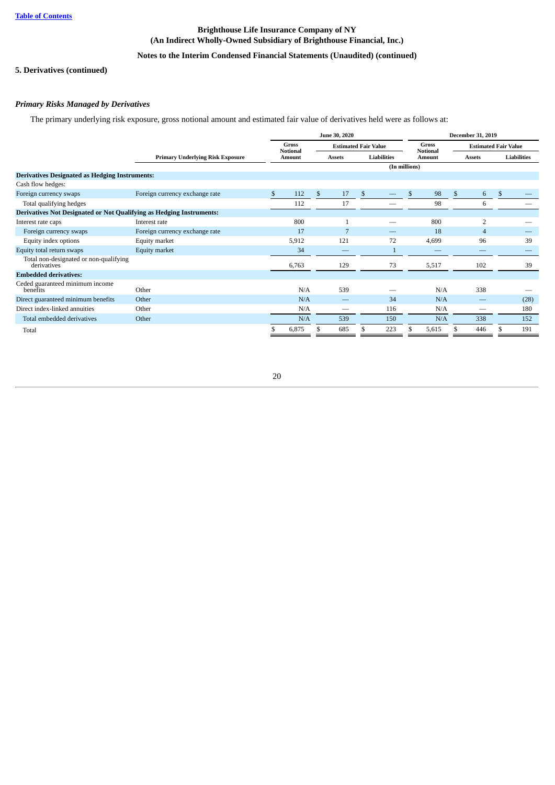## **Notes to the Interim Condensed Financial Statements (Unaudited) (continued)**

## **5. Derivatives (continued)**

## *Primary Risks Managed by Derivatives*

The primary underlying risk exposure, gross notional amount and estimated fair value of derivatives held were as follows at:

|                                                                             |                                         | <b>June 30, 2020</b> |                          |                |                             |    |                    | December 31, 2019 |                                 |     |                             |    |                    |
|-----------------------------------------------------------------------------|-----------------------------------------|----------------------|--------------------------|----------------|-----------------------------|----|--------------------|-------------------|---------------------------------|-----|-----------------------------|----|--------------------|
|                                                                             |                                         |                      | Gross<br><b>Notional</b> |                | <b>Estimated Fair Value</b> |    |                    |                   | <b>Gross</b><br><b>Notional</b> |     | <b>Estimated Fair Value</b> |    |                    |
|                                                                             | <b>Primary Underlying Risk Exposure</b> |                      | Amount                   |                | <b>Assets</b>               |    | <b>Liabilities</b> |                   | Amount                          |     | <b>Assets</b>               |    | <b>Liabilities</b> |
|                                                                             |                                         |                      |                          |                |                             |    |                    | (In millions)     |                                 |     |                             |    |                    |
| <b>Derivatives Designated as Hedging Instruments:</b>                       |                                         |                      |                          |                |                             |    |                    |                   |                                 |     |                             |    |                    |
| Cash flow hedges:                                                           |                                         |                      |                          |                |                             |    |                    |                   |                                 |     |                             |    |                    |
| Foreign currency swaps                                                      | Foreign currency exchange rate          | \$                   | 112                      | $\mathfrak{S}$ | 17                          | -S |                    | \$                | 98                              | \$. | 6                           | -S |                    |
| Total qualifying hedges                                                     |                                         |                      | 112                      |                | 17                          |    |                    |                   | 98                              |     | 6                           |    |                    |
| <b>Derivatives Not Designated or Not Qualifying as Hedging Instruments:</b> |                                         |                      |                          |                |                             |    |                    |                   |                                 |     |                             |    |                    |
| Interest rate caps                                                          | Interest rate                           |                      | 800                      |                |                             |    |                    |                   | 800                             |     | $\overline{2}$              |    |                    |
| Foreign currency swaps                                                      | Foreign currency exchange rate          |                      | 17                       |                | 7                           |    |                    |                   | 18                              |     | $\overline{4}$              |    |                    |
| Equity index options                                                        | Equity market                           |                      | 5,912                    |                | 121                         |    | 72                 |                   | 4,699                           |     | 96                          |    | 39                 |
| Equity total return swaps                                                   | Equity market                           |                      | 34                       |                |                             |    |                    |                   |                                 |     |                             |    |                    |
| Total non-designated or non-qualifying<br>derivatives                       |                                         |                      | 6,763                    |                | 129                         |    | 73                 |                   | 5,517                           |     | 102                         |    | 39                 |
| <b>Embedded derivatives:</b>                                                |                                         |                      |                          |                |                             |    |                    |                   |                                 |     |                             |    |                    |
| Ceded guaranteed minimum income<br>benefits                                 | Other                                   |                      | N/A                      |                | 539                         |    |                    |                   | N/A                             |     | 338                         |    |                    |
| Direct guaranteed minimum benefits                                          | Other                                   |                      | N/A                      |                |                             |    | 34                 |                   | N/A                             |     |                             |    | (28)               |
| Direct index-linked annuities                                               | Other                                   |                      | N/A                      |                | $\overline{\phantom{0}}$    |    | 116                |                   | N/A                             |     |                             |    | 180                |
| Total embedded derivatives                                                  | Other                                   |                      | N/A                      |                | 539                         |    | 150                |                   | N/A                             |     | 338                         |    | 152                |
| Total                                                                       |                                         |                      | 6,875                    |                | 685                         |    | 223                | \$                | 5,615                           |     | 446                         |    | 191                |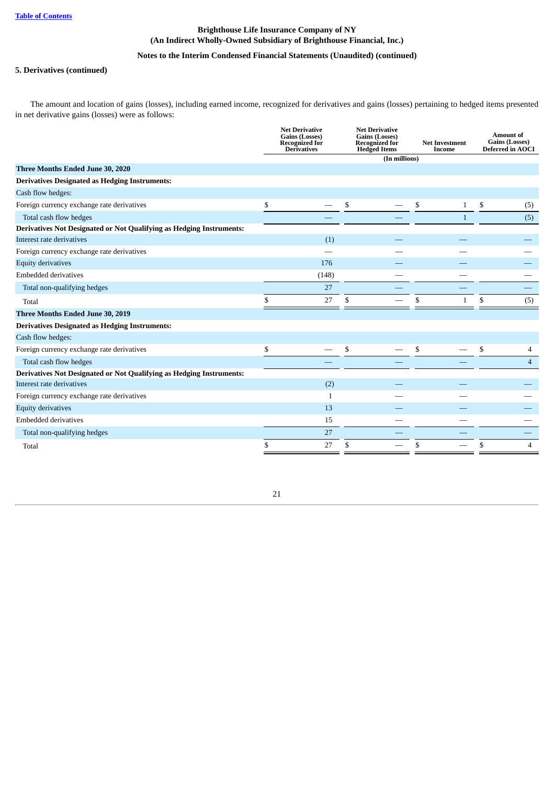## **Notes to the Interim Condensed Financial Statements (Unaudited) (continued)**

## **5. Derivatives (continued)**

The amount and location of gains (losses), including earned income, recognized for derivatives and gains (losses) pertaining to hedged items presented in net derivative gains (losses) were as follows:

|                                                                      | <b>Net Derivative</b><br>Gains (Losses)<br><b>Recognized for</b><br><b>Derivatives</b> | <b>Net Derivative</b><br><b>Gains (Losses)</b><br><b>Recognized for</b><br><b>Hedged Items</b> | <b>Net Investment</b><br>Income | <b>Amount of</b><br>Gains (Losses)<br><b>Deferred in AOCI</b> |
|----------------------------------------------------------------------|----------------------------------------------------------------------------------------|------------------------------------------------------------------------------------------------|---------------------------------|---------------------------------------------------------------|
|                                                                      |                                                                                        | (In millions)                                                                                  |                                 |                                                               |
| Three Months Ended June 30, 2020                                     |                                                                                        |                                                                                                |                                 |                                                               |
| <b>Derivatives Designated as Hedging Instruments:</b>                |                                                                                        |                                                                                                |                                 |                                                               |
| Cash flow hedges:                                                    |                                                                                        |                                                                                                |                                 |                                                               |
| Foreign currency exchange rate derivatives                           | \$                                                                                     | \$                                                                                             | \$<br>$\mathbf{1}$              | \$<br>(5)                                                     |
| Total cash flow hedges                                               |                                                                                        |                                                                                                | $\mathbf{1}$                    | (5)                                                           |
| Derivatives Not Designated or Not Qualifying as Hedging Instruments: |                                                                                        |                                                                                                |                                 |                                                               |
| Interest rate derivatives                                            | (1)                                                                                    |                                                                                                |                                 |                                                               |
| Foreign currency exchange rate derivatives                           |                                                                                        |                                                                                                |                                 |                                                               |
| <b>Equity derivatives</b>                                            | 176                                                                                    |                                                                                                |                                 |                                                               |
| <b>Embedded derivatives</b>                                          | (148)                                                                                  |                                                                                                |                                 |                                                               |
| Total non-qualifying hedges                                          | 27                                                                                     |                                                                                                |                                 |                                                               |
| Total                                                                | 27                                                                                     | \$                                                                                             | $\mathbf{1}$                    | \$<br>(5)                                                     |
| Three Months Ended June 30, 2019                                     |                                                                                        |                                                                                                |                                 |                                                               |
| <b>Derivatives Designated as Hedging Instruments:</b>                |                                                                                        |                                                                                                |                                 |                                                               |
| Cash flow hedges:                                                    |                                                                                        |                                                                                                |                                 |                                                               |
| Foreign currency exchange rate derivatives                           | \$                                                                                     | \$                                                                                             | \$                              | \$<br>$\overline{4}$                                          |
| Total cash flow hedges                                               |                                                                                        |                                                                                                |                                 | $\overline{4}$                                                |
| Derivatives Not Designated or Not Qualifying as Hedging Instruments: |                                                                                        |                                                                                                |                                 |                                                               |
| Interest rate derivatives                                            | (2)                                                                                    |                                                                                                |                                 |                                                               |
| Foreign currency exchange rate derivatives                           | $\mathbf{1}$                                                                           |                                                                                                |                                 |                                                               |
| <b>Equity derivatives</b>                                            | 13                                                                                     |                                                                                                |                                 |                                                               |
| <b>Embedded derivatives</b>                                          | 15                                                                                     |                                                                                                |                                 |                                                               |
| Total non-qualifying hedges                                          | 27                                                                                     |                                                                                                |                                 |                                                               |
| Total                                                                | 27                                                                                     | \$                                                                                             | \$                              | \$<br>4                                                       |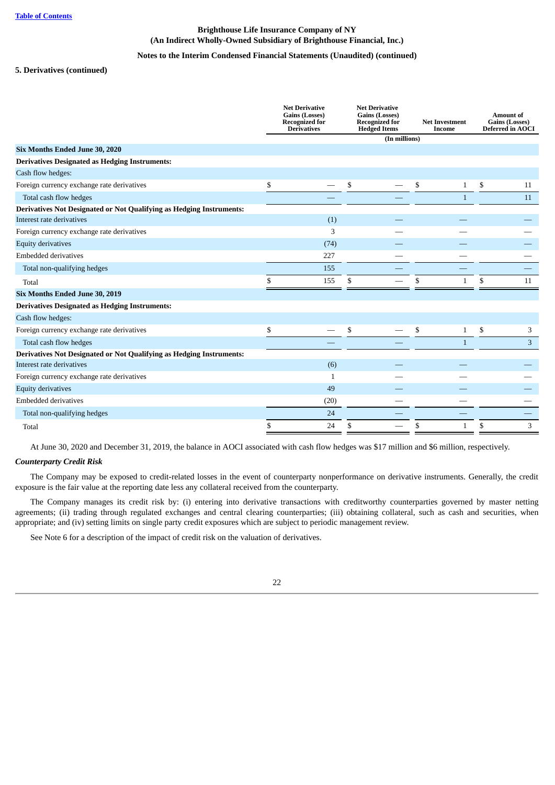## **Notes to the Interim Condensed Financial Statements (Unaudited) (continued)**

## **5. Derivatives (continued)**

|                                                                      | <b>Net Derivative</b><br>Gains (Losses)<br><b>Recognized for</b><br><b>Derivatives</b> | <b>Net Derivative</b><br><b>Gains (Losses)</b><br><b>Recognized for</b><br><b>Hedged Items</b> |               | <b>Net Investment</b><br>Income |              | <b>Amount of</b><br>Gains (Losses)<br><b>Deferred in AOCI</b> |
|----------------------------------------------------------------------|----------------------------------------------------------------------------------------|------------------------------------------------------------------------------------------------|---------------|---------------------------------|--------------|---------------------------------------------------------------|
|                                                                      |                                                                                        |                                                                                                | (In millions) |                                 |              |                                                               |
| Six Months Ended June 30, 2020                                       |                                                                                        |                                                                                                |               |                                 |              |                                                               |
| <b>Derivatives Designated as Hedging Instruments:</b>                |                                                                                        |                                                                                                |               |                                 |              |                                                               |
| Cash flow hedges:                                                    |                                                                                        |                                                                                                |               |                                 |              |                                                               |
| Foreign currency exchange rate derivatives                           | \$                                                                                     | \$                                                                                             |               | \$                              | $\mathbf{1}$ | \$<br>11                                                      |
| Total cash flow hedges                                               |                                                                                        |                                                                                                |               |                                 | $\mathbf{1}$ | 11                                                            |
| Derivatives Not Designated or Not Qualifying as Hedging Instruments: |                                                                                        |                                                                                                |               |                                 |              |                                                               |
| Interest rate derivatives                                            | (1)                                                                                    |                                                                                                |               |                                 |              |                                                               |
| Foreign currency exchange rate derivatives                           | 3                                                                                      |                                                                                                |               |                                 |              |                                                               |
| <b>Equity derivatives</b>                                            | (74)                                                                                   |                                                                                                |               |                                 |              |                                                               |
| <b>Embedded derivatives</b>                                          | 227                                                                                    |                                                                                                |               |                                 |              |                                                               |
| Total non-qualifying hedges                                          | 155                                                                                    |                                                                                                |               |                                 |              |                                                               |
| Total                                                                | \$<br>155                                                                              | \$                                                                                             |               | \$                              | $\mathbf{1}$ | \$<br>11                                                      |
| Six Months Ended June 30, 2019                                       |                                                                                        |                                                                                                |               |                                 |              |                                                               |
| <b>Derivatives Designated as Hedging Instruments:</b>                |                                                                                        |                                                                                                |               |                                 |              |                                                               |
| Cash flow hedges:                                                    |                                                                                        |                                                                                                |               |                                 |              |                                                               |
| Foreign currency exchange rate derivatives                           | \$                                                                                     | \$                                                                                             |               | \$                              | $\mathbf{1}$ | \$<br>3                                                       |
| Total cash flow hedges                                               |                                                                                        |                                                                                                |               |                                 | $\mathbf{1}$ | 3                                                             |
| Derivatives Not Designated or Not Qualifying as Hedging Instruments: |                                                                                        |                                                                                                |               |                                 |              |                                                               |
| Interest rate derivatives                                            | (6)                                                                                    |                                                                                                |               |                                 |              |                                                               |
| Foreign currency exchange rate derivatives                           | 1                                                                                      |                                                                                                |               |                                 |              |                                                               |
| <b>Equity derivatives</b>                                            | 49                                                                                     |                                                                                                |               |                                 |              |                                                               |
| <b>Embedded derivatives</b>                                          | (20)                                                                                   |                                                                                                |               |                                 |              |                                                               |
| Total non-qualifying hedges                                          | 24                                                                                     |                                                                                                |               |                                 |              |                                                               |
| Total                                                                | \$<br>24                                                                               | \$                                                                                             |               | \$                              | $\mathbf{1}$ | \$<br>3                                                       |

At June 30, 2020 and December 31, 2019, the balance in AOCI associated with cash flow hedges was \$17 million and \$6 million, respectively.

## *Counterparty Credit Risk*

The Company may be exposed to credit-related losses in the event of counterparty nonperformance on derivative instruments. Generally, the credit exposure is the fair value at the reporting date less any collateral received from the counterparty.

The Company manages its credit risk by: (i) entering into derivative transactions with creditworthy counterparties governed by master netting agreements; (ii) trading through regulated exchanges and central clearing counterparties; (iii) obtaining collateral, such as cash and securities, when appropriate; and (iv) setting limits on single party credit exposures which are subject to periodic management review.

See Note 6 for a description of the impact of credit risk on the valuation of derivatives.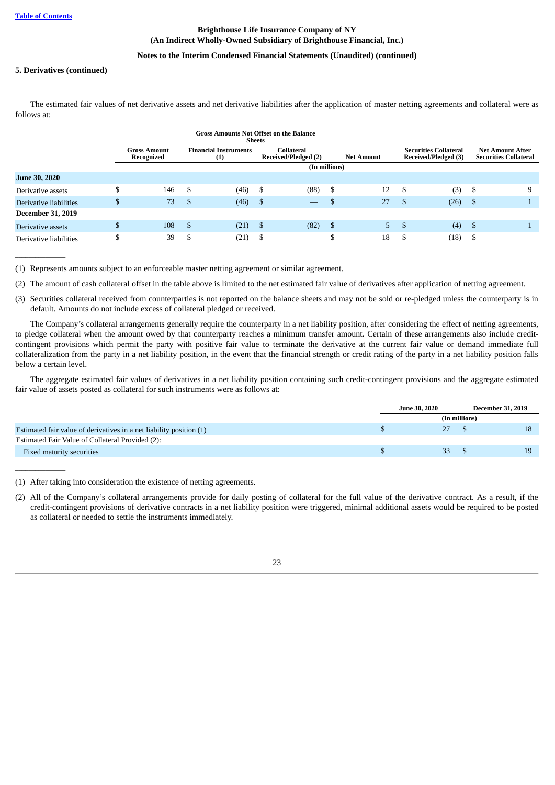$\overline{\phantom{a}}$ 

 $\overline{\phantom{a}}$ 

## **Brighthouse Life Insurance Company of NY (An Indirect Wholly-Owned Subsidiary of Brighthouse Financial, Inc.)**

## **Notes to the Interim Condensed Financial Statements (Unaudited) (continued)**

## **5. Derivatives (continued)**

The estimated fair values of net derivative assets and net derivative liabilities after the application of master netting agreements and collateral were as follows at:

|                          |        |                                   |      | <b>Gross Amounts Not Offset on the Balance</b><br><b>Sheets</b> |      |                                    |      |                   |      |                                                      |      |                                                         |
|--------------------------|--------|-----------------------------------|------|-----------------------------------------------------------------|------|------------------------------------|------|-------------------|------|------------------------------------------------------|------|---------------------------------------------------------|
|                          |        | <b>Gross Amount</b><br>Recognized |      | <b>Financial Instruments</b><br>(1)                             |      | Collateral<br>Received/Pledged (2) |      | <b>Net Amount</b> |      | <b>Securities Collateral</b><br>Received/Pledged (3) |      | <b>Net Amount After</b><br><b>Securities Collateral</b> |
|                          |        |                                   |      |                                                                 |      | (In millions)                      |      |                   |      |                                                      |      |                                                         |
| <b>June 30, 2020</b>     |        |                                   |      |                                                                 |      |                                    |      |                   |      |                                                      |      |                                                         |
| Derivative assets        | D      | 146                               | -\$  | (46)                                                            | \$   | (88)                               | \$   | 12                | -\$  | (3)                                                  | - \$ | 9                                                       |
| Derivative liabilities   | \$     | 73                                | -\$  | (46)                                                            | \$   | $\overline{\phantom{m}}$           |      | 27                | - \$ | (26)                                                 | - \$ |                                                         |
| <b>December 31, 2019</b> |        |                                   |      |                                                                 |      |                                    |      |                   |      |                                                      |      |                                                         |
| Derivative assets        | \$     | 108                               | - \$ | (21)                                                            | - \$ | (82)                               | - \$ | 5                 | -S   | (4)                                                  | - \$ |                                                         |
| Derivative liabilities   | ¢<br>Φ | 39                                | S    | (21)                                                            | S    | $-$                                |      | 18                | S    | (18)                                                 | - \$ |                                                         |

(1) Represents amounts subject to an enforceable master netting agreement or similar agreement.

(2) The amount of cash collateral offset in the table above is limited to the net estimated fair value of derivatives after application of netting agreement.

(3) Securities collateral received from counterparties is not reported on the balance sheets and may not be sold or re-pledged unless the counterparty is in default. Amounts do not include excess of collateral pledged or received.

The Company's collateral arrangements generally require the counterparty in a net liability position, after considering the effect of netting agreements, to pledge collateral when the amount owed by that counterparty reaches a minimum transfer amount. Certain of these arrangements also include creditcontingent provisions which permit the party with positive fair value to terminate the derivative at the current fair value or demand immediate full collateralization from the party in a net liability position, in the event that the financial strength or credit rating of the party in a net liability position falls below a certain level.

The aggregate estimated fair values of derivatives in a net liability position containing such credit-contingent provisions and the aggregate estimated fair value of assets posted as collateral for such instruments were as follows at:

|                                                                     | <b>June 30, 2020</b> |               | <b>December 31, 2019</b> |    |
|---------------------------------------------------------------------|----------------------|---------------|--------------------------|----|
|                                                                     |                      | (In millions) |                          |    |
| Estimated fair value of derivatives in a net liability position (1) |                      | 27            |                          | 18 |
| Estimated Fair Value of Collateral Provided (2):                    |                      |               |                          |    |
| Fixed maturity securities                                           |                      | 33            |                          | 19 |

(1) After taking into consideration the existence of netting agreements.

<span id="page-23-0"></span>(2) All of the Company's collateral arrangements provide for daily posting of collateral for the full value of the derivative contract. As a result, if the credit-contingent provisions of derivative contracts in a net liability position were triggered, minimal additional assets would be required to be posted as collateral or needed to settle the instruments immediately.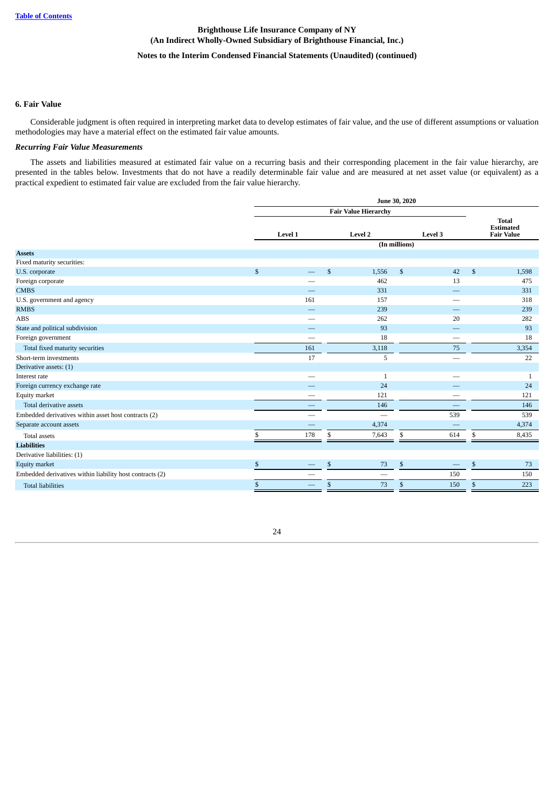## **Notes to the Interim Condensed Financial Statements (Unaudited) (continued)**

#### **6. Fair Value**

Considerable judgment is often required in interpreting market data to develop estimates of fair value, and the use of different assumptions or valuation methodologies may have a material effect on the estimated fair value amounts.

## *Recurring Fair Value Measurements*

The assets and liabilities measured at estimated fair value on a recurring basis and their corresponding placement in the fair value hierarchy, are presented in the tables below. Investments that do not have a readily determinable fair value and are measured at net asset value (or equivalent) as a practical expedient to estimated fair value are excluded from the fair value hierarchy.

|                                                          |              |         |                | <b>Fair Value Hierarchy</b> |               |         |                                                       |
|----------------------------------------------------------|--------------|---------|----------------|-----------------------------|---------------|---------|-------------------------------------------------------|
|                                                          |              | Level 1 |                | <b>Level 2</b>              |               | Level 3 | <b>Total</b><br><b>Estimated</b><br><b>Fair Value</b> |
|                                                          |              |         |                |                             | (In millions) |         |                                                       |
| <b>Assets</b>                                            |              |         |                |                             |               |         |                                                       |
| Fixed maturity securities:                               |              |         |                |                             |               |         |                                                       |
| U.S. corporate                                           | $\mathbb{S}$ |         | $\mathbb{S}$   | 1,556                       | $\mathbb{S}$  | 42      | \$<br>1,598                                           |
| Foreign corporate                                        |              |         |                | 462                         |               | 13      | 475                                                   |
| <b>CMBS</b>                                              |              |         |                | 331                         |               |         | 331                                                   |
| U.S. government and agency                               |              | 161     |                | 157                         |               | --      | 318                                                   |
| <b>RMBS</b>                                              |              |         |                | 239                         |               |         | 239                                                   |
| <b>ABS</b>                                               |              |         |                | 262                         |               | 20      | 282                                                   |
| State and political subdivision                          |              |         |                | 93                          |               |         | 93                                                    |
| Foreign government                                       |              |         |                | 18                          |               |         | 18                                                    |
| Total fixed maturity securities                          |              | 161     |                | 3,118                       |               | 75      | 3,354                                                 |
| Short-term investments                                   |              | 17      |                | 5                           |               |         | 22                                                    |
| Derivative assets: (1)                                   |              |         |                |                             |               |         |                                                       |
| Interest rate                                            |              |         |                | $\mathbf{1}$                |               |         | 1                                                     |
| Foreign currency exchange rate                           |              |         |                | 24                          |               |         | 24                                                    |
| Equity market                                            |              |         |                | 121                         |               |         | 121                                                   |
| Total derivative assets                                  |              |         |                | 146                         |               |         | 146                                                   |
| Embedded derivatives within asset host contracts (2)     |              |         |                |                             |               | 539     | 539                                                   |
| Separate account assets                                  |              |         |                | 4,374                       |               |         | 4,374                                                 |
| Total assets                                             | \$           | 178     | \$             | 7,643                       | \$            | 614     | \$<br>8,435                                           |
| <b>Liabilities</b>                                       |              |         |                |                             |               |         |                                                       |
| Derivative liabilities: (1)                              |              |         |                |                             |               |         |                                                       |
| <b>Equity market</b>                                     | $\mathbb{S}$ |         | $\mathfrak{S}$ | 73                          | $\mathbb{S}$  |         | \$<br>73                                              |
| Embedded derivatives within liability host contracts (2) |              |         |                |                             |               | 150     | 150                                                   |
| <b>Total liabilities</b>                                 | \$           |         | \$             | 73                          | $\mathbb{S}$  | 150     | \$<br>223                                             |
|                                                          |              |         |                |                             |               |         |                                                       |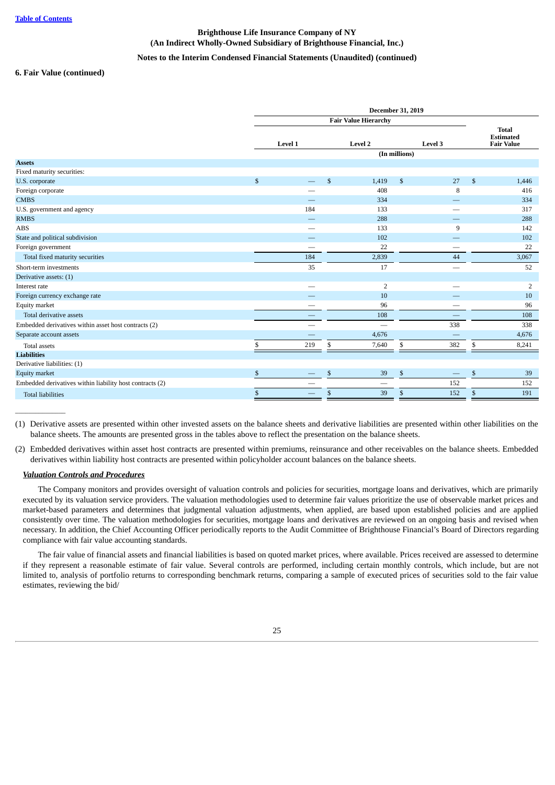### **Notes to the Interim Condensed Financial Statements (Unaudited) (continued)**

#### **6. Fair Value (continued)**

|                                                          | Level 1   |              | Level 2                  |               | Level 3 |              | <b>Total</b><br><b>Estimated</b><br><b>Fair Value</b> |
|----------------------------------------------------------|-----------|--------------|--------------------------|---------------|---------|--------------|-------------------------------------------------------|
| <b>Assets</b>                                            |           |              |                          | (In millions) |         |              |                                                       |
| Fixed maturity securities:                               |           |              |                          |               |         |              |                                                       |
| U.S. corporate                                           | \$        | $\mathbb{S}$ | 1,419                    | \$            | 27      | $\mathbb{S}$ | 1,446                                                 |
| Foreign corporate                                        |           |              | 408                      |               | 8       |              | 416                                                   |
| <b>CMBS</b>                                              |           |              | 334                      |               |         |              | 334                                                   |
| U.S. government and agency                               | 184       |              | 133                      |               |         |              | 317                                                   |
| <b>RMBS</b>                                              |           |              | 288                      |               |         |              | 288                                                   |
| <b>ABS</b>                                               |           |              | 133                      |               | 9       |              | 142                                                   |
| State and political subdivision                          | –         |              | 102                      |               |         |              | 102                                                   |
| Foreign government                                       |           |              | 22                       |               |         |              | 22                                                    |
| Total fixed maturity securities                          | 184       |              | 2,839                    |               | 44      |              | 3,067                                                 |
| Short-term investments                                   | 35        |              | 17                       |               |         |              | 52                                                    |
| Derivative assets: (1)                                   |           |              |                          |               |         |              |                                                       |
| Interest rate                                            |           |              | $\overline{2}$           |               |         |              | 2                                                     |
| Foreign currency exchange rate                           |           |              | 10                       |               |         |              | 10                                                    |
| Equity market                                            |           |              | 96                       |               |         |              | 96                                                    |
| Total derivative assets                                  |           |              | 108                      |               |         |              | 108                                                   |
| Embedded derivatives within asset host contracts (2)     |           |              | $\overline{\phantom{0}}$ |               | 338     |              | 338                                                   |
| Separate account assets                                  |           |              | 4,676                    |               |         |              | 4,676                                                 |
| <b>Total assets</b>                                      | \$<br>219 | \$           | 7,640                    | \$            | 382     | \$           | 8,241                                                 |
| <b>Liabilities</b>                                       |           |              |                          |               |         |              |                                                       |
| Derivative liabilities: (1)                              |           |              |                          |               |         |              |                                                       |
| <b>Equity market</b>                                     | \$        | \$           | 39                       | \$            |         | \$           | 39                                                    |
| Embedded derivatives within liability host contracts (2) |           |              |                          |               | 152     |              | 152                                                   |
| <b>Total liabilities</b>                                 | \$        | \$           | 39                       | \$            | 152     | \$           | 191                                                   |
|                                                          |           |              |                          |               |         |              |                                                       |

(1) Derivative assets are presented within other invested assets on the balance sheets and derivative liabilities are presented within other liabilities on the balance sheets. The amounts are presented gross in the tables above to reflect the presentation on the balance sheets.

(2) Embedded derivatives within asset host contracts are presented within premiums, reinsurance and other receivables on the balance sheets. Embedded derivatives within liability host contracts are presented within policyholder account balances on the balance sheets.

#### *Valuation Controls and Procedures*

 $\overline{\phantom{a}}$ 

The Company monitors and provides oversight of valuation controls and policies for securities, mortgage loans and derivatives, which are primarily executed by its valuation service providers. The valuation methodologies used to determine fair values prioritize the use of observable market prices and market-based parameters and determines that judgmental valuation adjustments, when applied, are based upon established policies and are applied consistently over time. The valuation methodologies for securities, mortgage loans and derivatives are reviewed on an ongoing basis and revised when necessary. In addition, the Chief Accounting Officer periodically reports to the Audit Committee of Brighthouse Financial's Board of Directors regarding compliance with fair value accounting standards.

The fair value of financial assets and financial liabilities is based on quoted market prices, where available. Prices received are assessed to determine if they represent a reasonable estimate of fair value. Several controls are performed, including certain monthly controls, which include, but are not limited to, analysis of portfolio returns to corresponding benchmark returns, comparing a sample of executed prices of securities sold to the fair value estimates, reviewing the bid/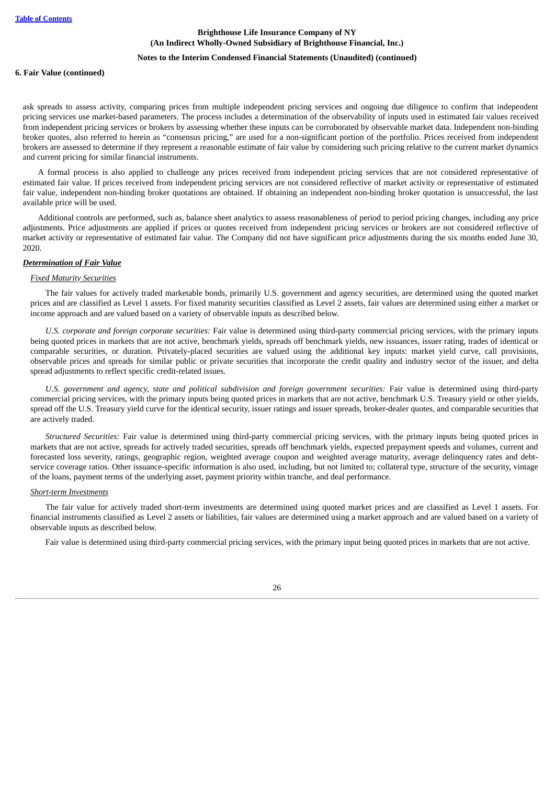#### **Notes to the Interim Condensed Financial Statements (Unaudited) (continued)**

#### **6. Fair Value (continued)**

ask spreads to assess activity, comparing prices from multiple independent pricing services and ongoing due diligence to confirm that independent pricing services use market-based parameters. The process includes a determination of the observability of inputs used in estimated fair values received from independent pricing services or brokers by assessing whether these inputs can be corroborated by observable market data. Independent non-binding broker quotes, also referred to herein as "consensus pricing," are used for a non-significant portion of the portfolio. Prices received from independent brokers are assessed to determine if they represent a reasonable estimate of fair value by considering such pricing relative to the current market dynamics and current pricing for similar financial instruments.

A formal process is also applied to challenge any prices received from independent pricing services that are not considered representative of estimated fair value. If prices received from independent pricing services are not considered reflective of market activity or representative of estimated fair value, independent non-binding broker quotations are obtained. If obtaining an independent non-binding broker quotation is unsuccessful, the last available price will be used.

Additional controls are performed, such as, balance sheet analytics to assess reasonableness of period to period pricing changes, including any price adjustments. Price adjustments are applied if prices or quotes received from independent pricing services or brokers are not considered reflective of market activity or representative of estimated fair value. The Company did not have significant price adjustments during the six months ended June 30, 2020.

#### *Determination of Fair Value*

#### *Fixed Maturity Securities*

The fair values for actively traded marketable bonds, primarily U.S. government and agency securities, are determined using the quoted market prices and are classified as Level 1 assets. For fixed maturity securities classified as Level 2 assets, fair values are determined using either a market or income approach and are valued based on a variety of observable inputs as described below.

*U.S. corporate and foreign corporate securities:* Fair value is determined using third-party commercial pricing services, with the primary inputs being quoted prices in markets that are not active, benchmark yields, spreads off benchmark yields, new issuances, issuer rating, trades of identical or comparable securities, or duration. Privately-placed securities are valued using the additional key inputs: market yield curve, call provisions, observable prices and spreads for similar public or private securities that incorporate the credit quality and industry sector of the issuer, and delta spread adjustments to reflect specific credit-related issues.

*U.S. government and agency, state and political subdivision and foreign government securities:* Fair value is determined using third-party commercial pricing services, with the primary inputs being quoted prices in markets that are not active, benchmark U.S. Treasury yield or other yields, spread off the U.S. Treasury yield curve for the identical security, issuer ratings and issuer spreads, broker-dealer quotes, and comparable securities that are actively traded.

*Structured Securities:* Fair value is determined using third-party commercial pricing services, with the primary inputs being quoted prices in markets that are not active, spreads for actively traded securities, spreads off benchmark yields, expected prepayment speeds and volumes, current and forecasted loss severity, ratings, geographic region, weighted average coupon and weighted average maturity, average delinquency rates and debtservice coverage ratios. Other issuance-specific information is also used, including, but not limited to; collateral type, structure of the security, vintage of the loans, payment terms of the underlying asset, payment priority within tranche, and deal performance.

#### *Short-term Investments*

The fair value for actively traded short-term investments are determined using quoted market prices and are classified as Level 1 assets. For financial instruments classified as Level 2 assets or liabilities, fair values are determined using a market approach and are valued based on a variety of observable inputs as described below.

Fair value is determined using third-party commercial pricing services, with the primary input being quoted prices in markets that are not active.

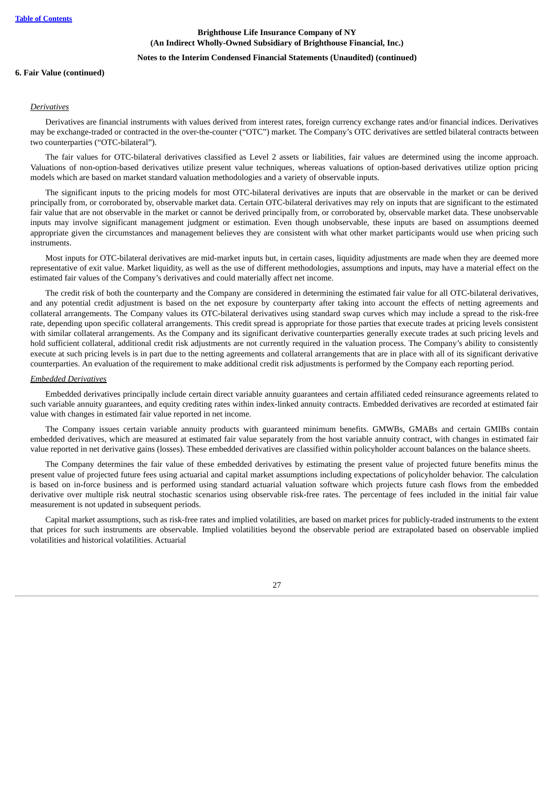#### **Notes to the Interim Condensed Financial Statements (Unaudited) (continued)**

#### **6. Fair Value (continued)**

#### *Derivatives*

Derivatives are financial instruments with values derived from interest rates, foreign currency exchange rates and/or financial indices. Derivatives may be exchange-traded or contracted in the over-the-counter ("OTC") market. The Company's OTC derivatives are settled bilateral contracts between two counterparties ("OTC-bilateral").

The fair values for OTC-bilateral derivatives classified as Level 2 assets or liabilities, fair values are determined using the income approach. Valuations of non-option-based derivatives utilize present value techniques, whereas valuations of option-based derivatives utilize option pricing models which are based on market standard valuation methodologies and a variety of observable inputs.

The significant inputs to the pricing models for most OTC-bilateral derivatives are inputs that are observable in the market or can be derived principally from, or corroborated by, observable market data. Certain OTC-bilateral derivatives may rely on inputs that are significant to the estimated fair value that are not observable in the market or cannot be derived principally from, or corroborated by, observable market data. These unobservable inputs may involve significant management judgment or estimation. Even though unobservable, these inputs are based on assumptions deemed appropriate given the circumstances and management believes they are consistent with what other market participants would use when pricing such instruments.

Most inputs for OTC-bilateral derivatives are mid-market inputs but, in certain cases, liquidity adjustments are made when they are deemed more representative of exit value. Market liquidity, as well as the use of different methodologies, assumptions and inputs, may have a material effect on the estimated fair values of the Company's derivatives and could materially affect net income.

The credit risk of both the counterparty and the Company are considered in determining the estimated fair value for all OTC-bilateral derivatives, and any potential credit adjustment is based on the net exposure by counterparty after taking into account the effects of netting agreements and collateral arrangements. The Company values its OTC-bilateral derivatives using standard swap curves which may include a spread to the risk-free rate, depending upon specific collateral arrangements. This credit spread is appropriate for those parties that execute trades at pricing levels consistent with similar collateral arrangements. As the Company and its significant derivative counterparties generally execute trades at such pricing levels and hold sufficient collateral, additional credit risk adjustments are not currently required in the valuation process. The Company's ability to consistently execute at such pricing levels is in part due to the netting agreements and collateral arrangements that are in place with all of its significant derivative counterparties. An evaluation of the requirement to make additional credit risk adjustments is performed by the Company each reporting period.

#### *Embedded Derivatives*

Embedded derivatives principally include certain direct variable annuity guarantees and certain affiliated ceded reinsurance agreements related to such variable annuity guarantees, and equity crediting rates within index-linked annuity contracts. Embedded derivatives are recorded at estimated fair value with changes in estimated fair value reported in net income.

The Company issues certain variable annuity products with guaranteed minimum benefits. GMWBs, GMABs and certain GMIBs contain embedded derivatives, which are measured at estimated fair value separately from the host variable annuity contract, with changes in estimated fair value reported in net derivative gains (losses). These embedded derivatives are classified within policyholder account balances on the balance sheets.

The Company determines the fair value of these embedded derivatives by estimating the present value of projected future benefits minus the present value of projected future fees using actuarial and capital market assumptions including expectations of policyholder behavior. The calculation is based on in-force business and is performed using standard actuarial valuation software which projects future cash flows from the embedded derivative over multiple risk neutral stochastic scenarios using observable risk-free rates. The percentage of fees included in the initial fair value measurement is not updated in subsequent periods.

Capital market assumptions, such as risk-free rates and implied volatilities, are based on market prices for publicly-traded instruments to the extent that prices for such instruments are observable. Implied volatilities beyond the observable period are extrapolated based on observable implied volatilities and historical volatilities. Actuarial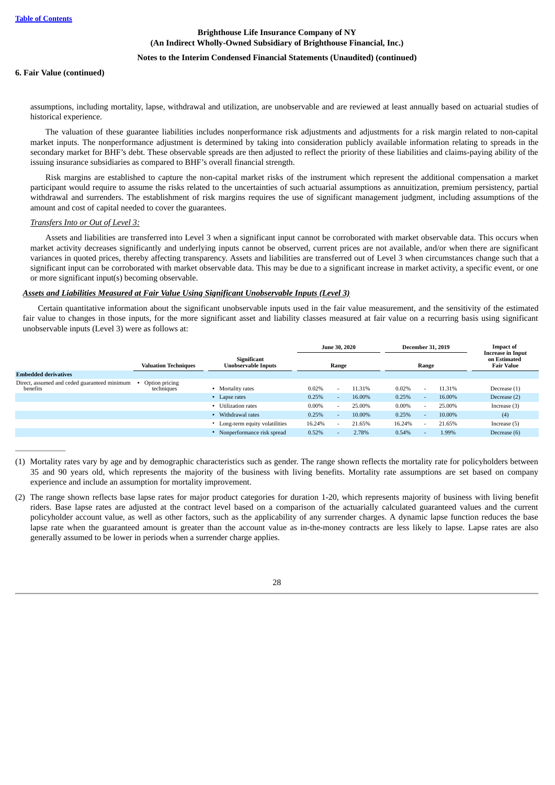### **Notes to the Interim Condensed Financial Statements (Unaudited) (continued)**

#### **6. Fair Value (continued)**

assumptions, including mortality, lapse, withdrawal and utilization, are unobservable and are reviewed at least annually based on actuarial studies of historical experience.

The valuation of these guarantee liabilities includes nonperformance risk adjustments and adjustments for a risk margin related to non-capital market inputs. The nonperformance adjustment is determined by taking into consideration publicly available information relating to spreads in the secondary market for BHF's debt. These observable spreads are then adjusted to reflect the priority of these liabilities and claims-paying ability of the issuing insurance subsidiaries as compared to BHF's overall financial strength.

Risk margins are established to capture the non-capital market risks of the instrument which represent the additional compensation a market participant would require to assume the risks related to the uncertainties of such actuarial assumptions as annuitization, premium persistency, partial withdrawal and surrenders. The establishment of risk margins requires the use of significant management judgment, including assumptions of the amount and cost of capital needed to cover the guarantees.

### *Transfers Into or Out of Level 3:*

 $\overline{\phantom{a}}$ 

Assets and liabilities are transferred into Level 3 when a significant input cannot be corroborated with market observable data. This occurs when market activity decreases significantly and underlying inputs cannot be observed, current prices are not available, and/or when there are significant variances in quoted prices, thereby affecting transparency. Assets and liabilities are transferred out of Level 3 when circumstances change such that a significant input can be corroborated with market observable data. This may be due to a significant increase in market activity, a specific event, or one or more significant input(s) becoming observable.

#### *Assets and Liabilities Measured at Fair Value Using Significant Unobservable Inputs (Level 3)*

Certain quantitative information about the significant unobservable inputs used in the fair value measurement, and the sensitivity of the estimated fair value to changes in those inputs, for the more significant asset and liability classes measured at fair value on a recurring basis using significant unobservable inputs (Level 3) were as follows at:

|                                                          |                              |                                           | <b>June 30, 2020</b> |       | <b>December 31, 2019</b> |        |                          |        |                                   | <b>Impact of</b><br><b>Increase in Input</b> |
|----------------------------------------------------------|------------------------------|-------------------------------------------|----------------------|-------|--------------------------|--------|--------------------------|--------|-----------------------------------|----------------------------------------------|
|                                                          | <b>Valuation Techniques</b>  | Significant<br><b>Unobservable Inputs</b> |                      | Range |                          |        | Range                    |        | on Estimated<br><b>Fair Value</b> |                                              |
| <b>Embedded derivatives</b>                              |                              |                                           |                      |       |                          |        |                          |        |                                   |                                              |
| Direct, assumed and ceded guaranteed minimum<br>benefits | Option pricing<br>techniques | Mortality rates                           | 0.02%                |       | 11.31%                   | 0.02%  | $\overline{\phantom{a}}$ | 11.31% | Decrease (1)                      |                                              |
|                                                          |                              | • Lapse rates                             | 0.25%                |       | 16.00%                   | 0.25%  | $\overline{a}$           | 16.00% | Decrease (2)                      |                                              |
|                                                          |                              | • Utilization rates                       | $0.00\%$             |       | 25.00%                   | 0.00%  | $\overline{\phantom{a}}$ | 25.00% | Increase $(3)$                    |                                              |
|                                                          |                              | Withdrawal rates                          | 0.25%                |       | 10.00%                   | 0.25%  | $\overline{a}$           | 10.00% | (4)                               |                                              |
|                                                          |                              | Long-term equity volatilities             | 16.24%               |       | 21.65%                   | 16.24% | $\sim$                   | 21.65% | Increase (5)                      |                                              |
|                                                          |                              | Nonperformance risk spread                | 0.52%                |       | 2.78%                    | 0.54%  | -                        | 1.99%  | Decrease (6)                      |                                              |
|                                                          |                              |                                           |                      |       |                          |        |                          |        |                                   |                                              |

<sup>(1)</sup> Mortality rates vary by age and by demographic characteristics such as gender. The range shown reflects the mortality rate for policyholders between 35 and 90 years old, which represents the majority of the business with living benefits. Mortality rate assumptions are set based on company experience and include an assumption for mortality improvement.

<sup>(2)</sup> The range shown reflects base lapse rates for major product categories for duration 1-20, which represents majority of business with living benefit riders. Base lapse rates are adjusted at the contract level based on a comparison of the actuarially calculated guaranteed values and the current policyholder account value, as well as other factors, such as the applicability of any surrender charges. A dynamic lapse function reduces the base lapse rate when the guaranteed amount is greater than the account value as in-the-money contracts are less likely to lapse. Lapse rates are also generally assumed to be lower in periods when a surrender charge applies.

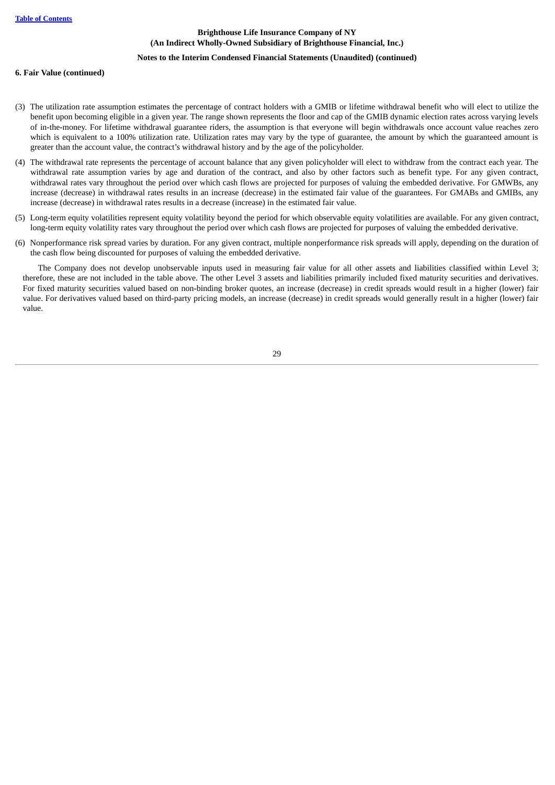### **Notes to the Interim Condensed Financial Statements (Unaudited) (continued)**

### **6. Fair Value (continued)**

- (3) The utilization rate assumption estimates the percentage of contract holders with a GMIB or lifetime withdrawal benefit who will elect to utilize the benefit upon becoming eligible in a given year. The range shown represents the floor and cap of the GMIB dynamic election rates across varying levels of in-the-money. For lifetime withdrawal guarantee riders, the assumption is that everyone will begin withdrawals once account value reaches zero which is equivalent to a 100% utilization rate. Utilization rates may vary by the type of guarantee, the amount by which the guaranteed amount is greater than the account value, the contract's withdrawal history and by the age of the policyholder.
- (4) The withdrawal rate represents the percentage of account balance that any given policyholder will elect to withdraw from the contract each year. The withdrawal rate assumption varies by age and duration of the contract, and also by other factors such as benefit type. For any given contract, withdrawal rates vary throughout the period over which cash flows are projected for purposes of valuing the embedded derivative. For GMWBs, any increase (decrease) in withdrawal rates results in an increase (decrease) in the estimated fair value of the guarantees. For GMABs and GMIBs, any increase (decrease) in withdrawal rates results in a decrease (increase) in the estimated fair value.
- (5) Long-term equity volatilities represent equity volatility beyond the period for which observable equity volatilities are available. For any given contract, long-term equity volatility rates vary throughout the period over which cash flows are projected for purposes of valuing the embedded derivative.
- (6) Nonperformance risk spread varies by duration. For any given contract, multiple nonperformance risk spreads will apply, depending on the duration of the cash flow being discounted for purposes of valuing the embedded derivative.

The Company does not develop unobservable inputs used in measuring fair value for all other assets and liabilities classified within Level 3; therefore, these are not included in the table above. The other Level 3 assets and liabilities primarily included fixed maturity securities and derivatives. For fixed maturity securities valued based on non-binding broker quotes, an increase (decrease) in credit spreads would result in a higher (lower) fair value. For derivatives valued based on third-party pricing models, an increase (decrease) in credit spreads would generally result in a higher (lower) fair value.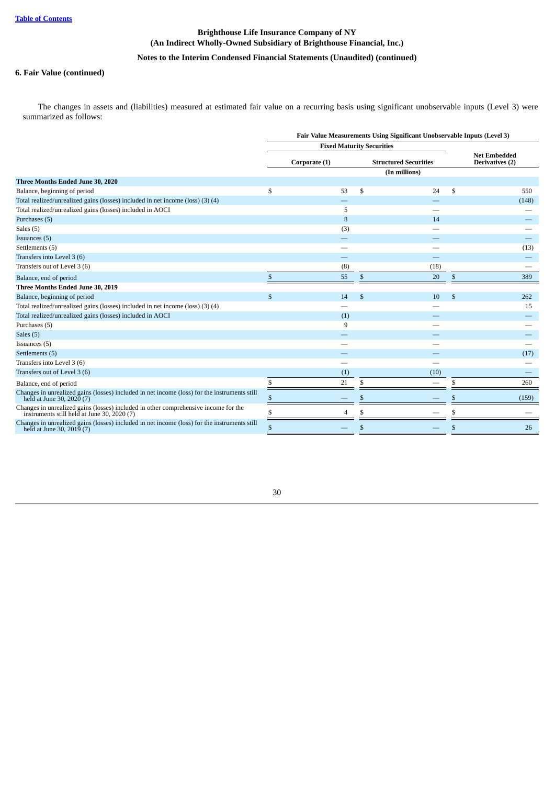## **Notes to the Interim Condensed Financial Statements (Unaudited) (continued)**

## **6. Fair Value (continued)**

The changes in assets and (liabilities) measured at estimated fair value on a recurring basis using significant unobservable inputs (Level 3) were summarized as follows:

|                                                                                                                                 | Fair Value Measurements Using Significant Unobservable Inputs (Level 3) |                                  |              |                              |              |                                        |  |  |  |  |  |  |
|---------------------------------------------------------------------------------------------------------------------------------|-------------------------------------------------------------------------|----------------------------------|--------------|------------------------------|--------------|----------------------------------------|--|--|--|--|--|--|
|                                                                                                                                 |                                                                         | <b>Fixed Maturity Securities</b> |              |                              |              |                                        |  |  |  |  |  |  |
|                                                                                                                                 |                                                                         | Corporate (1)                    |              | <b>Structured Securities</b> |              | <b>Net Embedded</b><br>Derivatives (2) |  |  |  |  |  |  |
|                                                                                                                                 |                                                                         |                                  |              | (In millions)                |              |                                        |  |  |  |  |  |  |
| Three Months Ended June 30, 2020                                                                                                |                                                                         |                                  |              |                              |              |                                        |  |  |  |  |  |  |
| Balance, beginning of period                                                                                                    | \$                                                                      | 53                               | \$           | 24                           | \$           | 550                                    |  |  |  |  |  |  |
| Total realized/unrealized gains (losses) included in net income (loss) (3) (4)                                                  |                                                                         |                                  |              |                              |              | (148)                                  |  |  |  |  |  |  |
| Total realized/unrealized gains (losses) included in AOCI                                                                       |                                                                         | 5                                |              |                              |              |                                        |  |  |  |  |  |  |
| Purchases (5)                                                                                                                   |                                                                         | 8                                |              | 14                           |              |                                        |  |  |  |  |  |  |
| Sales (5)                                                                                                                       |                                                                         | (3)                              |              |                              |              |                                        |  |  |  |  |  |  |
| Issuances (5)                                                                                                                   |                                                                         |                                  |              |                              |              |                                        |  |  |  |  |  |  |
| Settlements (5)                                                                                                                 |                                                                         |                                  |              |                              |              | (13)                                   |  |  |  |  |  |  |
| Transfers into Level 3 (6)                                                                                                      |                                                                         |                                  |              |                              |              |                                        |  |  |  |  |  |  |
| Transfers out of Level 3 (6)                                                                                                    |                                                                         | (8)                              |              | (18)                         |              |                                        |  |  |  |  |  |  |
| Balance, end of period                                                                                                          | <sup>\$</sup>                                                           | 55                               | \$           | 20                           | \$           | 389                                    |  |  |  |  |  |  |
| Three Months Ended June 30, 2019                                                                                                |                                                                         |                                  |              |                              |              |                                        |  |  |  |  |  |  |
| Balance, beginning of period                                                                                                    | \$                                                                      | 14                               | $\mathbb{S}$ | 10                           | $\mathbb{S}$ | 262                                    |  |  |  |  |  |  |
| Total realized/unrealized gains (losses) included in net income (loss) (3) (4)                                                  |                                                                         |                                  |              |                              |              | 15                                     |  |  |  |  |  |  |
| Total realized/unrealized gains (losses) included in AOCI                                                                       |                                                                         | (1)                              |              |                              |              |                                        |  |  |  |  |  |  |
| Purchases (5)                                                                                                                   |                                                                         | 9                                |              |                              |              |                                        |  |  |  |  |  |  |
| Sales (5)                                                                                                                       |                                                                         |                                  |              |                              |              |                                        |  |  |  |  |  |  |
| Issuances (5)                                                                                                                   |                                                                         |                                  |              |                              |              |                                        |  |  |  |  |  |  |
| Settlements (5)                                                                                                                 |                                                                         |                                  |              |                              |              | (17)                                   |  |  |  |  |  |  |
| Transfers into Level 3 (6)                                                                                                      |                                                                         |                                  |              |                              |              |                                        |  |  |  |  |  |  |
| Transfers out of Level 3 (6)                                                                                                    |                                                                         | (1)                              |              | (10)                         |              |                                        |  |  |  |  |  |  |
| Balance, end of period                                                                                                          | \$                                                                      | 21                               | \$.          |                              | \$           | 260                                    |  |  |  |  |  |  |
| Changes in unrealized gains (losses) included in net income (loss) for the instruments still<br>held at June 30, 2020 (7)       |                                                                         |                                  | \$.          |                              | \$           | (159)                                  |  |  |  |  |  |  |
| Changes in unrealized gains (losses) included in other comprehensive income for the instruments still held at June 30, 2020 (7) |                                                                         |                                  |              |                              |              |                                        |  |  |  |  |  |  |
| Changes in unrealized gains (losses) included in net income (loss) for the instruments still<br>held at June 30, 2019 (7)       | \$                                                                      |                                  | \$           |                              | \$           | 26                                     |  |  |  |  |  |  |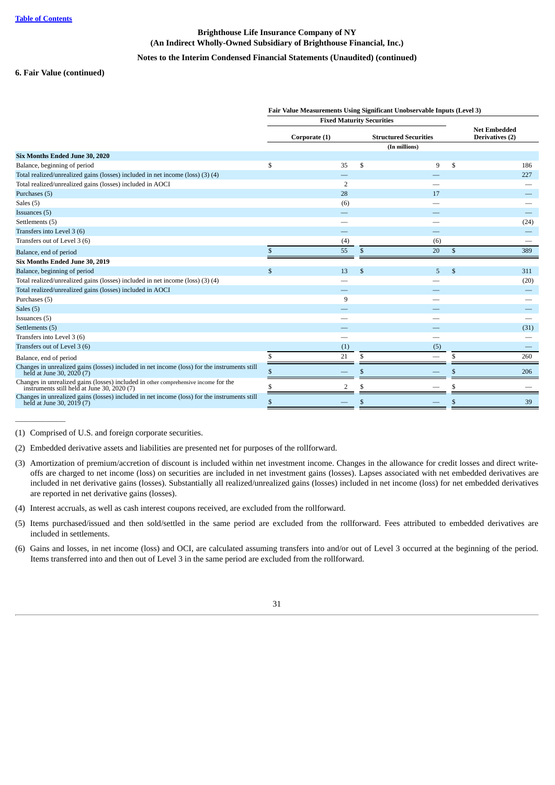## **Notes to the Interim Condensed Financial Statements (Unaudited) (continued)**

#### **6. Fair Value (continued)**

|                                                                                                                                   | Fair Value Measurements Using Significant Unobservable Inputs (Level 3)<br><b>Fixed Maturity Securities</b> |                |    |                              |    |                                        |  |  |  |  |  |
|-----------------------------------------------------------------------------------------------------------------------------------|-------------------------------------------------------------------------------------------------------------|----------------|----|------------------------------|----|----------------------------------------|--|--|--|--|--|
|                                                                                                                                   |                                                                                                             |                |    |                              |    |                                        |  |  |  |  |  |
|                                                                                                                                   |                                                                                                             | Corporate (1)  |    | <b>Structured Securities</b> |    | <b>Net Embedded</b><br>Derivatives (2) |  |  |  |  |  |
|                                                                                                                                   |                                                                                                             |                |    | (In millions)                |    |                                        |  |  |  |  |  |
| Six Months Ended June 30, 2020                                                                                                    |                                                                                                             |                |    |                              |    |                                        |  |  |  |  |  |
| Balance, beginning of period                                                                                                      | \$                                                                                                          | 35             | \$ | 9                            | \$ | 186                                    |  |  |  |  |  |
| Total realized/unrealized gains (losses) included in net income (loss) (3) (4)                                                    |                                                                                                             |                |    |                              |    | 227                                    |  |  |  |  |  |
| Total realized/unrealized gains (losses) included in AOCI                                                                         |                                                                                                             | $\overline{2}$ |    |                              |    |                                        |  |  |  |  |  |
| Purchases (5)                                                                                                                     |                                                                                                             | 28             |    | 17                           |    |                                        |  |  |  |  |  |
| Sales (5)                                                                                                                         |                                                                                                             | (6)            |    |                              |    |                                        |  |  |  |  |  |
| Issuances (5)                                                                                                                     |                                                                                                             |                |    |                              |    |                                        |  |  |  |  |  |
| Settlements (5)                                                                                                                   |                                                                                                             |                |    |                              |    | (24)                                   |  |  |  |  |  |
| Transfers into Level 3 (6)                                                                                                        |                                                                                                             |                |    |                              |    |                                        |  |  |  |  |  |
| Transfers out of Level 3 (6)                                                                                                      |                                                                                                             | (4)            |    | (6)                          |    |                                        |  |  |  |  |  |
| Balance, end of period                                                                                                            | \$                                                                                                          | 55             | \$ | 20                           | \$ | 389                                    |  |  |  |  |  |
| Six Months Ended June 30, 2019                                                                                                    |                                                                                                             |                |    |                              |    |                                        |  |  |  |  |  |
| Balance, beginning of period                                                                                                      | $\mathbb{S}$                                                                                                | 13             | \$ | 5                            | \$ | 311                                    |  |  |  |  |  |
| Total realized/unrealized gains (losses) included in net income (loss) (3) (4)                                                    |                                                                                                             |                |    |                              |    | (20)                                   |  |  |  |  |  |
| Total realized/unrealized gains (losses) included in AOCI                                                                         |                                                                                                             |                |    |                              |    |                                        |  |  |  |  |  |
| Purchases (5)                                                                                                                     |                                                                                                             | 9              |    |                              |    |                                        |  |  |  |  |  |
| Sales (5)                                                                                                                         |                                                                                                             |                |    |                              |    |                                        |  |  |  |  |  |
| Issuances (5)                                                                                                                     |                                                                                                             |                |    |                              |    |                                        |  |  |  |  |  |
| Settlements (5)                                                                                                                   |                                                                                                             |                |    |                              |    | (31)                                   |  |  |  |  |  |
| Transfers into Level 3 (6)                                                                                                        |                                                                                                             |                |    |                              |    |                                        |  |  |  |  |  |
| Transfers out of Level 3 (6)                                                                                                      |                                                                                                             | (1)            |    | (5)                          |    |                                        |  |  |  |  |  |
| Balance, end of period                                                                                                            | S                                                                                                           | 21             | \$ |                              | \$ | 260                                    |  |  |  |  |  |
| Changes in unrealized gains (losses) included in net income (loss) for the instruments still held at June 30, 2020 (7)            |                                                                                                             |                | S  |                              | \$ | 206                                    |  |  |  |  |  |
| Changes in unrealized gains (losses) included in other comprehensive income for the instruments still held at June 30, 2020 $(7)$ |                                                                                                             | $\overline{2}$ | \$ |                              |    |                                        |  |  |  |  |  |
| Changes in unrealized gains (losses) included in net income (loss) for the instruments still<br>held at June 30, 2019 (7)         | \$                                                                                                          |                | \$ |                              | \$ | 39                                     |  |  |  |  |  |

(1) Comprised of U.S. and foreign corporate securities.

 $\overline{\phantom{a}}$ 

- (2) Embedded derivative assets and liabilities are presented net for purposes of the rollforward.
- (3) Amortization of premium/accretion of discount is included within net investment income. Changes in the allowance for credit losses and direct writeoffs are charged to net income (loss) on securities are included in net investment gains (losses). Lapses associated with net embedded derivatives are included in net derivative gains (losses). Substantially all realized/unrealized gains (losses) included in net income (loss) for net embedded derivatives are reported in net derivative gains (losses).
- (4) Interest accruals, as well as cash interest coupons received, are excluded from the rollforward.
- (5) Items purchased/issued and then sold/settled in the same period are excluded from the rollforward. Fees attributed to embedded derivatives are included in settlements.
- (6) Gains and losses, in net income (loss) and OCI, are calculated assuming transfers into and/or out of Level 3 occurred at the beginning of the period. Items transferred into and then out of Level 3 in the same period are excluded from the rollforward.

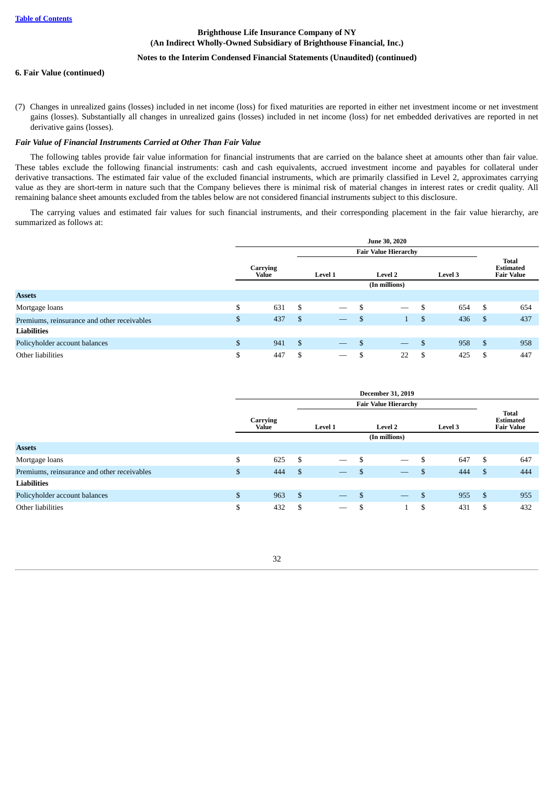## **Notes to the Interim Condensed Financial Statements (Unaudited) (continued)**

#### **6. Fair Value (continued)**

(7) Changes in unrealized gains (losses) included in net income (loss) for fixed maturities are reported in either net investment income or net investment gains (losses). Substantially all changes in unrealized gains (losses) included in net income (loss) for net embedded derivatives are reported in net derivative gains (losses).

#### *Fair Value of Financial Instruments Carried at Other Than Fair Value*

The following tables provide fair value information for financial instruments that are carried on the balance sheet at amounts other than fair value. These tables exclude the following financial instruments: cash and cash equivalents, accrued investment income and payables for collateral under derivative transactions. The estimated fair value of the excluded financial instruments, which are primarily classified in Level 2, approximates carrying value as they are short-term in nature such that the Company believes there is minimal risk of material changes in interest rates or credit quality. All remaining balance sheet amounts excluded from the tables below are not considered financial instruments subject to this disclosure.

The carrying values and estimated fair values for such financial instruments, and their corresponding placement in the fair value hierarchy, are summarized as follows at:

|                                             |                          |      |                                 | <b>June 30, 2020</b>           |           |     |                                                       |
|---------------------------------------------|--------------------------|------|---------------------------------|--------------------------------|-----------|-----|-------------------------------------------------------|
|                                             |                          |      |                                 | <b>Fair Value Hierarchy</b>    |           |     |                                                       |
|                                             | <b>Carrying</b><br>Value |      | Level 1                         | <b>Level 2</b>                 | Level 3   |     | <b>Total</b><br><b>Estimated</b><br><b>Fair Value</b> |
|                                             |                          |      |                                 | (In millions)                  |           |     |                                                       |
| <b>Assets</b>                               |                          |      |                                 |                                |           |     |                                                       |
| Mortgage loans                              | \$<br>631                | -\$  |                                 | \$<br>$\overline{\phantom{m}}$ | \$<br>654 | \$  | 654                                                   |
| Premiums, reinsurance and other receivables | \$<br>437                | -\$  | $\hspace{0.1mm}-\hspace{0.1mm}$ | \$<br>$\mathbf{1}$             | \$<br>436 | -\$ | 437                                                   |
| <b>Liabilities</b>                          |                          |      |                                 |                                |           |     |                                                       |
| Policyholder account balances               | \$<br>941                | - \$ | $\overline{\phantom{m}}$        | \$<br>$\overline{\phantom{m}}$ | \$<br>958 | \$  | 958                                                   |
| Other liabilities                           | \$<br>447                | \$   | $\hspace{0.1mm}-\hspace{0.1mm}$ | \$<br>22                       | \$<br>425 | \$  | 447                                                   |

<span id="page-32-0"></span>

|                                             |              |                   |      |                                 | <b>December 31, 2019</b>              |                |    |                                                       |
|---------------------------------------------|--------------|-------------------|------|---------------------------------|---------------------------------------|----------------|----|-------------------------------------------------------|
|                                             |              |                   |      |                                 | <b>Fair Value Hierarchy</b>           |                |    |                                                       |
|                                             |              | Carrying<br>Value |      | Level 1                         | <b>Level 2</b>                        | <b>Level 3</b> |    | <b>Total</b><br><b>Estimated</b><br><b>Fair Value</b> |
|                                             |              |                   |      |                                 | (In millions)                         |                |    |                                                       |
| <b>Assets</b>                               |              |                   |      |                                 |                                       |                |    |                                                       |
| Mortgage loans                              | \$           | 625               | -\$  |                                 | \$<br>$\overbrace{\qquad \qquad }^{}$ | \$<br>647      | S  | 647                                                   |
| Premiums, reinsurance and other receivables | \$           | 444               | -\$  | $\overline{\phantom{m}}$        | \$                                    | \$<br>444      | S. | 444                                                   |
| <b>Liabilities</b>                          |              |                   |      |                                 |                                       |                |    |                                                       |
| Policyholder account balances               | $\mathbb{S}$ | 963               | - \$ | $\overline{\phantom{m}}$        | \$<br>$\overline{\phantom{0}}$        | \$<br>955      | S. | 955                                                   |
| Other liabilities                           | \$           | 432               | S    | $\overbrace{\qquad \qquad }^{}$ | \$                                    | \$<br>431      | S  | 432                                                   |

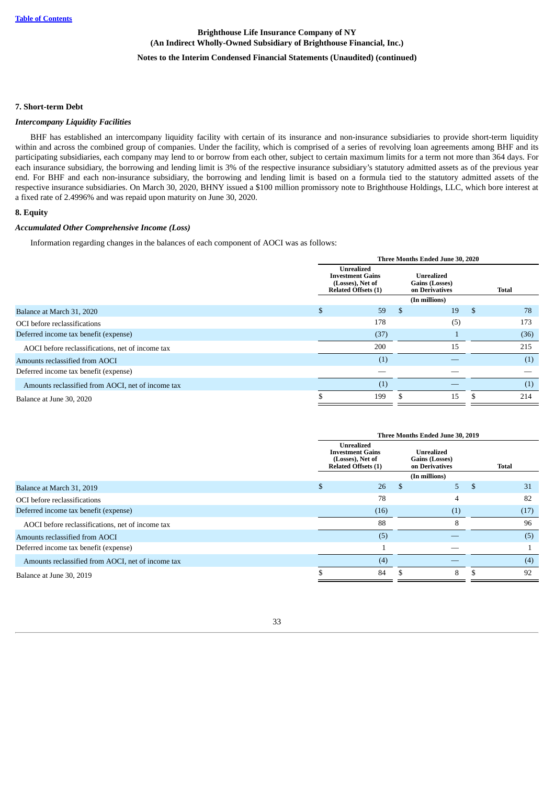## **Notes to the Interim Condensed Financial Statements (Unaudited) (continued)**

#### **7. Short-term Debt**

#### *Intercompany Liquidity Facilities*

BHF has established an intercompany liquidity facility with certain of its insurance and non-insurance subsidiaries to provide short-term liquidity within and across the combined group of companies. Under the facility, which is comprised of a series of revolving loan agreements among BHF and its participating subsidiaries, each company may lend to or borrow from each other, subject to certain maximum limits for a term not more than 364 days. For each insurance subsidiary, the borrowing and lending limit is 3% of the respective insurance subsidiary's statutory admitted assets as of the previous year end. For BHF and each non-insurance subsidiary, the borrowing and lending limit is based on a formula tied to the statutory admitted assets of the respective insurance subsidiaries. On March 30, 2020, BHNY issued a \$100 million promissory note to Brighthouse Holdings, LLC, which bore interest at a fixed rate of 2.4996% and was repaid upon maturity on June 30, 2020.

#### <span id="page-33-0"></span>**8. Equity**

### *Accumulated Other Comprehensive Income (Loss)*

Information regarding changes in the balances of each component of AOCI was as follows:

|                                                   |                                                                                                |   | Three Months Ended June 30, 2020                      |              |
|---------------------------------------------------|------------------------------------------------------------------------------------------------|---|-------------------------------------------------------|--------------|
|                                                   | <b>Unrealized</b><br><b>Investment Gains</b><br>(Losses), Net of<br><b>Related Offsets (1)</b> |   | <b>Unrealized</b><br>Gains (Losses)<br>on Derivatives | <b>Total</b> |
|                                                   |                                                                                                |   | (In millions)                                         |              |
| Balance at March 31, 2020                         | \$<br>59                                                                                       | S | 19                                                    | \$<br>78     |
| OCI before reclassifications                      | 178                                                                                            |   | (5)                                                   | 173          |
| Deferred income tax benefit (expense)             | (37)                                                                                           |   |                                                       | (36)         |
| AOCI before reclassifications, net of income tax  | 200                                                                                            |   | 15                                                    | 215          |
| Amounts reclassified from AOCI                    | (1)                                                                                            |   |                                                       | (1)          |
| Deferred income tax benefit (expense)             |                                                                                                |   |                                                       |              |
| Amounts reclassified from AOCI, net of income tax | (1)                                                                                            |   |                                                       | (1)          |
| Balance at June 30, 2020                          | 199                                                                                            |   | 15                                                    | 214          |

|                                                   |                                                                                         |   | Three Months Ended June 30, 2019               |          |
|---------------------------------------------------|-----------------------------------------------------------------------------------------|---|------------------------------------------------|----------|
|                                                   | Unrealized<br><b>Investment Gains</b><br>(Losses), Net of<br><b>Related Offsets (1)</b> |   | Unrealized<br>Gains (Losses)<br>on Derivatives | Total    |
|                                                   |                                                                                         |   | (In millions)                                  |          |
| Balance at March 31, 2019                         | 26                                                                                      | S | 5.                                             | \$<br>31 |
| OCI before reclassifications                      | 78                                                                                      |   | 4                                              | 82       |
| Deferred income tax benefit (expense)             | (16)                                                                                    |   | (1)                                            | (17)     |
| AOCI before reclassifications, net of income tax  | 88                                                                                      |   | 8                                              | 96       |
| Amounts reclassified from AOCI                    | (5)                                                                                     |   |                                                | (5)      |
| Deferred income tax benefit (expense)             |                                                                                         |   |                                                |          |
| Amounts reclassified from AOCI, net of income tax | (4)                                                                                     |   |                                                | (4)      |
| Balance at June 30, 2019                          | 84                                                                                      |   | 8                                              | 92       |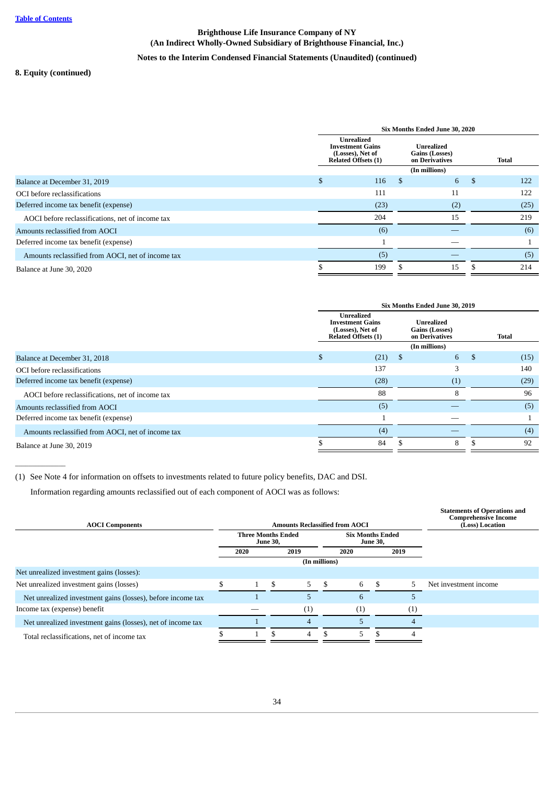## **Notes to the Interim Condensed Financial Statements (Unaudited) (continued)**

## **8. Equity (continued)**

 $\overline{\phantom{a}}$ 

|                                                   |    |                                                                                         | Six Months Ended June 30, 2020                        |     |              |
|---------------------------------------------------|----|-----------------------------------------------------------------------------------------|-------------------------------------------------------|-----|--------------|
|                                                   |    | Unrealized<br><b>Investment Gains</b><br>(Losses), Net of<br><b>Related Offsets (1)</b> | <b>Unrealized</b><br>Gains (Losses)<br>on Derivatives |     | <b>Total</b> |
|                                                   |    |                                                                                         | (In millions)                                         |     |              |
| Balance at December 31, 2019                      | \$ | 116                                                                                     | -S                                                    | 6   | \$<br>122    |
| OCI before reclassifications                      |    | 111                                                                                     |                                                       | 11  | 122          |
| Deferred income tax benefit (expense)             |    | (23)                                                                                    |                                                       | (2) | (25)         |
| AOCI before reclassifications, net of income tax  |    | 204                                                                                     |                                                       | 15  | 219          |
| Amounts reclassified from AOCI                    |    | (6)                                                                                     |                                                       |     | (6)          |
| Deferred income tax benefit (expense)             |    |                                                                                         |                                                       |     |              |
| Amounts reclassified from AOCI, net of income tax |    | (5)                                                                                     |                                                       |     | (5)          |
| Balance at June 30, 2020                          | ה. | 199                                                                                     |                                                       | 15  | 214          |

|                                                   |                                                                                                |     | Six Months Ended June 30, 2019                 |            |
|---------------------------------------------------|------------------------------------------------------------------------------------------------|-----|------------------------------------------------|------------|
|                                                   | <b>Unrealized</b><br><b>Investment Gains</b><br>(Losses), Net of<br><b>Related Offsets (1)</b> |     | Unrealized<br>Gains (Losses)<br>on Derivatives | Total      |
|                                                   |                                                                                                |     | (In millions)                                  |            |
| Balance at December 31, 2018                      | \$<br>(21)                                                                                     | -\$ | 6                                              | \$<br>(15) |
| OCI before reclassifications                      | 137                                                                                            |     |                                                | 140        |
| Deferred income tax benefit (expense)             | (28)                                                                                           |     | (1)                                            | (29)       |
| AOCI before reclassifications, net of income tax  | 88                                                                                             |     | 8                                              | 96         |
| Amounts reclassified from AOCI                    | (5)                                                                                            |     |                                                | (5)        |
| Deferred income tax benefit (expense)             |                                                                                                |     |                                                |            |
| Amounts reclassified from AOCI, net of income tax | (4)                                                                                            |     |                                                | (4)        |
| Balance at June 30, 2019                          | 84                                                                                             |     | 8                                              | 92         |

(1) See Note 4 for information on offsets to investments related to future policy benefits, DAC and DSI.

Information regarding amounts reclassified out of each component of AOCI was as follows:

<span id="page-34-0"></span>

| <b>AOCI Components</b>                                      |                           |                 | <b>Amounts Reclassified from AOCI</b> |                                            |     |                     | <b>Statements of Operations and</b><br><b>Comprehensive Income</b><br>(Loss) Location |
|-------------------------------------------------------------|---------------------------|-----------------|---------------------------------------|--------------------------------------------|-----|---------------------|---------------------------------------------------------------------------------------|
|                                                             | <b>Three Months Ended</b> | <b>June 30,</b> |                                       | <b>Six Months Ended</b><br><b>June 30,</b> |     |                     |                                                                                       |
|                                                             | 2020                      |                 | 2019                                  | 2020                                       |     | 2019                |                                                                                       |
|                                                             |                           |                 | (In millions)                         |                                            |     |                     |                                                                                       |
| Net unrealized investment gains (losses):                   |                           |                 |                                       |                                            |     |                     |                                                                                       |
| Net unrealized investment gains (losses)                    |                           | \$.             | $5 -$                                 | \$<br>6                                    | -\$ | 5                   | Net investment income                                                                 |
| Net unrealized investment gains (losses), before income tax |                           |                 | 5                                     | 6                                          |     | 5                   |                                                                                       |
| Income tax (expense) benefit                                |                           |                 | (1)                                   | (1)                                        |     | $\scriptstyle{(1)}$ |                                                                                       |
| Net unrealized investment gains (losses), net of income tax |                           |                 | 4                                     |                                            |     |                     |                                                                                       |
| Total reclassifications, net of income tax                  |                           |                 | $\overline{4}$                        | 5.                                         | -\$ | 4                   |                                                                                       |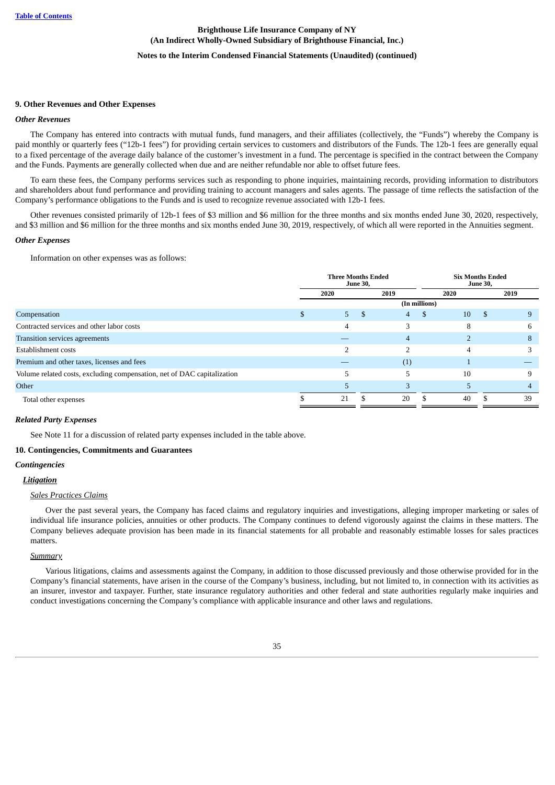### **Notes to the Interim Condensed Financial Statements (Unaudited) (continued)**

#### **9. Other Revenues and Other Expenses**

#### *Other Revenues*

The Company has entered into contracts with mutual funds, fund managers, and their affiliates (collectively, the "Funds") whereby the Company is paid monthly or quarterly fees ("12b-1 fees") for providing certain services to customers and distributors of the Funds. The 12b-1 fees are generally equal to a fixed percentage of the average daily balance of the customer's investment in a fund. The percentage is specified in the contract between the Company and the Funds. Payments are generally collected when due and are neither refundable nor able to offset future fees.

To earn these fees, the Company performs services such as responding to phone inquiries, maintaining records, providing information to distributors and shareholders about fund performance and providing training to account managers and sales agents. The passage of time reflects the satisfaction of the Company's performance obligations to the Funds and is used to recognize revenue associated with 12b-1 fees.

Other revenues consisted primarily of 12b-1 fees of \$3 million and \$6 million for the three months and six months ended June 30, 2020, respectively, and \$3 million and \$6 million for the three months and six months ended June 30, 2019, respectively, of which all were reported in the Annuities segment.

#### *Other Expenses*

Information on other expenses was as follows:

|                                                                         | <b>Three Months Ended</b> | <b>June 30,</b> |      |               | <b>Six Months Ended</b> |      |      |
|-------------------------------------------------------------------------|---------------------------|-----------------|------|---------------|-------------------------|------|------|
|                                                                         | 2020                      |                 | 2019 |               | 2020                    |      | 2019 |
|                                                                         |                           |                 |      | (In millions) |                         |      |      |
| Compensation                                                            | 5.                        | - S             | 4    | S             | 10                      | - \$ | 9    |
| Contracted services and other labor costs                               | 4                         |                 |      |               | 8                       |      | 6    |
| Transition services agreements                                          |                           |                 | 4    |               |                         |      | 8    |
| Establishment costs                                                     |                           |                 |      |               | 4                       |      | З    |
| Premium and other taxes, licenses and fees                              |                           |                 | (1)  |               |                         |      |      |
| Volume related costs, excluding compensation, net of DAC capitalization |                           |                 |      |               | 10                      |      | 9    |
| Other                                                                   | 5                         |                 |      |               |                         |      | 4    |
| Total other expenses                                                    | 21                        |                 | 20   |               | 40                      |      | 39   |

#### *Related Party Expenses*

See Note 11 for a discussion of related party expenses included in the table above.

#### <span id="page-35-0"></span>**10. Contingencies, Commitments and Guarantees**

#### *Contingencies*

#### *Litigation*

#### *Sales Practices Claims*

Over the past several years, the Company has faced claims and regulatory inquiries and investigations, alleging improper marketing or sales of individual life insurance policies, annuities or other products. The Company continues to defend vigorously against the claims in these matters. The Company believes adequate provision has been made in its financial statements for all probable and reasonably estimable losses for sales practices matters.

#### *Summary*

Various litigations, claims and assessments against the Company, in addition to those discussed previously and those otherwise provided for in the Company's financial statements, have arisen in the course of the Company's business, including, but not limited to, in connection with its activities as an insurer, investor and taxpayer. Further, state insurance regulatory authorities and other federal and state authorities regularly make inquiries and conduct investigations concerning the Company's compliance with applicable insurance and other laws and regulations.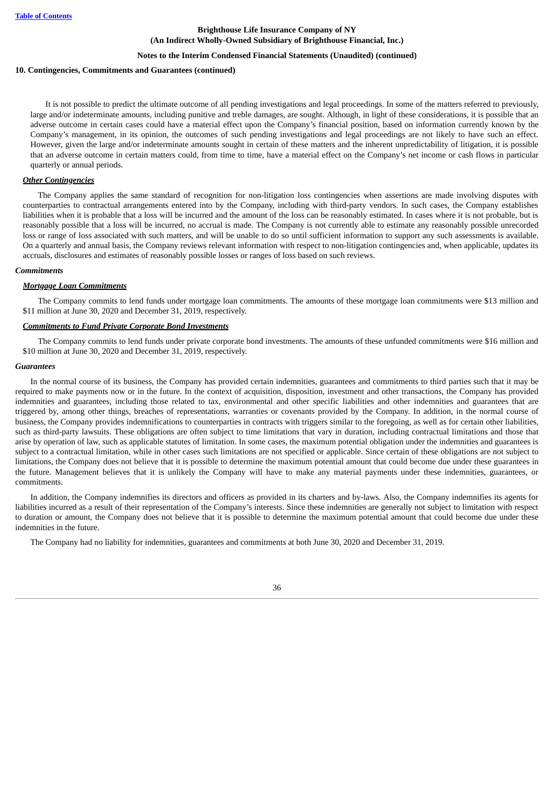#### **Notes to the Interim Condensed Financial Statements (Unaudited) (continued)**

#### **10. Contingencies, Commitments and Guarantees (continued)**

It is not possible to predict the ultimate outcome of all pending investigations and legal proceedings. In some of the matters referred to previously, large and/or indeterminate amounts, including punitive and treble damages, are sought. Although, in light of these considerations, it is possible that an adverse outcome in certain cases could have a material effect upon the Company's financial position, based on information currently known by the Company's management, in its opinion, the outcomes of such pending investigations and legal proceedings are not likely to have such an effect. However, given the large and/or indeterminate amounts sought in certain of these matters and the inherent unpredictability of litigation, it is possible that an adverse outcome in certain matters could, from time to time, have a material effect on the Company's net income or cash flows in particular quarterly or annual periods.

### *Other Contingencies*

The Company applies the same standard of recognition for non-litigation loss contingencies when assertions are made involving disputes with counterparties to contractual arrangements entered into by the Company, including with third-party vendors. In such cases, the Company establishes liabilities when it is probable that a loss will be incurred and the amount of the loss can be reasonably estimated. In cases where it is not probable, but is reasonably possible that a loss will be incurred, no accrual is made. The Company is not currently able to estimate any reasonably possible unrecorded loss or range of loss associated with such matters, and will be unable to do so until sufficient information to support any such assessments is available. On a quarterly and annual basis, the Company reviews relevant information with respect to non-litigation contingencies and, when applicable, updates its accruals, disclosures and estimates of reasonably possible losses or ranges of loss based on such reviews.

#### *Commitments*

#### *Mortgage Loan Commitments*

The Company commits to lend funds under mortgage loan commitments. The amounts of these mortgage loan commitments were \$13 million and \$11 million at June 30, 2020 and December 31, 2019, respectively.

#### *Commitments to Fund Private Corporate Bond Investments*

The Company commits to lend funds under private corporate bond investments. The amounts of these unfunded commitments were \$16 million and \$10 million at June 30, 2020 and December 31, 2019, respectively.

#### *Guarantees*

In the normal course of its business, the Company has provided certain indemnities, guarantees and commitments to third parties such that it may be required to make payments now or in the future. In the context of acquisition, disposition, investment and other transactions, the Company has provided indemnities and guarantees, including those related to tax, environmental and other specific liabilities and other indemnities and guarantees that are triggered by, among other things, breaches of representations, warranties or covenants provided by the Company. In addition, in the normal course of business, the Company provides indemnifications to counterparties in contracts with triggers similar to the foregoing, as well as for certain other liabilities, such as third-party lawsuits. These obligations are often subject to time limitations that vary in duration, including contractual limitations and those that arise by operation of law, such as applicable statutes of limitation. In some cases, the maximum potential obligation under the indemnities and guarantees is subject to a contractual limitation, while in other cases such limitations are not specified or applicable. Since certain of these obligations are not subject to limitations, the Company does not believe that it is possible to determine the maximum potential amount that could become due under these guarantees in the future. Management believes that it is unlikely the Company will have to make any material payments under these indemnities, guarantees, or commitments.

In addition, the Company indemnifies its directors and officers as provided in its charters and by-laws. Also, the Company indemnifies its agents for liabilities incurred as a result of their representation of the Company's interests. Since these indemnities are generally not subject to limitation with respect to duration or amount, the Company does not believe that it is possible to determine the maximum potential amount that could become due under these indemnities in the future.

<span id="page-36-0"></span>The Company had no liability for indemnities, guarantees and commitments at both June 30, 2020 and December 31, 2019.

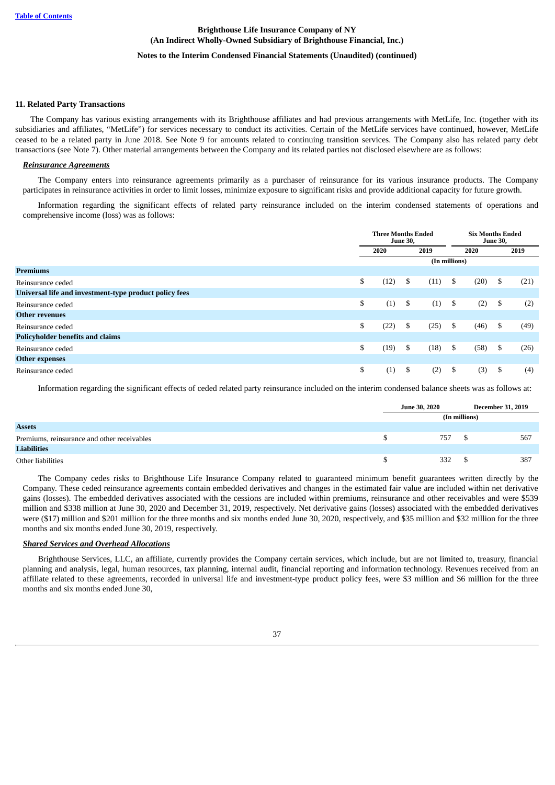## **Notes to the Interim Condensed Financial Statements (Unaudited) (continued)**

#### **11. Related Party Transactions**

The Company has various existing arrangements with its Brighthouse affiliates and had previous arrangements with MetLife, Inc. (together with its subsidiaries and affiliates, "MetLife") for services necessary to conduct its activities. Certain of the MetLife services have continued, however, MetLife ceased to be a related party in June 2018. See Note 9 for amounts related to continuing transition services. The Company also has related party debt transactions (see Note 7). Other material arrangements between the Company and its related parties not disclosed elsewhere are as follows:

### *Reinsurance Agreements*

The Company enters into reinsurance agreements primarily as a purchaser of reinsurance for its various insurance products. The Company participates in reinsurance activities in order to limit losses, minimize exposure to significant risks and provide additional capacity for future growth.

Information regarding the significant effects of related party reinsurance included on the interim condensed statements of operations and comprehensive income (loss) was as follows:

|                                                        | <b>Three Months Ended</b> | <b>June 30,</b> |               | <b>Six Months Ended</b><br><b>June 30,</b> |     |      |
|--------------------------------------------------------|---------------------------|-----------------|---------------|--------------------------------------------|-----|------|
|                                                        | 2020                      |                 | 2019          | 2020                                       |     | 2019 |
|                                                        |                           |                 | (In millions) |                                            |     |      |
| <b>Premiums</b>                                        |                           |                 |               |                                            |     |      |
| Reinsurance ceded                                      | \$<br>(12)                | \$              | (11)          | \$<br>(20)                                 | -S  | (21) |
| Universal life and investment-type product policy fees |                           |                 |               |                                            |     |      |
| Reinsurance ceded                                      | \$<br>(1)                 | \$              | (1)           | \$<br>(2)                                  | -\$ | (2)  |
| <b>Other revenues</b>                                  |                           |                 |               |                                            |     |      |
| Reinsurance ceded                                      | \$<br>(22)                | \$              | (25)          | \$<br>(46)                                 | \$  | (49) |
| <b>Policyholder benefits and claims</b>                |                           |                 |               |                                            |     |      |
| Reinsurance ceded                                      | \$<br>(19)                | \$              | (18)          | \$<br>(58)                                 | \$  | (26) |
| <b>Other expenses</b>                                  |                           |                 |               |                                            |     |      |
| Reinsurance ceded                                      | \$<br>(1)                 | \$              | (2)           | \$<br>(3)                                  | \$  | (4)  |

Information regarding the significant effects of ceded related party reinsurance included on the interim condensed balance sheets was as follows at:

|                                             | <b>June 30, 2020</b> |  | <b>December 31, 2019</b> |
|---------------------------------------------|----------------------|--|--------------------------|
|                                             | (In millions)        |  |                          |
| <b>Assets</b>                               |                      |  |                          |
| Premiums, reinsurance and other receivables | 757                  |  | 567                      |
| Liabilities                                 |                      |  |                          |
| Other liabilities                           | 332                  |  | 387                      |

The Company cedes risks to Brighthouse Life Insurance Company related to guaranteed minimum benefit guarantees written directly by the Company. These ceded reinsurance agreements contain embedded derivatives and changes in the estimated fair value are included within net derivative gains (losses). The embedded derivatives associated with the cessions are included within premiums, reinsurance and other receivables and were \$539 million and \$338 million at June 30, 2020 and December 31, 2019, respectively. Net derivative gains (losses) associated with the embedded derivatives were (\$17) million and \$201 million for the three months and six months ended June 30, 2020, respectively, and \$35 million and \$32 million for the three months and six months ended June 30, 2019, respectively.

### *Shared Services and Overhead Allocations*

Brighthouse Services, LLC, an affiliate, currently provides the Company certain services, which include, but are not limited to, treasury, financial planning and analysis, legal, human resources, tax planning, internal audit, financial reporting and information technology. Revenues received from an affiliate related to these agreements, recorded in universal life and investment-type product policy fees, were \$3 million and \$6 million for the three months and six months ended June 30,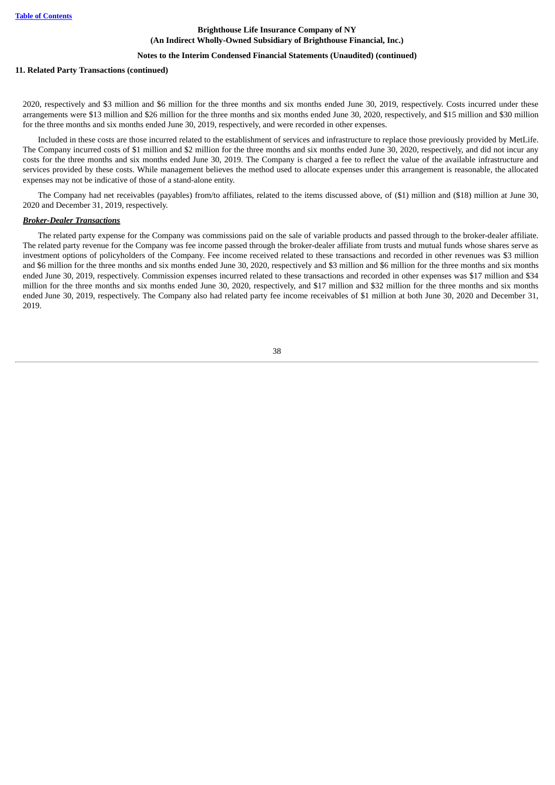## **Notes to the Interim Condensed Financial Statements (Unaudited) (continued)**

#### **11. Related Party Transactions (continued)**

2020, respectively and \$3 million and \$6 million for the three months and six months ended June 30, 2019, respectively. Costs incurred under these arrangements were \$13 million and \$26 million for the three months and six months ended June 30, 2020, respectively, and \$15 million and \$30 million for the three months and six months ended June 30, 2019, respectively, and were recorded in other expenses.

Included in these costs are those incurred related to the establishment of services and infrastructure to replace those previously provided by MetLife. The Company incurred costs of \$1 million and \$2 million for the three months and six months ended June 30, 2020, respectively, and did not incur any costs for the three months and six months ended June 30, 2019. The Company is charged a fee to reflect the value of the available infrastructure and services provided by these costs. While management believes the method used to allocate expenses under this arrangement is reasonable, the allocated expenses may not be indicative of those of a stand-alone entity.

The Company had net receivables (payables) from/to affiliates, related to the items discussed above, of (\$1) million and (\$18) million at June 30, 2020 and December 31, 2019, respectively.

### *Broker-Dealer Transactions*

<span id="page-38-0"></span>The related party expense for the Company was commissions paid on the sale of variable products and passed through to the broker-dealer affiliate. The related party revenue for the Company was fee income passed through the broker-dealer affiliate from trusts and mutual funds whose shares serve as investment options of policyholders of the Company. Fee income received related to these transactions and recorded in other revenues was \$3 million and \$6 million for the three months and six months ended June 30, 2020, respectively and \$3 million and \$6 million for the three months and six months ended June 30, 2019, respectively. Commission expenses incurred related to these transactions and recorded in other expenses was \$17 million and \$34 million for the three months and six months ended June 30, 2020, respectively, and \$17 million and \$32 million for the three months and six months ended June 30, 2019, respectively. The Company also had related party fee income receivables of \$1 million at both June 30, 2020 and December 31, 2019.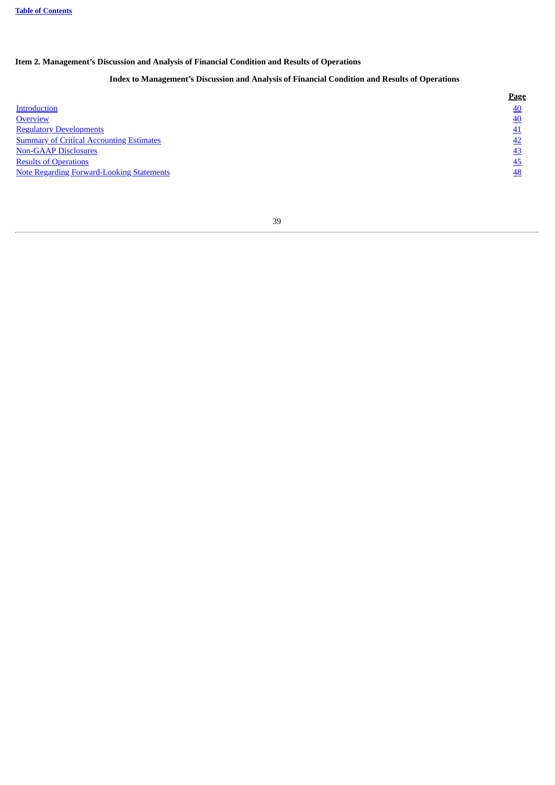## **Item 2. Management's Discussion and Analysis of Financial Condition and Results of Operations**

## **Index to Management's Discussion and Analysis of Financial Condition and Results of Operations**

<span id="page-39-0"></span>

|                                                  | Page |
|--------------------------------------------------|------|
| Introduction                                     | 40   |
| Overview                                         | 40   |
| <b>Regulatory Developments</b>                   | 41   |
| <b>Summary of Critical Accounting Estimates</b>  | 42   |
| <b>Non-GAAP Disclosures</b>                      | -43  |
| <b>Results of Operations</b>                     | 45   |
| <b>Note Regarding Forward-Looking Statements</b> | 48   |
|                                                  |      |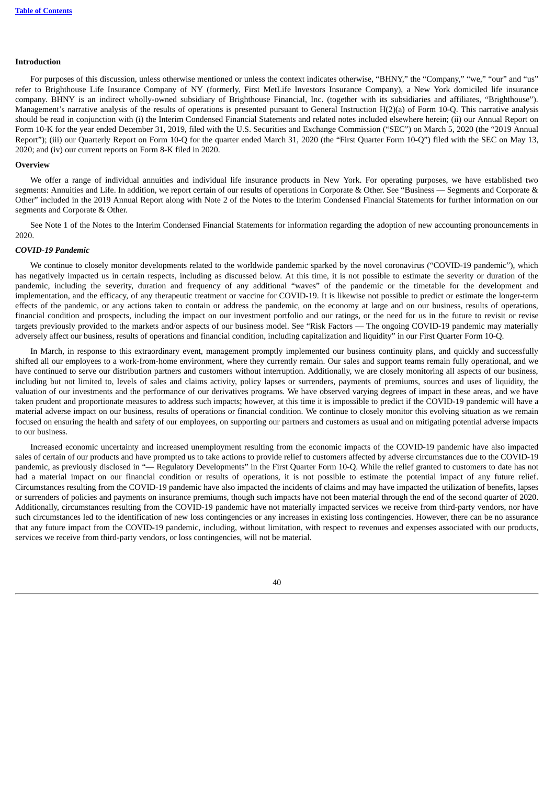#### **Introduction**

For purposes of this discussion, unless otherwise mentioned or unless the context indicates otherwise, "BHNY," the "Company," "we," "our" and "us" refer to Brighthouse Life Insurance Company of NY (formerly, First MetLife Investors Insurance Company), a New York domiciled life insurance company. BHNY is an indirect wholly-owned subsidiary of Brighthouse Financial, Inc. (together with its subsidiaries and affiliates, "Brighthouse"). Management's narrative analysis of the results of operations is presented pursuant to General Instruction  $H(2)(a)$  of Form 10-Q. This narrative analysis should be read in conjunction with (i) the Interim Condensed Financial Statements and related notes included elsewhere herein; (ii) our Annual Report on Form 10-K for the year ended December 31, 2019, filed with the U.S. Securities and Exchange Commission ("SEC") on March 5, 2020 (the "2019 Annual Report"); (iii) our Quarterly Report on Form 10-Q for the quarter ended March 31, 2020 (the "First Quarter Form 10-Q") filed with the SEC on May 13, 2020; and (iv) our current reports on Form 8-K filed in 2020.

#### <span id="page-40-0"></span>**Overview**

We offer a range of individual annuities and individual life insurance products in New York. For operating purposes, we have established two segments: Annuities and Life. In addition, we report certain of our results of operations in Corporate & Other. See "Business — Segments and Corporate & Other" included in the 2019 Annual Report along with Note 2 of the Notes to the Interim Condensed Financial Statements for further information on our segments and Corporate & Other.

See Note 1 of the Notes to the Interim Condensed Financial Statements for information regarding the adoption of new accounting pronouncements in 2020.

### *COVID-19 Pandemic*

We continue to closely monitor developments related to the worldwide pandemic sparked by the novel coronavirus ("COVID-19 pandemic"), which has negatively impacted us in certain respects, including as discussed below. At this time, it is not possible to estimate the severity or duration of the pandemic, including the severity, duration and frequency of any additional "waves" of the pandemic or the timetable for the development and implementation, and the efficacy, of any therapeutic treatment or vaccine for COVID-19. It is likewise not possible to predict or estimate the longer-term effects of the pandemic, or any actions taken to contain or address the pandemic, on the economy at large and on our business, results of operations, financial condition and prospects, including the impact on our investment portfolio and our ratings, or the need for us in the future to revisit or revise targets previously provided to the markets and/or aspects of our business model. See "Risk Factors — The ongoing COVID-19 pandemic may materially adversely affect our business, results of operations and financial condition, including capitalization and liquidity" in our First Quarter Form 10-Q.

In March, in response to this extraordinary event, management promptly implemented our business continuity plans, and quickly and successfully shifted all our employees to a work-from-home environment, where they currently remain. Our sales and support teams remain fully operational, and we have continued to serve our distribution partners and customers without interruption. Additionally, we are closely monitoring all aspects of our business, including but not limited to, levels of sales and claims activity, policy lapses or surrenders, payments of premiums, sources and uses of liquidity, the valuation of our investments and the performance of our derivatives programs. We have observed varying degrees of impact in these areas, and we have taken prudent and proportionate measures to address such impacts; however, at this time it is impossible to predict if the COVID-19 pandemic will have a material adverse impact on our business, results of operations or financial condition. We continue to closely monitor this evolving situation as we remain focused on ensuring the health and safety of our employees, on supporting our partners and customers as usual and on mitigating potential adverse impacts to our business.

Increased economic uncertainty and increased unemployment resulting from the economic impacts of the COVID-19 pandemic have also impacted sales of certain of our products and have prompted us to take actions to provide relief to customers affected by adverse circumstances due to the COVID-19 pandemic, as previously disclosed in "-Regulatory Developments" in the First Quarter Form 10-Q. While the relief granted to customers to date has not had a material impact on our financial condition or results of operations, it is not possible to estimate the potential impact of any future relief. Circumstances resulting from the COVID-19 pandemic have also impacted the incidents of claims and may have impacted the utilization of benefits, lapses or surrenders of policies and payments on insurance premiums, though such impacts have not been material through the end of the second quarter of 2020. Additionally, circumstances resulting from the COVID-19 pandemic have not materially impacted services we receive from third-party vendors, nor have such circumstances led to the identification of new loss contingencies or any increases in existing loss contingencies. However, there can be no assurance that any future impact from the COVID-19 pandemic, including, without limitation, with respect to revenues and expenses associated with our products, services we receive from third-party vendors, or loss contingencies, will not be material.

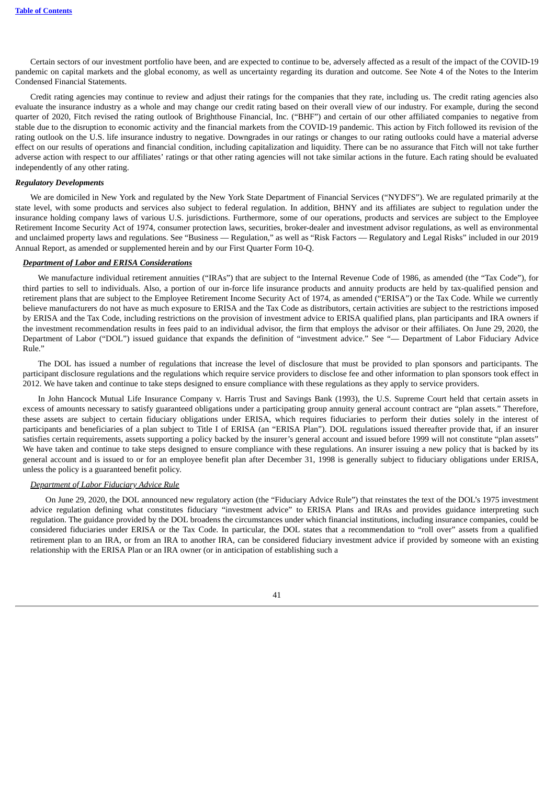Certain sectors of our investment portfolio have been, and are expected to continue to be, adversely affected as a result of the impact of the COVID-19 pandemic on capital markets and the global economy, as well as uncertainty regarding its duration and outcome. See Note 4 of the Notes to the Interim Condensed Financial Statements.

Credit rating agencies may continue to review and adjust their ratings for the companies that they rate, including us. The credit rating agencies also evaluate the insurance industry as a whole and may change our credit rating based on their overall view of our industry. For example, during the second quarter of 2020, Fitch revised the rating outlook of Brighthouse Financial, Inc. ("BHF") and certain of our other affiliated companies to negative from stable due to the disruption to economic activity and the financial markets from the COVID-19 pandemic. This action by Fitch followed its revision of the rating outlook on the U.S. life insurance industry to negative. Downgrades in our ratings or changes to our rating outlooks could have a material adverse effect on our results of operations and financial condition, including capitalization and liquidity. There can be no assurance that Fitch will not take further adverse action with respect to our affiliates' ratings or that other rating agencies will not take similar actions in the future. Each rating should be evaluated independently of any other rating.

#### <span id="page-41-0"></span>*Regulatory Developments*

We are domiciled in New York and regulated by the New York State Department of Financial Services ("NYDFS"). We are regulated primarily at the state level, with some products and services also subject to federal regulation. In addition, BHNY and its affiliates are subject to regulation under the insurance holding company laws of various U.S. jurisdictions. Furthermore, some of our operations, products and services are subject to the Employee Retirement Income Security Act of 1974, consumer protection laws, securities, broker-dealer and investment advisor regulations, as well as environmental and unclaimed property laws and regulations. See "Business — Regulation," as well as "Risk Factors — Regulatory and Legal Risks" included in our 2019 Annual Report, as amended or supplemented herein and by our First Quarter Form 10-Q.

#### *Department of Labor and ERISA Considerations*

We manufacture individual retirement annuities ("IRAs") that are subject to the Internal Revenue Code of 1986, as amended (the "Tax Code"), for third parties to sell to individuals. Also, a portion of our in-force life insurance products and annuity products are held by tax-qualified pension and retirement plans that are subject to the Employee Retirement Income Security Act of 1974, as amended ("ERISA") or the Tax Code. While we currently believe manufacturers do not have as much exposure to ERISA and the Tax Code as distributors, certain activities are subject to the restrictions imposed by ERISA and the Tax Code, including restrictions on the provision of investment advice to ERISA qualified plans, plan participants and IRA owners if the investment recommendation results in fees paid to an individual advisor, the firm that employs the advisor or their affiliates. On June 29, 2020, the Department of Labor ("DOL") issued guidance that expands the definition of "investment advice." See "— Department of Labor Fiduciary Advice Rule."

The DOL has issued a number of regulations that increase the level of disclosure that must be provided to plan sponsors and participants. The participant disclosure regulations and the regulations which require service providers to disclose fee and other information to plan sponsors took effect in 2012. We have taken and continue to take steps designed to ensure compliance with these regulations as they apply to service providers.

In John Hancock Mutual Life Insurance Company v. Harris Trust and Savings Bank (1993), the U.S. Supreme Court held that certain assets in excess of amounts necessary to satisfy guaranteed obligations under a participating group annuity general account contract are "plan assets." Therefore, these assets are subject to certain fiduciary obligations under ERISA, which requires fiduciaries to perform their duties solely in the interest of participants and beneficiaries of a plan subject to Title I of ERISA (an "ERISA Plan"). DOL regulations issued thereafter provide that, if an insurer satisfies certain requirements, assets supporting a policy backed by the insurer's general account and issued before 1999 will not constitute "plan assets" We have taken and continue to take steps designed to ensure compliance with these regulations. An insurer issuing a new policy that is backed by its general account and is issued to or for an employee benefit plan after December 31, 1998 is generally subject to fiduciary obligations under ERISA, unless the policy is a guaranteed benefit policy.

#### *Department of Labor Fiduciary Advice Rule*

On June 29, 2020, the DOL announced new regulatory action (the "Fiduciary Advice Rule") that reinstates the text of the DOL's 1975 investment advice regulation defining what constitutes fiduciary "investment advice" to ERISA Plans and IRAs and provides guidance interpreting such regulation. The guidance provided by the DOL broadens the circumstances under which financial institutions, including insurance companies, could be considered fiduciaries under ERISA or the Tax Code. In particular, the DOL states that a recommendation to "roll over" assets from a qualified retirement plan to an IRA, or from an IRA to another IRA, can be considered fiduciary investment advice if provided by someone with an existing relationship with the ERISA Plan or an IRA owner (or in anticipation of establishing such a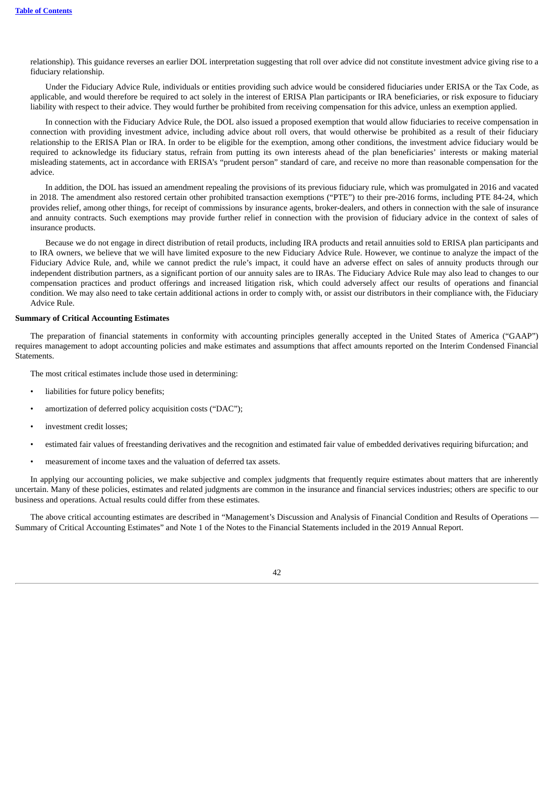relationship). This guidance reverses an earlier DOL interpretation suggesting that roll over advice did not constitute investment advice giving rise to a fiduciary relationship.

Under the Fiduciary Advice Rule, individuals or entities providing such advice would be considered fiduciaries under ERISA or the Tax Code, as applicable, and would therefore be required to act solely in the interest of ERISA Plan participants or IRA beneficiaries, or risk exposure to fiduciary liability with respect to their advice. They would further be prohibited from receiving compensation for this advice, unless an exemption applied.

In connection with the Fiduciary Advice Rule, the DOL also issued a proposed exemption that would allow fiduciaries to receive compensation in connection with providing investment advice, including advice about roll overs, that would otherwise be prohibited as a result of their fiduciary relationship to the ERISA Plan or IRA. In order to be eligible for the exemption, among other conditions, the investment advice fiduciary would be required to acknowledge its fiduciary status, refrain from putting its own interests ahead of the plan beneficiaries' interests or making material misleading statements, act in accordance with ERISA's "prudent person" standard of care, and receive no more than reasonable compensation for the advice.

In addition, the DOL has issued an amendment repealing the provisions of its previous fiduciary rule, which was promulgated in 2016 and vacated in 2018. The amendment also restored certain other prohibited transaction exemptions ("PTE") to their pre-2016 forms, including PTE 84-24, which provides relief, among other things, for receipt of commissions by insurance agents, broker-dealers, and others in connection with the sale of insurance and annuity contracts. Such exemptions may provide further relief in connection with the provision of fiduciary advice in the context of sales of insurance products.

Because we do not engage in direct distribution of retail products, including IRA products and retail annuities sold to ERISA plan participants and to IRA owners, we believe that we will have limited exposure to the new Fiduciary Advice Rule. However, we continue to analyze the impact of the Fiduciary Advice Rule, and, while we cannot predict the rule's impact, it could have an adverse effect on sales of annuity products through our independent distribution partners, as a significant portion of our annuity sales are to IRAs. The Fiduciary Advice Rule may also lead to changes to our compensation practices and product offerings and increased litigation risk, which could adversely affect our results of operations and financial condition. We may also need to take certain additional actions in order to comply with, or assist our distributors in their compliance with, the Fiduciary Advice Rule.

#### <span id="page-42-0"></span>**Summary of Critical Accounting Estimates**

The preparation of financial statements in conformity with accounting principles generally accepted in the United States of America ("GAAP") requires management to adopt accounting policies and make estimates and assumptions that affect amounts reported on the Interim Condensed Financial Statements.

The most critical estimates include those used in determining:

- liabilities for future policy benefits;
- amortization of deferred policy acquisition costs ("DAC");
- investment credit losses:
- estimated fair values of freestanding derivatives and the recognition and estimated fair value of embedded derivatives requiring bifurcation; and
- measurement of income taxes and the valuation of deferred tax assets.

In applying our accounting policies, we make subjective and complex judgments that frequently require estimates about matters that are inherently uncertain. Many of these policies, estimates and related judgments are common in the insurance and financial services industries; others are specific to our business and operations. Actual results could differ from these estimates.

<span id="page-42-1"></span>The above critical accounting estimates are described in "Management's Discussion and Analysis of Financial Condition and Results of Operations — Summary of Critical Accounting Estimates" and Note 1 of the Notes to the Financial Statements included in the 2019 Annual Report.

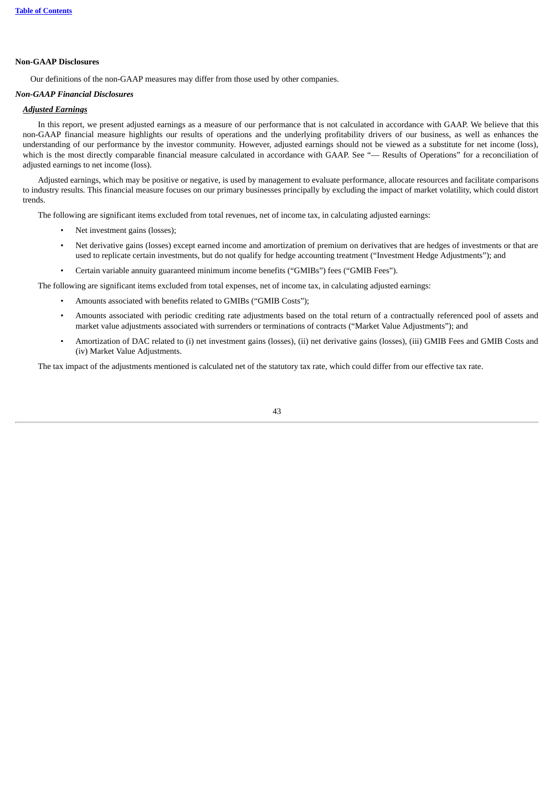### **Non-GAAP Disclosures**

Our definitions of the non-GAAP measures may differ from those used by other companies.

## *Non-GAAP Financial Disclosures*

## *Adjusted Earnings*

In this report, we present adjusted earnings as a measure of our performance that is not calculated in accordance with GAAP. We believe that this non-GAAP financial measure highlights our results of operations and the underlying profitability drivers of our business, as well as enhances the understanding of our performance by the investor community. However, adjusted earnings should not be viewed as a substitute for net income (loss), which is the most directly comparable financial measure calculated in accordance with GAAP. See "— Results of Operations" for a reconciliation of adjusted earnings to net income (loss).

Adjusted earnings, which may be positive or negative, is used by management to evaluate performance, allocate resources and facilitate comparisons to industry results. This financial measure focuses on our primary businesses principally by excluding the impact of market volatility, which could distort trends.

The following are significant items excluded from total revenues, net of income tax, in calculating adjusted earnings:

- Net investment gains (losses);
- Net derivative gains (losses) except earned income and amortization of premium on derivatives that are hedges of investments or that are used to replicate certain investments, but do not qualify for hedge accounting treatment ("Investment Hedge Adjustments"); and
- Certain variable annuity guaranteed minimum income benefits ("GMIBs") fees ("GMIB Fees").

The following are significant items excluded from total expenses, net of income tax, in calculating adjusted earnings:

- Amounts associated with benefits related to GMIBs ("GMIB Costs");
- Amounts associated with periodic crediting rate adjustments based on the total return of a contractually referenced pool of assets and market value adjustments associated with surrenders or terminations of contracts ("Market Value Adjustments"); and
- Amortization of DAC related to (i) net investment gains (losses), (ii) net derivative gains (losses), (iii) GMIB Fees and GMIB Costs and (iv) Market Value Adjustments.

The tax impact of the adjustments mentioned is calculated net of the statutory tax rate, which could differ from our effective tax rate.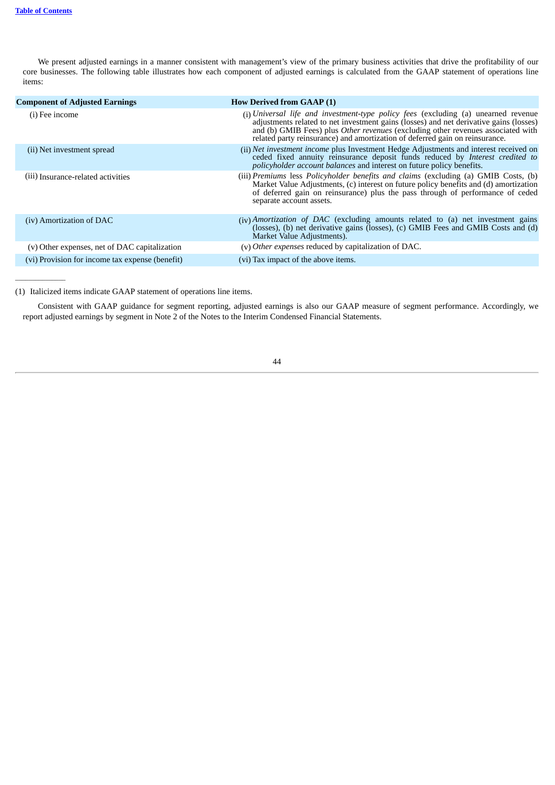$\overline{\phantom{a}}$ 

We present adjusted earnings in a manner consistent with management's view of the primary business activities that drive the profitability of our core businesses. The following table illustrates how each component of adjusted earnings is calculated from the GAAP statement of operations line items:

| <b>Component of Adjusted Earnings</b>           | <b>How Derived from GAAP (1)</b>                                                                                                                                                                                                                                                                                                                 |
|-------------------------------------------------|--------------------------------------------------------------------------------------------------------------------------------------------------------------------------------------------------------------------------------------------------------------------------------------------------------------------------------------------------|
| (i) Fee income                                  | (i) Universal life and investment-type policy fees (excluding (a) unearned revenue<br>adjustments related to net investment gains (losses) and net derivative gains (losses)<br>and (b) GMIB Fees) plus Other revenues (excluding other revenues associated with<br>related party reinsurance) and amortization of deferred gain on reinsurance. |
| (ii) Net investment spread                      | (ii) Net investment income plus Investment Hedge Adjustments and interest received on<br>ceded fixed annuity reinsurance deposit funds reduced by Interest credited to<br>policyholder account balances and interest on future policy benefits.                                                                                                  |
| (iii) Insurance-related activities              | (iii) Premiums less Policyholder benefits and claims (excluding (a) GMIB Costs, (b)<br>Market Value Adjustments, (c) interest on future policy benefits and (d) amortization<br>of deferred gain on reinsurance) plus the pass through of performance of ceded<br>separate account assets.                                                       |
| (iv) Amortization of DAC                        | (iv) Amortization of DAC (excluding amounts related to (a) net investment gains<br>(losses), (b) net derivative gains (losses), (c) GMIB Fees and GMIB Costs and (d)<br>Market Value Adjustments).                                                                                                                                               |
| (v) Other expenses, net of DAC capitalization   | (v) Other expenses reduced by capitalization of DAC.                                                                                                                                                                                                                                                                                             |
| (vi) Provision for income tax expense (benefit) | (vi) Tax impact of the above items.                                                                                                                                                                                                                                                                                                              |

(1) Italicized items indicate GAAP statement of operations line items.

<span id="page-44-0"></span>Consistent with GAAP guidance for segment reporting, adjusted earnings is also our GAAP measure of segment performance. Accordingly, we report adjusted earnings by segment in Note 2 of the Notes to the Interim Condensed Financial Statements.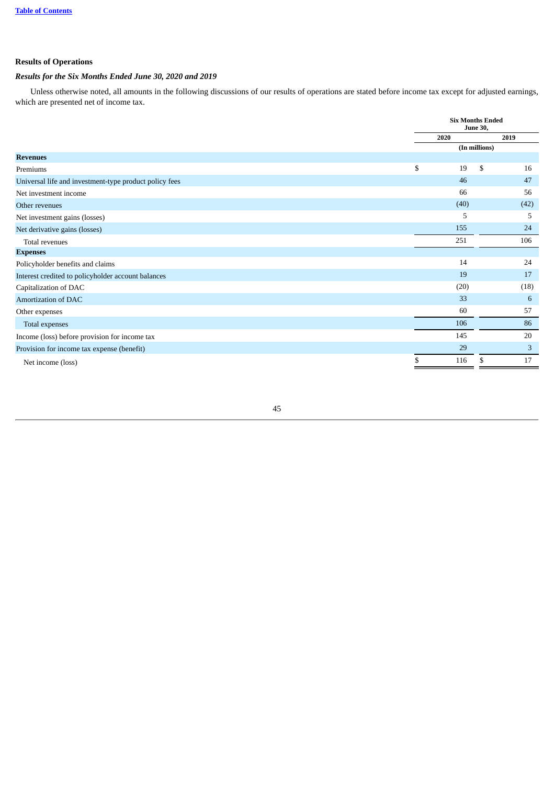## **Results of Operations**

## *Results for the Six Months Ended June 30, 2020 and 2019*

Unless otherwise noted, all amounts in the following discussions of our results of operations are stated before income tax except for adjusted earnings, which are presented net of income tax.

|                                                        | <b>Six Months Ended</b><br><b>June 30,</b> |      |      |      |
|--------------------------------------------------------|--------------------------------------------|------|------|------|
|                                                        | 2020                                       |      | 2019 |      |
|                                                        | (In millions)                              |      |      |      |
| <b>Revenues</b>                                        |                                            |      |      |      |
| Premiums                                               | \$                                         | 19   | \$   | 16   |
| Universal life and investment-type product policy fees |                                            | 46   |      | 47   |
| Net investment income                                  |                                            | 66   |      | 56   |
| Other revenues                                         |                                            | (40) |      | (42) |
| Net investment gains (losses)                          |                                            | 5    |      | 5    |
| Net derivative gains (losses)                          |                                            | 155  |      | 24   |
| Total revenues                                         |                                            | 251  |      | 106  |
| <b>Expenses</b>                                        |                                            |      |      |      |
| Policyholder benefits and claims                       |                                            | 14   |      | 24   |
| Interest credited to policyholder account balances     |                                            | 19   |      | 17   |
| Capitalization of DAC                                  |                                            | (20) |      | (18) |
| <b>Amortization of DAC</b>                             |                                            | 33   |      | 6    |
| Other expenses                                         |                                            | 60   |      | 57   |
| Total expenses                                         |                                            | 106  |      | 86   |
| Income (loss) before provision for income tax          |                                            | 145  |      | 20   |
| Provision for income tax expense (benefit)             |                                            | 29   |      | 3    |
| Net income (loss)                                      | \$                                         | 116  | \$   | 17   |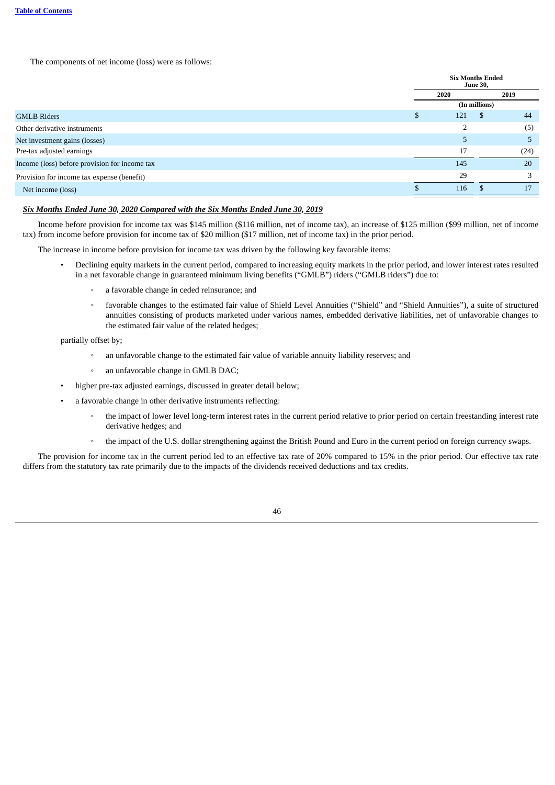The components of net income (loss) were as follows:

|                                               | <b>Six Months Ended</b><br><b>June 30,</b> |         |  |
|-----------------------------------------------|--------------------------------------------|---------|--|
|                                               | 2020                                       | 2019    |  |
|                                               | (In millions)                              |         |  |
| <b>GMLB Riders</b>                            | 121                                        | 44<br>S |  |
| Other derivative instruments                  | $\overline{2}$                             | (5)     |  |
| Net investment gains (losses)                 | 5                                          | Ъ       |  |
| Pre-tax adjusted earnings                     | 17                                         | (24)    |  |
| Income (loss) before provision for income tax | 145                                        | 20      |  |
| Provision for income tax expense (benefit)    | 29                                         | 3       |  |
| Net income (loss)                             | 116                                        | 17      |  |
|                                               |                                            |         |  |

## *Six Months Ended June 30, 2020 Compared with the Six Months Ended June 30, 2019*

Income before provision for income tax was \$145 million (\$116 million, net of income tax), an increase of \$125 million (\$99 million, net of income tax) from income before provision for income tax of \$20 million (\$17 million, net of income tax) in the prior period.

The increase in income before provision for income tax was driven by the following key favorable items:

- Declining equity markets in the current period, compared to increasing equity markets in the prior period, and lower interest rates resulted in a net favorable change in guaranteed minimum living benefits ("GMLB") riders ("GMLB riders") due to:
	- a favorable change in ceded reinsurance; and
	- favorable changes to the estimated fair value of Shield Level Annuities ("Shield" and "Shield Annuities"), a suite of structured annuities consisting of products marketed under various names, embedded derivative liabilities, net of unfavorable changes to the estimated fair value of the related hedges;

partially offset by;

- an unfavorable change to the estimated fair value of variable annuity liability reserves; and
- an unfavorable change in GMLB DAC;
- higher pre-tax adjusted earnings, discussed in greater detail below;
- a favorable change in other derivative instruments reflecting:
	- the impact of lower level long-term interest rates in the current period relative to prior period on certain freestanding interest rate derivative hedges; and
	- the impact of the U.S. dollar strengthening against the British Pound and Euro in the current period on foreign currency swaps.

The provision for income tax in the current period led to an effective tax rate of 20% compared to 15% in the prior period. Our effective tax rate differs from the statutory tax rate primarily due to the impacts of the dividends received deductions and tax credits.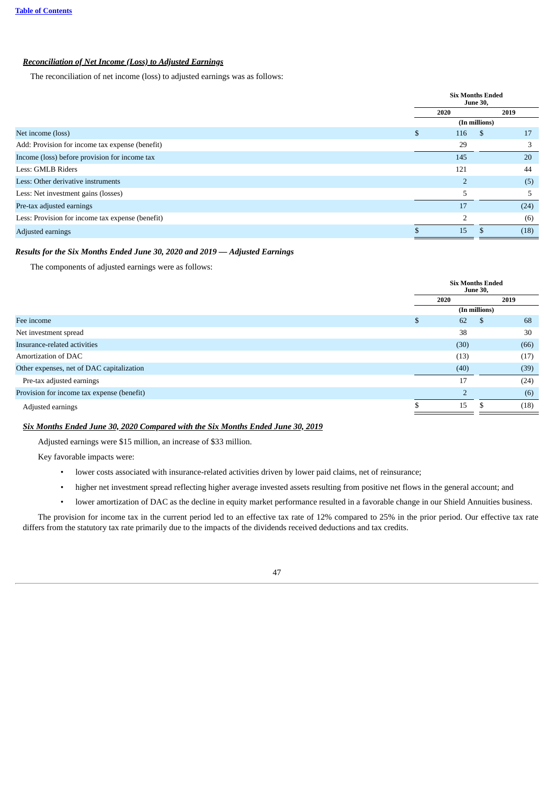## *Reconciliation of Net Income (Loss) to Adjusted Earnings*

The reconciliation of net income (loss) to adjusted earnings was as follows:

|                                                  | <b>Six Months Ended</b><br><b>June 30,</b> |                |      |      |
|--------------------------------------------------|--------------------------------------------|----------------|------|------|
|                                                  | 2020                                       |                | 2019 |      |
|                                                  | (In millions)                              |                |      |      |
| Net income (loss)                                | \$                                         | 116            | -S   | 17   |
| Add: Provision for income tax expense (benefit)  |                                            | 29             |      | 3    |
| Income (loss) before provision for income tax    |                                            | 145            |      | 20   |
| Less: GMLB Riders                                |                                            | 121            |      | 44   |
| Less: Other derivative instruments               |                                            | $\overline{2}$ |      | (5)  |
| Less: Net investment gains (losses)              |                                            | 5              |      | 5    |
| Pre-tax adjusted earnings                        |                                            | 17             |      | (24) |
| Less: Provision for income tax expense (benefit) |                                            | $\mathcal{P}$  |      | (6)  |
| Adjusted earnings                                |                                            | 15             |      | (18) |

## *Results for the Six Months Ended June 30, 2020 and 2019 — Adjusted Earnings*

The components of adjusted earnings were as follows:

|                                            |      | <b>Six Months Ended</b><br><b>June 30,</b> |      |  |
|--------------------------------------------|------|--------------------------------------------|------|--|
|                                            | 2020 |                                            | 2019 |  |
|                                            |      | (In millions)                              |      |  |
| Fee income                                 | S    | 62<br>-S                                   | 68   |  |
| Net investment spread                      |      | 38                                         | 30   |  |
| Insurance-related activities               |      | (30)                                       | (66) |  |
| Amortization of DAC                        |      | (13)                                       | (17) |  |
| Other expenses, net of DAC capitalization  |      | (40)                                       | (39) |  |
| Pre-tax adjusted earnings                  |      | 17                                         | (24) |  |
| Provision for income tax expense (benefit) |      | $\overline{2}$                             | (6)  |  |
| Adjusted earnings                          |      | 15                                         | (18) |  |
|                                            |      |                                            |      |  |

## *Six Months Ended June 30, 2020 Compared with the Six Months Ended June 30, 2019*

Adjusted earnings were \$15 million, an increase of \$33 million.

Key favorable impacts were:

- lower costs associated with insurance-related activities driven by lower paid claims, net of reinsurance;
- higher net investment spread reflecting higher average invested assets resulting from positive net flows in the general account; and
- lower amortization of DAC as the decline in equity market performance resulted in a favorable change in our Shield Annuities business.

<span id="page-47-0"></span>The provision for income tax in the current period led to an effective tax rate of 12% compared to 25% in the prior period. Our effective tax rate differs from the statutory tax rate primarily due to the impacts of the dividends received deductions and tax credits.

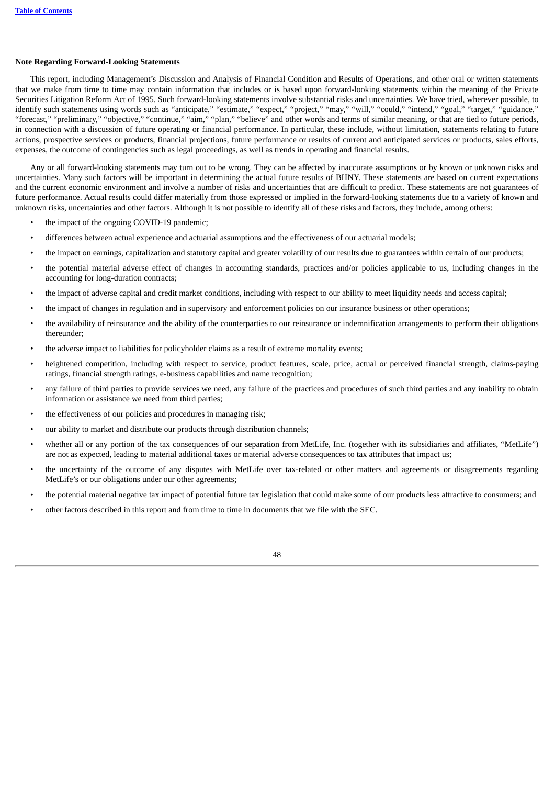#### **Note Regarding Forward-Looking Statements**

This report, including Management's Discussion and Analysis of Financial Condition and Results of Operations, and other oral or written statements that we make from time to time may contain information that includes or is based upon forward-looking statements within the meaning of the Private Securities Litigation Reform Act of 1995. Such forward-looking statements involve substantial risks and uncertainties. We have tried, wherever possible, to identify such statements using words such as "anticipate," "estimate," "expect," "project," "may," "will," "could," "intend," "goal," "target," "guidance," "forecast," "preliminary," "objective," "continue," "aim," "plan," "believe" and other words and terms of similar meaning, or that are tied to future periods, in connection with a discussion of future operating or financial performance. In particular, these include, without limitation, statements relating to future actions, prospective services or products, financial projections, future performance or results of current and anticipated services or products, sales efforts, expenses, the outcome of contingencies such as legal proceedings, as well as trends in operating and financial results.

Any or all forward-looking statements may turn out to be wrong. They can be affected by inaccurate assumptions or by known or unknown risks and uncertainties. Many such factors will be important in determining the actual future results of BHNY. These statements are based on current expectations and the current economic environment and involve a number of risks and uncertainties that are difficult to predict. These statements are not guarantees of future performance. Actual results could differ materially from those expressed or implied in the forward-looking statements due to a variety of known and unknown risks, uncertainties and other factors. Although it is not possible to identify all of these risks and factors, they include, among others:

- the impact of the ongoing COVID-19 pandemic;
- differences between actual experience and actuarial assumptions and the effectiveness of our actuarial models;
- the impact on earnings, capitalization and statutory capital and greater volatility of our results due to guarantees within certain of our products;
- the potential material adverse effect of changes in accounting standards, practices and/or policies applicable to us, including changes in the accounting for long-duration contracts;
- the impact of adverse capital and credit market conditions, including with respect to our ability to meet liquidity needs and access capital;
- the impact of changes in regulation and in supervisory and enforcement policies on our insurance business or other operations;
- the availability of reinsurance and the ability of the counterparties to our reinsurance or indemnification arrangements to perform their obligations thereunder;
- the adverse impact to liabilities for policyholder claims as a result of extreme mortality events;
- heightened competition, including with respect to service, product features, scale, price, actual or perceived financial strength, claims-paying ratings, financial strength ratings, e-business capabilities and name recognition;
- any failure of third parties to provide services we need, any failure of the practices and procedures of such third parties and any inability to obtain information or assistance we need from third parties;
- the effectiveness of our policies and procedures in managing risk;
- our ability to market and distribute our products through distribution channels;
- whether all or any portion of the tax consequences of our separation from MetLife, Inc. (together with its subsidiaries and affiliates, "MetLife") are not as expected, leading to material additional taxes or material adverse consequences to tax attributes that impact us;
- the uncertainty of the outcome of any disputes with MetLife over tax-related or other matters and agreements or disagreements regarding MetLife's or our obligations under our other agreements;
- the potential material negative tax impact of potential future tax legislation that could make some of our products less attractive to consumers; and
- other factors described in this report and from time to time in documents that we file with the SEC.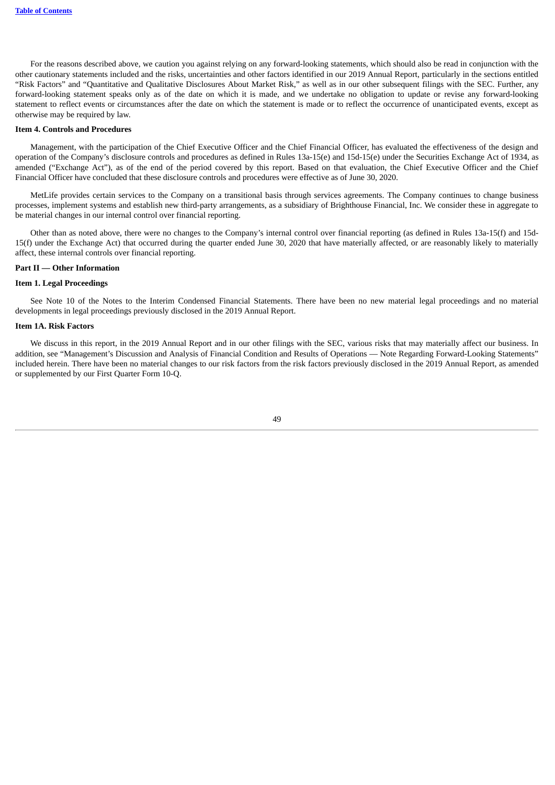For the reasons described above, we caution you against relying on any forward-looking statements, which should also be read in conjunction with the other cautionary statements included and the risks, uncertainties and other factors identified in our 2019 Annual Report, particularly in the sections entitled "Risk Factors" and "Quantitative and Qualitative Disclosures About Market Risk," as well as in our other subsequent filings with the SEC. Further, any forward-looking statement speaks only as of the date on which it is made, and we undertake no obligation to update or revise any forward-looking statement to reflect events or circumstances after the date on which the statement is made or to reflect the occurrence of unanticipated events, except as otherwise may be required by law.

#### <span id="page-49-0"></span>**Item 4. Controls and Procedures**

Management, with the participation of the Chief Executive Officer and the Chief Financial Officer, has evaluated the effectiveness of the design and operation of the Company's disclosure controls and procedures as defined in Rules 13a-15(e) and 15d-15(e) under the Securities Exchange Act of 1934, as amended ("Exchange Act"), as of the end of the period covered by this report. Based on that evaluation, the Chief Executive Officer and the Chief Financial Officer have concluded that these disclosure controls and procedures were effective as of June 30, 2020.

MetLife provides certain services to the Company on a transitional basis through services agreements. The Company continues to change business processes, implement systems and establish new third-party arrangements, as a subsidiary of Brighthouse Financial, Inc. We consider these in aggregate to be material changes in our internal control over financial reporting.

Other than as noted above, there were no changes to the Company's internal control over financial reporting (as defined in Rules 13a-15(f) and 15d-15(f) under the Exchange Act) that occurred during the quarter ended June 30, 2020 that have materially affected, or are reasonably likely to materially affect, these internal controls over financial reporting.

## <span id="page-49-1"></span>**Part II — Other Information**

## <span id="page-49-2"></span>**Item 1. Legal Proceedings**

See Note 10 of the Notes to the Interim Condensed Financial Statements. There have been no new material legal proceedings and no material developments in legal proceedings previously disclosed in the 2019 Annual Report.

#### <span id="page-49-3"></span>**Item 1A. Risk Factors**

<span id="page-49-4"></span>We discuss in this report, in the 2019 Annual Report and in our other filings with the SEC, various risks that may materially affect our business. In addition, see "Management's Discussion and Analysis of Financial Condition and Results of Operations — Note Regarding Forward-Looking Statements" included herein. There have been no material changes to our risk factors from the risk factors previously disclosed in the 2019 Annual Report, as amended or supplemented by our First Quarter Form 10-Q.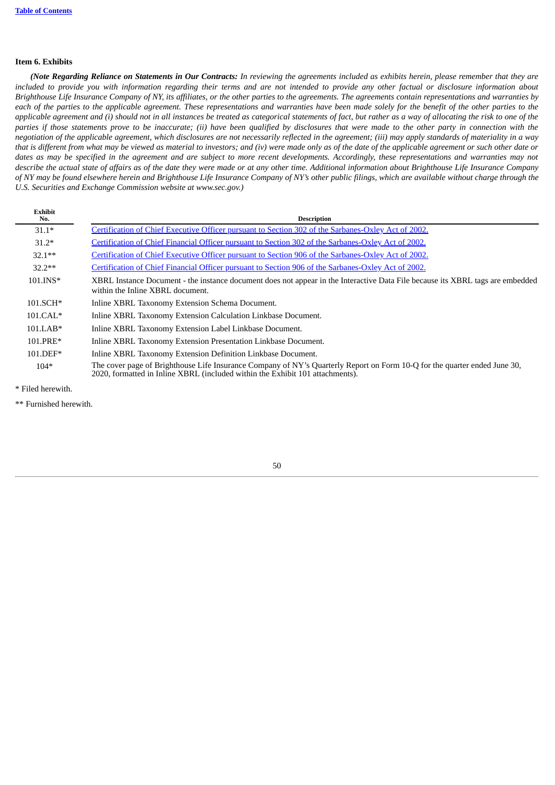#### **Item 6. Exhibits**

**Exhibit**

(Note Regarding Reliance on Statements in Our Contracts: In reviewing the agreements included as exhibits herein, please remember that they are included to provide you with information regarding their terms and are not intended to provide any other factual or disclosure information about Brighthouse Life Insurance Company of NY, its affiliates, or the other parties to the agreements. The agreements contain representations and warranties by each of the parties to the applicable agreement. These representations and warranties have been made solely for the benefit of the other parties to the applicable agreement and (i) should not in all instances be treated as categorical statements of fact, but rather as a way of allocating the risk to one of the parties if those statements prove to be inaccurate; (ii) have been qualified by disclosures that were made to the other party in connection with the negotiation of the applicable agreement, which disclosures are not necessarily reflected in the agreement; (iii) may apply standards of materiality in a way that is different from what may be viewed as material to investors; and (iv) were made only as of the date of the applicable agreement or such other date or dates as may be specified in the agreement and are subject to more recent developments. Accordingly, these representations and warranties may not describe the actual state of affairs as of the date they were made or at any other time. Additional information about Brighthouse Life Insurance Company of NY may be found elsewhere herein and Brighthouse Life Insurance Company of NY's other public filings, which are available without charge through the *U.S. Securities and Exchange Commission website at www.sec.gov.)*

| Exhibit<br>No. | <b>Description</b>                                                                                                                                                                                         |
|----------------|------------------------------------------------------------------------------------------------------------------------------------------------------------------------------------------------------------|
| $31.1*$        | Certification of Chief Executive Officer pursuant to Section 302 of the Sarbanes-Oxley Act of 2002.                                                                                                        |
| $31.2*$        | Certification of Chief Financial Officer pursuant to Section 302 of the Sarbanes-Oxley Act of 2002.                                                                                                        |
| $32.1**$       | Certification of Chief Executive Officer pursuant to Section 906 of the Sarbanes-Oxley Act of 2002.                                                                                                        |
| $32.2**$       | Certification of Chief Financial Officer pursuant to Section 906 of the Sarbanes-Oxley Act of 2002.                                                                                                        |
| $101.INS*$     | XBRL Instance Document - the instance document does not appear in the Interactive Data File because its XBRL tags are embedded<br>within the Inline XBRL document.                                         |
| $101.SCH*$     | Inline XBRL Taxonomy Extension Schema Document.                                                                                                                                                            |
| $101.CAL*$     | Inline XBRL Taxonomy Extension Calculation Linkbase Document.                                                                                                                                              |
| $101.LAB*$     | Inline XBRL Taxonomy Extension Label Linkbase Document.                                                                                                                                                    |
| 101.PRE*       | Inline XBRL Taxonomy Extension Presentation Linkbase Document.                                                                                                                                             |
| $101.DEF*$     | Inline XBRL Taxonomy Extension Definition Linkbase Document.                                                                                                                                               |
| $104*$         | The cover page of Brighthouse Life Insurance Company of NY's Quarterly Report on Form 10-Q for the quarter ended June 30,<br>2020, formatted in Inline XBRL (included within the Exhibit 101 attachments). |

\* Filed herewith.

<span id="page-50-0"></span>\*\* Furnished herewith.

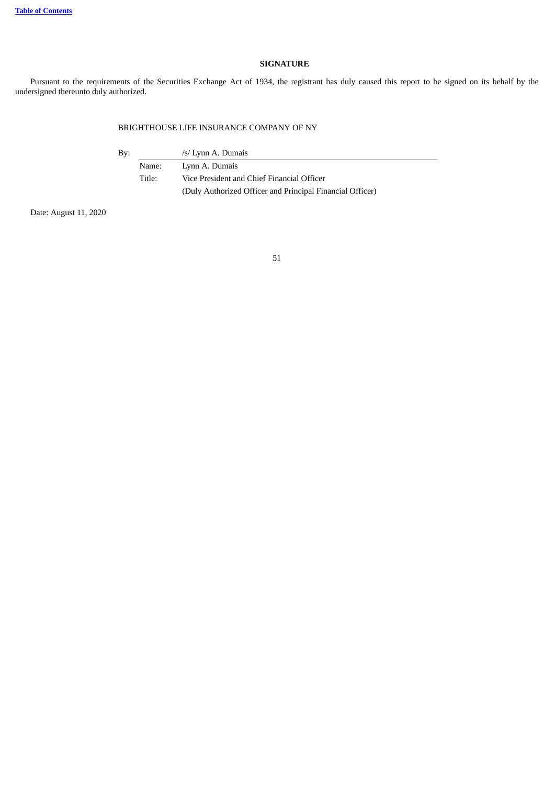## **SIGNATURE**

Pursuant to the requirements of the Securities Exchange Act of 1934, the registrant has duly caused this report to be signed on its behalf by the undersigned thereunto duly authorized.

## BRIGHTHOUSE LIFE INSURANCE COMPANY OF NY

By: /s/ Lynn A. Dumais

Name: Lynn A. Dumais Title: Vice President and Chief Financial Officer (Duly Authorized Officer and Principal Financial Officer)

Date: August 11, 2020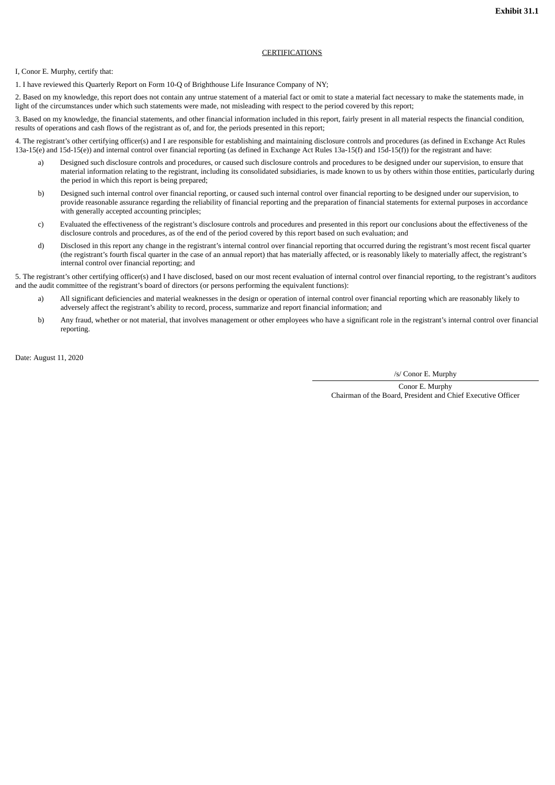### **CERTIFICATIONS**

#### <span id="page-52-0"></span>I, Conor E. Murphy, certify that:

1. I have reviewed this Quarterly Report on Form 10-Q of Brighthouse Life Insurance Company of NY;

2. Based on my knowledge, this report does not contain any untrue statement of a material fact or omit to state a material fact necessary to make the statements made, in light of the circumstances under which such statements were made, not misleading with respect to the period covered by this report;

3. Based on my knowledge, the financial statements, and other financial information included in this report, fairly present in all material respects the financial condition, results of operations and cash flows of the registrant as of, and for, the periods presented in this report;

4. The registrant's other certifying officer(s) and I are responsible for establishing and maintaining disclosure controls and procedures (as defined in Exchange Act Rules 13a-15(e) and 15d-15(e)) and internal control over financial reporting (as defined in Exchange Act Rules 13a-15(f) and 15d-15(f)) for the registrant and have:

- a) Designed such disclosure controls and procedures, or caused such disclosure controls and procedures to be designed under our supervision, to ensure that material information relating to the registrant, including its consolidated subsidiaries, is made known to us by others within those entities, particularly during the period in which this report is being prepared;
- b) Designed such internal control over financial reporting, or caused such internal control over financial reporting to be designed under our supervision, to provide reasonable assurance regarding the reliability of financial reporting and the preparation of financial statements for external purposes in accordance with generally accepted accounting principles;
- c) Evaluated the effectiveness of the registrant's disclosure controls and procedures and presented in this report our conclusions about the effectiveness of the disclosure controls and procedures, as of the end of the period covered by this report based on such evaluation; and
- d) Disclosed in this report any change in the registrant's internal control over financial reporting that occurred during the registrant's most recent fiscal quarter (the registrant's fourth fiscal quarter in the case of an annual report) that has materially affected, or is reasonably likely to materially affect, the registrant's internal control over financial reporting; and

5. The registrant's other certifying officer(s) and I have disclosed, based on our most recent evaluation of internal control over financial reporting, to the registrant's auditors and the audit committee of the registrant's board of directors (or persons performing the equivalent functions):

- a) All significant deficiencies and material weaknesses in the design or operation of internal control over financial reporting which are reasonably likely to adversely affect the registrant's ability to record, process, summarize and report financial information; and
- b) Any fraud, whether or not material, that involves management or other employees who have a significant role in the registrant's internal control over financial reporting.

Date: August 11, 2020

/s/ Conor E. Murphy

Conor E. Murphy Chairman of the Board, President and Chief Executive Officer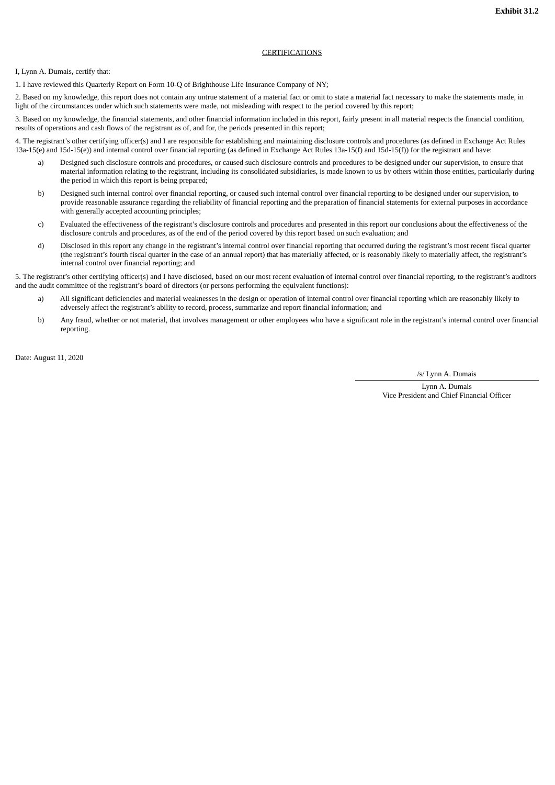### **CERTIFICATIONS**

#### <span id="page-53-0"></span>I, Lynn A. Dumais, certify that:

1. I have reviewed this Quarterly Report on Form 10-Q of Brighthouse Life Insurance Company of NY;

2. Based on my knowledge, this report does not contain any untrue statement of a material fact or omit to state a material fact necessary to make the statements made, in light of the circumstances under which such statements were made, not misleading with respect to the period covered by this report;

3. Based on my knowledge, the financial statements, and other financial information included in this report, fairly present in all material respects the financial condition, results of operations and cash flows of the registrant as of, and for, the periods presented in this report;

4. The registrant's other certifying officer(s) and I are responsible for establishing and maintaining disclosure controls and procedures (as defined in Exchange Act Rules 13a-15(e) and 15d-15(e)) and internal control over financial reporting (as defined in Exchange Act Rules 13a-15(f) and 15d-15(f)) for the registrant and have:

- a) Designed such disclosure controls and procedures, or caused such disclosure controls and procedures to be designed under our supervision, to ensure that material information relating to the registrant, including its consolidated subsidiaries, is made known to us by others within those entities, particularly during the period in which this report is being prepared;
- b) Designed such internal control over financial reporting, or caused such internal control over financial reporting to be designed under our supervision, to provide reasonable assurance regarding the reliability of financial reporting and the preparation of financial statements for external purposes in accordance with generally accepted accounting principles;
- c) Evaluated the effectiveness of the registrant's disclosure controls and procedures and presented in this report our conclusions about the effectiveness of the disclosure controls and procedures, as of the end of the period covered by this report based on such evaluation; and
- d) Disclosed in this report any change in the registrant's internal control over financial reporting that occurred during the registrant's most recent fiscal quarter (the registrant's fourth fiscal quarter in the case of an annual report) that has materially affected, or is reasonably likely to materially affect, the registrant's internal control over financial reporting; and

5. The registrant's other certifying officer(s) and I have disclosed, based on our most recent evaluation of internal control over financial reporting, to the registrant's auditors and the audit committee of the registrant's board of directors (or persons performing the equivalent functions):

- a) All significant deficiencies and material weaknesses in the design or operation of internal control over financial reporting which are reasonably likely to adversely affect the registrant's ability to record, process, summarize and report financial information; and
- b) Any fraud, whether or not material, that involves management or other employees who have a significant role in the registrant's internal control over financial reporting.

Date: August 11, 2020

/s/ Lynn A. Dumais

Lynn A. Dumais Vice President and Chief Financial Officer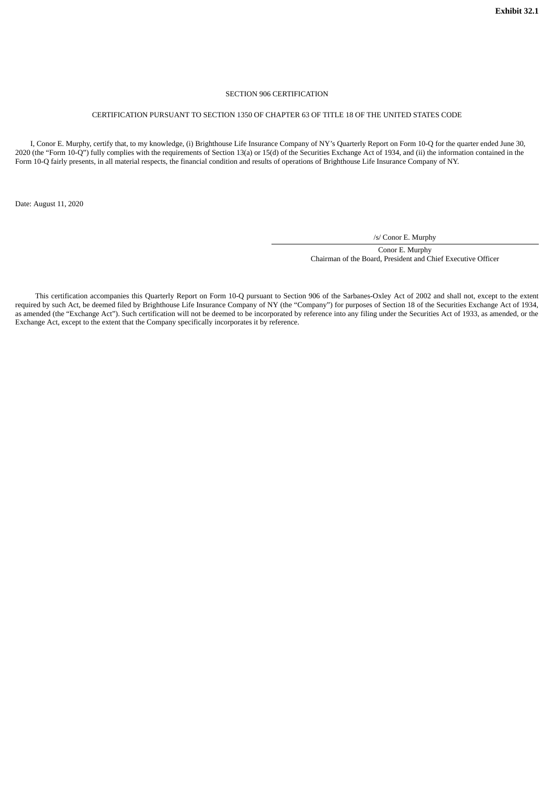#### SECTION 906 CERTIFICATION

#### <span id="page-54-0"></span>CERTIFICATION PURSUANT TO SECTION 1350 OF CHAPTER 63 OF TITLE 18 OF THE UNITED STATES CODE

 I, Conor E. Murphy, certify that, to my knowledge, (i) Brighthouse Life Insurance Company of NY's Quarterly Report on Form 10-Q for the quarter ended June 30, 2020 (the "Form 10-Q") fully complies with the requirements of Section 13(a) or 15(d) of the Securities Exchange Act of 1934, and (ii) the information contained in the Form 10-Q fairly presents, in all material respects, the financial condition and results of operations of Brighthouse Life Insurance Company of NY.

Date: August 11, 2020

/s/ Conor E. Murphy

Conor E. Murphy Chairman of the Board, President and Chief Executive Officer

This certification accompanies this Quarterly Report on Form 10-Q pursuant to Section 906 of the Sarbanes-Oxley Act of 2002 and shall not, except to the extent required by such Act, be deemed filed by Brighthouse Life Insurance Company of NY (the "Company") for purposes of Section 18 of the Securities Exchange Act of 1934, as amended (the "Exchange Act"). Such certification will not be deemed to be incorporated by reference into any filing under the Securities Act of 1933, as amended, or the Exchange Act, except to the extent that the Company specifically incorporates it by reference.